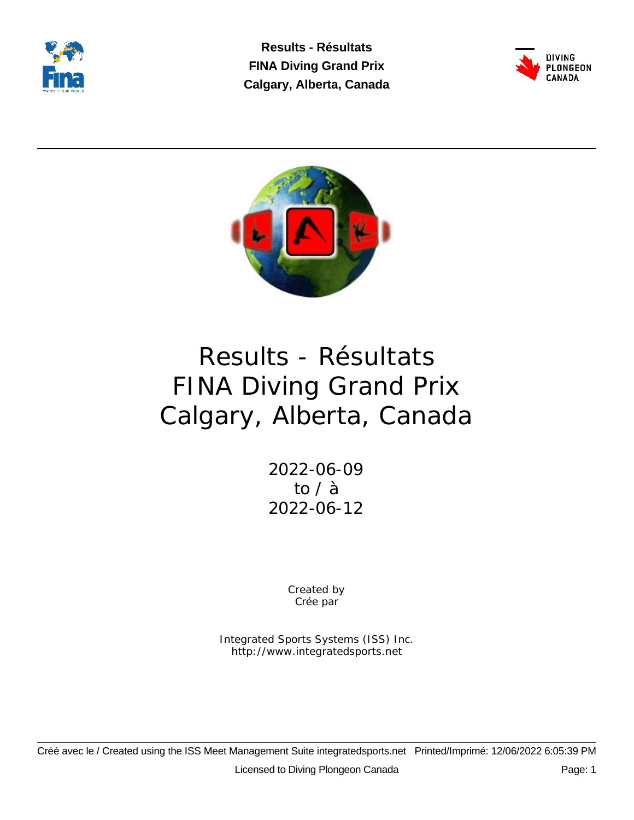

**Results - Résultats FINA Diving Grand Prix Calgary, Alberta, Canada**





# Results - Résultats FINA Diving Grand Prix Calgary, Alberta, Canada

2022-06-09 to / à 2022-06-12

> Created by Crée par

Integrated Sports Systems (ISS) Inc. http://www.integratedsports.net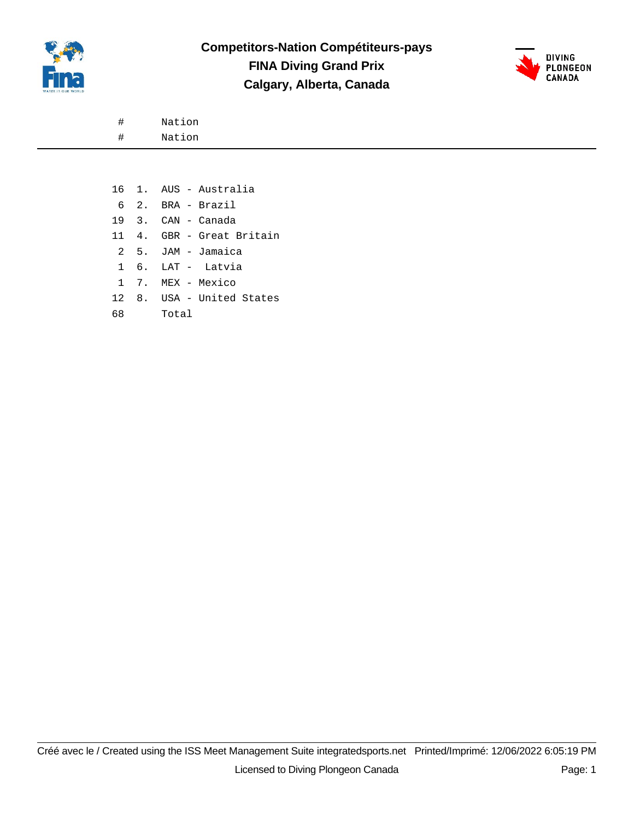



# Nation

# Nation

|    | 16 1. AUS - Australia     |
|----|---------------------------|
|    | 6 2. BRA - Brazil         |
|    | 19 3. CAN - Canada        |
|    | 11 4. GBR - Great Britain |
|    | 2 5. JAM - Jamaica        |
|    | 1 6. LAT - Latvia         |
|    | 1 7. MEX - Mexico         |
|    | 12 8. USA - United States |
| 68 | Total T                   |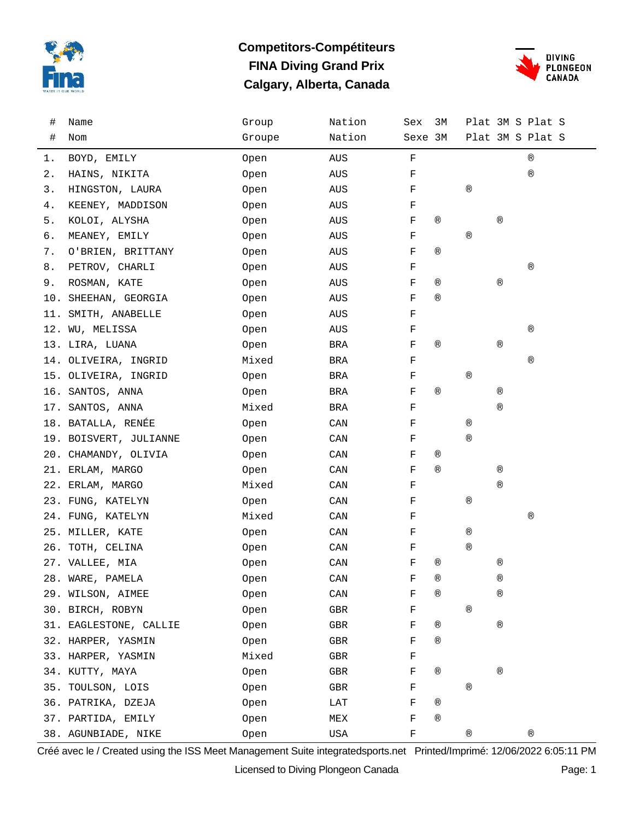

### **Competitors-Compétiteurs FINA Diving Grand Prix Calgary, Alberta, Canada**



| #  | Name                   | Group  | Nation     | Sex         | 3M             |                |                | Plat 3M S Plat S |  |
|----|------------------------|--------|------------|-------------|----------------|----------------|----------------|------------------|--|
| #  | Nom                    | Groupe | Nation     | Sexe 3M     |                |                |                | Plat 3M S Plat S |  |
| 1. | BOYD, EMILY            | Open   | AUS        | $\mathbf F$ |                |                |                | $^\circledR$     |  |
| 2. | HAINS, NIKITA          | Open   | AUS        | F           |                |                |                | $^\circledR$     |  |
| 3. | HINGSTON, LAURA        | Open   | AUS        | F           |                | $^\circledR$   |                |                  |  |
| 4. | KEENEY, MADDISON       | Open   | AUS        | F           |                |                |                |                  |  |
| 5. | KOLOI, ALYSHA          | Open   | AUS        | F           | $^{\circledR}$ |                | $^{\circledR}$ |                  |  |
| б. | MEANEY, EMILY          | Open   | AUS        | F           |                | $^{\circledR}$ |                |                  |  |
| 7. | O'BRIEN, BRITTANY      | Open   | AUS        | F           | $^{\circledR}$ |                |                |                  |  |
| 8. | PETROV, CHARLI         | Open   | AUS        | F           |                |                |                | $^\circledR$     |  |
| 9. | ROSMAN, KATE           | Open   | AUS        | F           | $^{\circledR}$ |                | $^{\circledR}$ |                  |  |
|    | 10. SHEEHAN, GEORGIA   | Open   | AUS        | F           | $^{\circledR}$ |                |                |                  |  |
|    | 11. SMITH, ANABELLE    | Open   | AUS        | F           |                |                |                |                  |  |
|    | 12. WU, MELISSA        | Open   | AUS        | F           |                |                |                | $^\circledR$     |  |
|    | 13. LIRA, LUANA        | Open   | BRA        | F           | $^{\circledR}$ |                | $^{\circledR}$ |                  |  |
|    | 14. OLIVEIRA, INGRID   | Mixed  | BRA        | F           |                |                |                | ®                |  |
|    | 15. OLIVEIRA, INGRID   | Open   | BRA        | F           |                | $^{\circledR}$ |                |                  |  |
|    | 16. SANTOS, ANNA       | Open   | BRA        | F           | $^{\circledR}$ |                | $^{\circledR}$ |                  |  |
|    | 17. SANTOS, ANNA       | Mixed  | <b>BRA</b> | F           |                |                | $^{\circledR}$ |                  |  |
|    | 18. BATALLA, RENÉE     | Open   | CAN        | F           |                | $^{\circledR}$ |                |                  |  |
|    | 19. BOISVERT, JULIANNE | Open   | CAN        | F           |                | $^{\circledR}$ |                |                  |  |
|    | 20. CHAMANDY, OLIVIA   | Open   | CAN        | F           | $^{\circledR}$ |                |                |                  |  |
|    | 21. ERLAM, MARGO       | Open   | CAN        | F           | $^{\circledR}$ |                | $^{\circledR}$ |                  |  |
|    | 22. ERLAM, MARGO       | Mixed  | CAN        | F           |                |                | $^{\circledR}$ |                  |  |
|    | 23. FUNG, KATELYN      | Open   | CAN        | F           |                | $^\circledR$   |                |                  |  |
|    | 24. FUNG, KATELYN      | Mixed  | CAN        | F           |                |                |                | $^\circledR$     |  |
|    | 25. MILLER, KATE       | Open   | CAN        | F           |                | $^{\circledR}$ |                |                  |  |
|    | 26. TOTH, CELINA       | Open   | CAN        | F           |                | $^{\circledR}$ |                |                  |  |
|    | 27. VALLEE, MIA        | Open   | CAN        | F           | $^{\circledR}$ |                | $^{\circledR}$ |                  |  |
|    | 28. WARE, PAMELA       | Open   | CAN        | F           | (R)            |                | ®              |                  |  |
|    | 29. WILSON, AIMEE      | Open   | CAN        | F           | ®              |                | ®              |                  |  |
|    | 30. BIRCH, ROBYN       | Open   | GBR        | F           |                | $^{\circledR}$ |                |                  |  |
|    | 31. EAGLESTONE, CALLIE | Open   | GBR        | F           | $^{\circledR}$ |                | $^{\circledR}$ |                  |  |
|    | 32. HARPER, YASMIN     | Open   | GBR        | F           | $^{\circledR}$ |                |                |                  |  |
|    | 33. HARPER, YASMIN     | Mixed  | GBR        | F           |                |                |                |                  |  |
|    | 34. KUTTY, MAYA        | Open   | GBR        | F           | ®              |                | $^{\circledR}$ |                  |  |
|    | 35. TOULSON, LOIS      | Open   | GBR        | F           |                | $^{\circledR}$ |                |                  |  |
|    | 36. PATRIKA, DZEJA     | Open   | LAT        | F           | $^{\circledR}$ |                |                |                  |  |
|    | 37. PARTIDA, EMILY     | Open   | MEX        | F           | $^{\circledR}$ |                |                |                  |  |
|    | 38. AGUNBIADE, NIKE    | Open   | USA        | F           |                | $^\circledR$   |                | $^\circledR$     |  |

Créé avec le / Created using the ISS Meet Management Suite integratedsports.net Printed/Imprimé: 12/06/2022 6:05:11 PM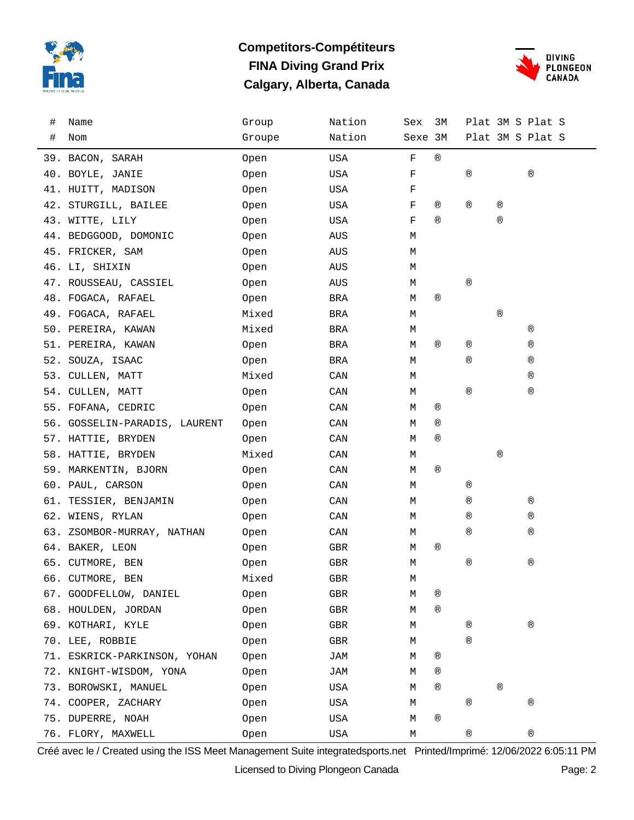

### **Competitors-Compétiteurs FINA Diving Grand Prix Calgary, Alberta, Canada**



| # | Name                          | Group  | Nation     | Sex     | ЗМ             |                |                | Plat 3M S Plat S |
|---|-------------------------------|--------|------------|---------|----------------|----------------|----------------|------------------|
| # | Nom                           | Groupe | Nation     | Sexe 3M |                |                |                | Plat 3M S Plat S |
|   | 39. BACON, SARAH              | Open   | USA        | F       | $^\circledR$   |                |                |                  |
|   | 40. BOYLE, JANIE              | Open   | USA        | F       |                | ®              |                | ®                |
|   | 41. HUITT, MADISON            | Open   | USA        | F       |                |                |                |                  |
|   | 42. STURGILL, BAILEE          | Open   | USA        | F       | ®              | ®              | ®              |                  |
|   | 43. WITTE, LILY               | Open   | USA        | F       | $^{\circledR}$ |                | $^{\circledR}$ |                  |
|   | 44. BEDGGOOD, DOMONIC         | Open   | AUS        | М       |                |                |                |                  |
|   | 45. FRICKER, SAM              | Open   | AUS        | М       |                |                |                |                  |
|   | 46. LI, SHIXIN                | Open   | AUS        | М       |                |                |                |                  |
|   | 47. ROUSSEAU, CASSIEL         | Open   | AUS        | М       |                | $^\circledR$   |                |                  |
|   | 48. FOGACA, RAFAEL            | Open   | BRA        | М       | $^{\circledR}$ |                |                |                  |
|   | 49. FOGACA, RAFAEL            | Mixed  | BRA        | М       |                |                | $^\circledR$   |                  |
|   | 50. PEREIRA, KAWAN            | Mixed  | BRA        | М       |                |                |                | ®                |
|   | 51. PEREIRA, KAWAN            | Open   | BRA        | М       | ®              | ®              |                | ®                |
|   | 52. SOUZA, ISAAC              | Open   | BRA        | М       |                | ®              |                | ®                |
|   | 53. CULLEN, MATT              | Mixed  | CAN        | М       |                |                |                | ®                |
|   | 54. CULLEN, MATT              | Open   | CAN        | М       |                | $^\circledR$   |                | ®                |
|   | 55. FOFANA, CEDRIC            | Open   | CAN        | М       | ®              |                |                |                  |
|   | 56. GOSSELIN-PARADIS, LAURENT | Open   | CAN        | М       | ®              |                |                |                  |
|   | 57. HATTIE, BRYDEN            | Open   | CAN        | М       | $^{\circledR}$ |                |                |                  |
|   | 58. HATTIE, BRYDEN            | Mixed  | CAN        | М       |                |                | $^{\circledR}$ |                  |
|   | 59. MARKENTIN, BJORN          | Open   | CAN        | М       | $^{\circledR}$ |                |                |                  |
|   | 60. PAUL, CARSON              | Open   | CAN        | М       |                | ®              |                |                  |
|   | 61. TESSIER, BENJAMIN         | Open   | CAN        | М       |                | ®              |                | $^\circledR$     |
|   | 62. WIENS, RYLAN              | Open   | CAN        | М       |                | ®              |                | ®                |
|   | 63. ZSOMBOR-MURRAY, NATHAN    | Open   | CAN        | М       |                | ®              |                | ®                |
|   | 64. BAKER, LEON               | Open   | GBR        | М       | ®              |                |                |                  |
|   | 65. CUTMORE, BEN              | Open   | GBR        | М       |                | $^\circledR$   |                | $^\circledR$     |
|   | 66. CUTMORE, BEN              | Mixed  | <b>GBR</b> | Μ       |                |                |                |                  |
|   | 67. GOODFELLOW, DANIEL        | Open   | GBR        | Μ       | ®              |                |                |                  |
|   | 68. HOULDEN, JORDAN           | Open   | GBR        | М       | $^{\circledR}$ |                |                |                  |
|   | 69. KOTHARI, KYLE             | Open   | GBR        | М       |                | ®              |                | $^\circledR$     |
|   | 70. LEE, ROBBIE               | Open   | GBR        | М       |                | $^{\circledR}$ |                |                  |
|   | 71. ESKRICK-PARKINSON, YOHAN  | Open   | JAM        | М       | ®              |                |                |                  |
|   | 72. KNIGHT-WISDOM, YONA       | Open   | JAM        | М       | ®              |                |                |                  |
|   | 73. BOROWSKI, MANUEL          | Open   | USA        | М       | ®              |                | $^{\circledR}$ |                  |
|   | 74. COOPER, ZACHARY           | Open   | USA        | М       |                | $^\circledR$   |                | ®                |
|   | 75. DUPERRE, NOAH             | Open   | USA        | М       | ®              |                |                |                  |
|   | 76. FLORY, MAXWELL            | Open   | USA        | М       |                | $^\circledR$   |                | $^\circledR$     |

Créé avec le / Created using the ISS Meet Management Suite integratedsports.net Printed/Imprimé: 12/06/2022 6:05:11 PM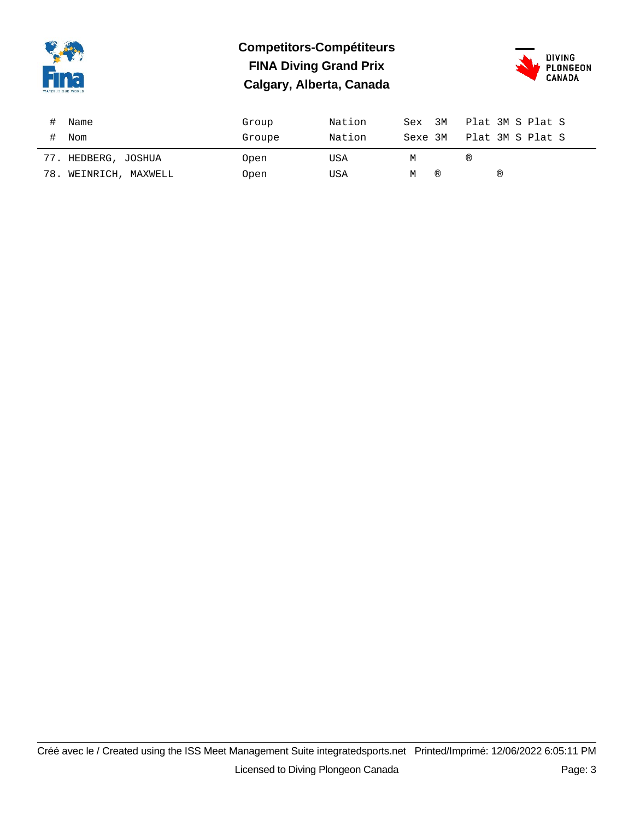

### **Competitors-Compétiteurs FINA Diving Grand Prix Calgary, Alberta, Canada**



| Name                | Group  | Nation | Sex 3M  | Plat 3M S Plat S |
|---------------------|--------|--------|---------|------------------|
| Nom                 | Groupe | Nation | Sexe 3M | Plat 3M S Plat S |
|                     |        |        |         |                  |
| 77. HEDBERG, JOSHUA | Open   | USA    | М       | (R)              |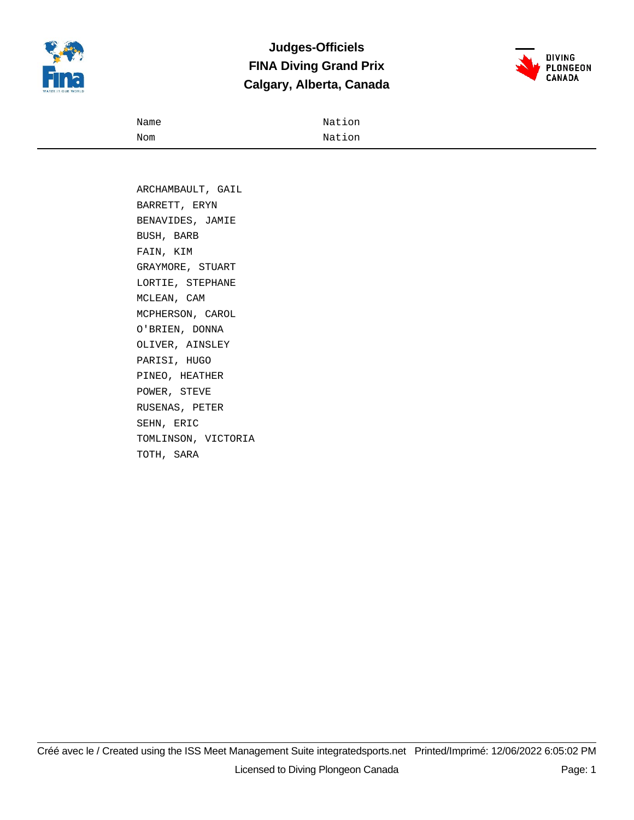

### **Judges-Officiels FINA Diving Grand Prix Calgary, Alberta, Canada**



| Name | Nation |
|------|--------|
| Nom  | Nation |

 ARCHAMBAULT, GAIL BARRETT, ERYN BENAVIDES, JAMIE BUSH, BARB FAIN, KIM GRAYMORE, STUART LORTIE, STEPHANE MCLEAN, CAM MCPHERSON, CAROL O'BRIEN, DONNA OLIVER, AINSLEY PARISI, HUGO PINEO, HEATHER POWER, STEVE RUSENAS, PETER SEHN, ERIC TOMLINSON, VICTORIA TOTH, SARA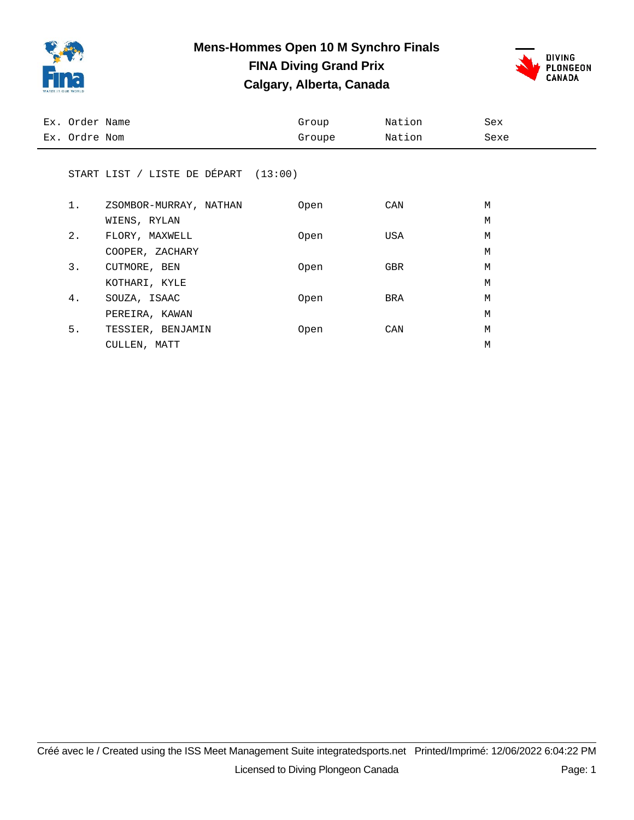

### **Mens-Hommes Open 10 M Synchro Finals FINA Diving Grand Prix**

**Calgary, Alberta, Canada**



| Ex. Order Name |                                        | Group       | Nation | Sex  |
|----------------|----------------------------------------|-------------|--------|------|
| Ex. Ordre Nom  |                                        | Groupe      | Nation | Sexe |
|                |                                        |             |        |      |
|                | START LIST / LISTE DE DÉPART $(13:00)$ |             |        |      |
|                |                                        |             |        |      |
| $1$ .          | ZSOMBOR-MURRAY, NATHAN                 | 0pen        | CAN    | М    |
|                | WIENS, RYLAN                           |             |        | М    |
| 2.             | FLORY, MAXWELL                         | Open        | USA    | М    |
|                | COOPER, ZACHARY                        |             |        | M    |
| 3.             | CUTMORE, BEN                           | Open        | GBR    | М    |
|                | KOTHARI, KYLE                          |             |        | М    |
| 4.             | SOUZA, ISAAC                           | 0pen        | BRA    | M    |
|                | PEREIRA, KAWAN                         |             |        | М    |
| 5.             | TESSIER, BENJAMIN                      | <b>Open</b> | CAN    | М    |

CULLEN, MATT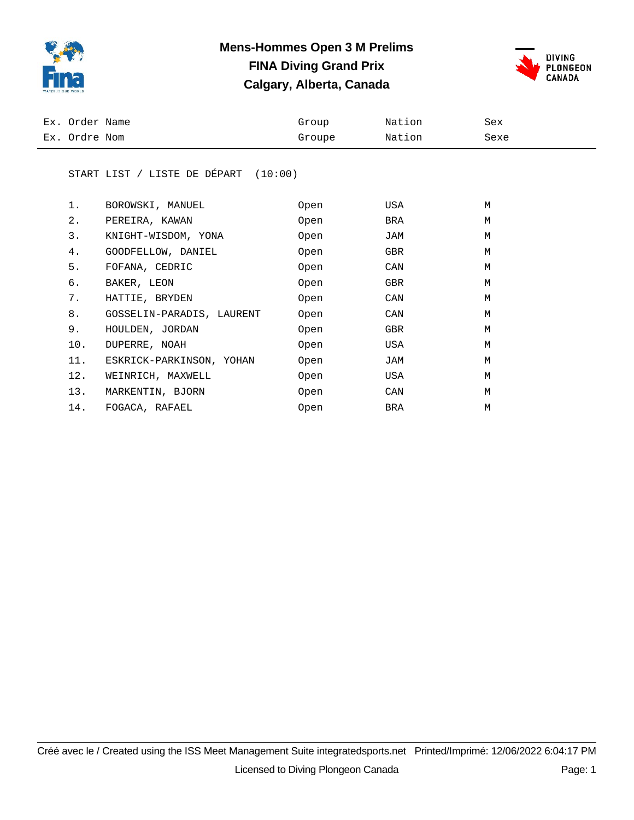

### **Mens-Hommes Open 3 M Prelims FINA Diving Grand Prix Calgary, Alberta, Canada**



| Ex. Order Name | Group  | Nation | Sex  |
|----------------|--------|--------|------|
| Ex. Ordre Nom  | Groupe | Nation | Sexe |

#### START LIST / LISTE DE DÉPART (10:00)

| 1.  | BOROWSKI, MANUEL          | Open | USA | M |
|-----|---------------------------|------|-----|---|
| 2.  | PEREIRA, KAWAN            | Open | BRA | M |
| 3.  | KNIGHT-WISDOM, YONA       | Open | JAM | M |
| 4.  | GOODFELLOW, DANIEL        | Open | GBR | M |
| 5.  | FOFANA, CEDRIC            | Open | CAN | M |
| б.  | BAKER, LEON               | Open | GBR | M |
| 7.  | HATTIE, BRYDEN            | Open | CAN | M |
| 8.  | GOSSELIN-PARADIS, LAURENT | Open | CAN | M |
| 9.  | HOULDEN, JORDAN           | Open | GBR | M |
| 10. | DUPERRE, NOAH             | Open | USA | M |
| 11. | ESKRICK-PARKINSON, YOHAN  | Open | JAM | M |
| 12. | WEINRICH, MAXWELL         | Open | USA | M |
| 13. | MARKENTIN, BJORN          | Open | CAN | M |
| 14. | FOGACA, RAFAEL            | Open | BRA | М |
|     |                           |      |     |   |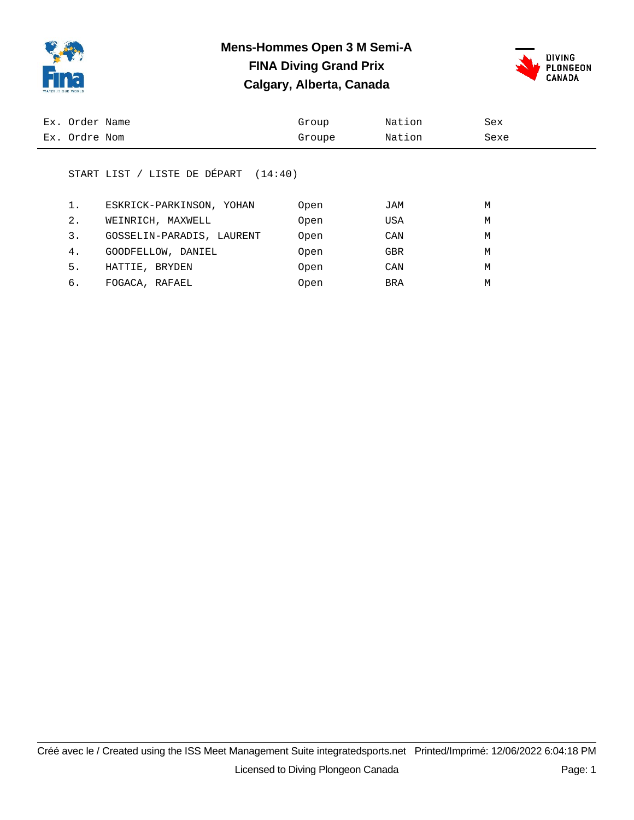

### **Mens-Hommes Open 3 M Semi-A FINA Diving Grand Prix Calgary, Alberta, Canada**



| Ex. Order Name | Group  | Nation | Sex  |
|----------------|--------|--------|------|
| Ex. Ordre Nom  | Groupe | Nation | Sexe |

#### START LIST / LISTE DE DÉPART (14:40)

|    | ESKRICK-PARKINSON, YOHAN  | Open | JAM        | М |
|----|---------------------------|------|------------|---|
| 2. | WEINRICH, MAXWELL         | Open | USA        | М |
| 3. | GOSSELIN-PARADIS, LAURENT | Open | CAN        | M |
| 4. | GOODFELLOW, DANIEL        | Open | <b>GBR</b> | M |
| 5. | HATTIE, BRYDEN            | Open | CAN        | М |
| б. | FOGACA, RAFAEL            | Open | BRA        | M |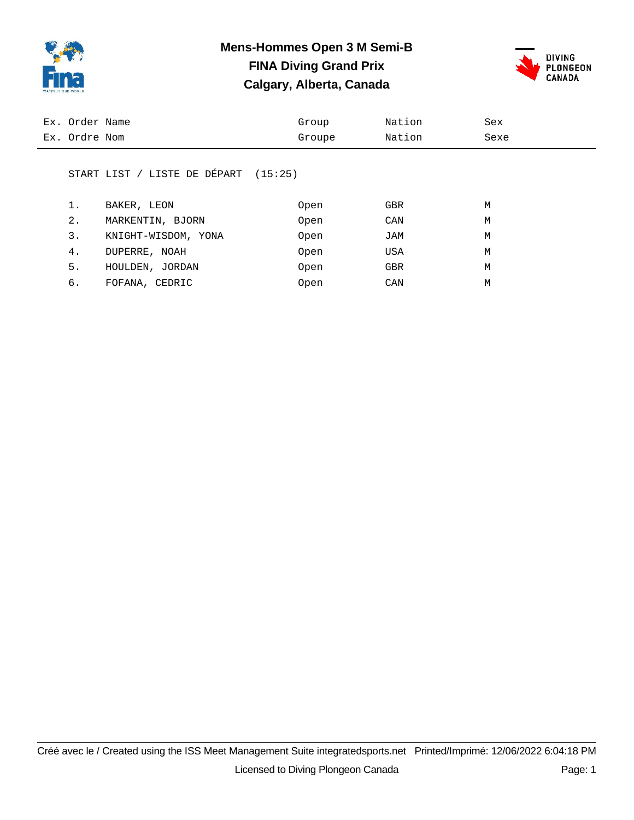

### **Mens-Hommes Open 3 M Semi-B FINA Diving Grand Prix Calgary, Alberta, Canada**



| Ex. Order Name | Group  | Nation | Sex  |
|----------------|--------|--------|------|
| Ex. Ordre Nom  | Groupe | Nation | Sexe |
|                |        |        |      |

#### START LIST / LISTE DE DÉPART (15:25)

|    | BAKER, LEON         | Open | <b>GBR</b> | M |
|----|---------------------|------|------------|---|
| 2. | MARKENTIN, BJORN    | Open | CAN        | М |
| 3. | KNIGHT-WISDOM, YONA | Open | JAM        | M |
| 4. | DUPERRE, NOAH       | Open | USA        | М |
| 5. | HOULDEN, JORDAN     | Open | <b>GBR</b> | М |
| б. | FOFANA, CEDRIC      | Open | CAN        | М |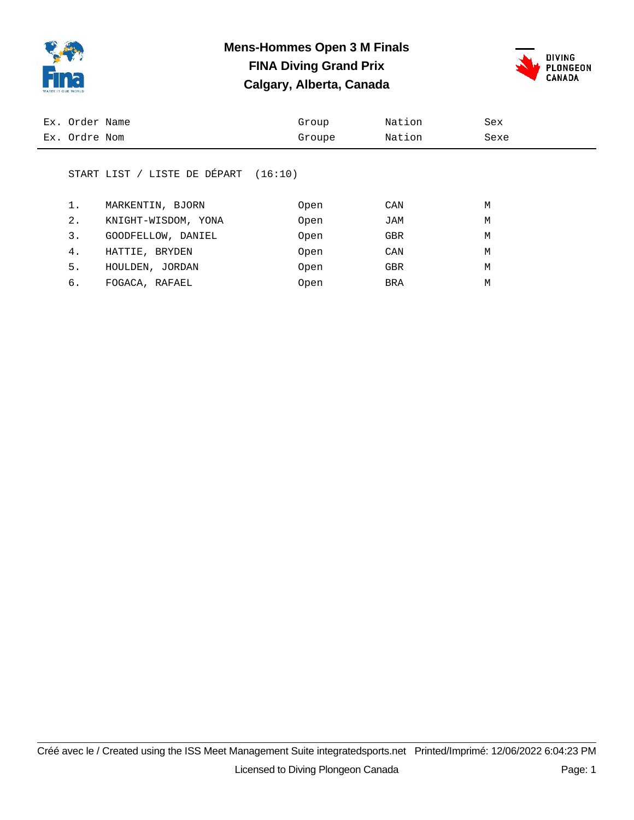

### **Mens-Hommes Open 3 M Finals FINA Diving Grand Prix Calgary, Alberta, Canada**



| Ex. Order Name | Group  | Nation | Sex  |
|----------------|--------|--------|------|
| Ex. Ordre Nom  | Groupe | Nation | Sexe |
|                |        |        |      |

#### START LIST / LISTE DE DÉPART (16:10)

|    | MARKENTIN, BJORN    | Open | CAN        | M |
|----|---------------------|------|------------|---|
| 2. | KNIGHT-WISDOM, YONA | Open | JAM        | M |
| 3. | GOODFELLOW, DANIEL  | Open | <b>GBR</b> | М |
| 4. | HATTIE, BRYDEN      | Open | CAN        | М |
| 5. | HOULDEN, JORDAN     | Open | <b>GBR</b> | М |
| б. | FOGACA, RAFAEL      | Open | BRA        | М |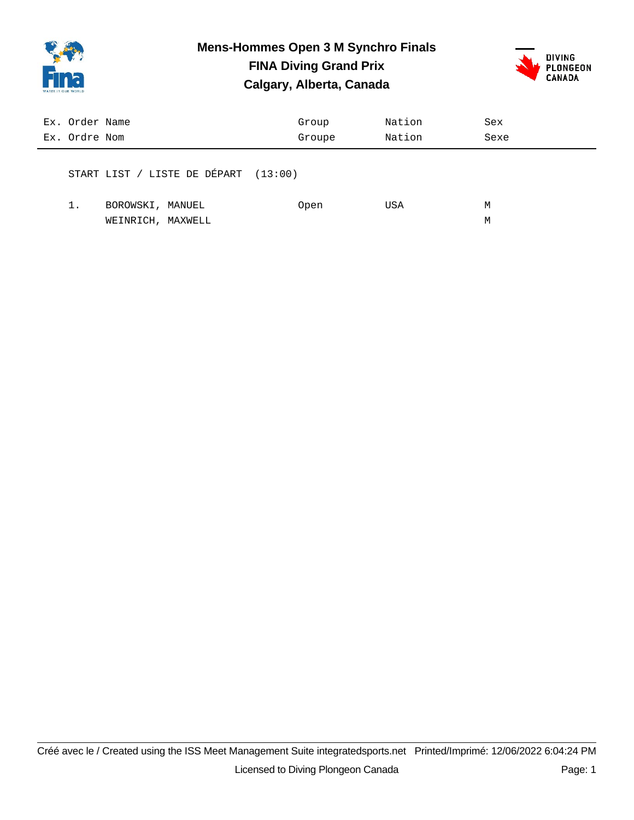

## **Mens-Hommes Open 3 M Synchro Finals**

**FINA Diving Grand Prix Calgary, Alberta, Canada**



| Ex. Order Name<br>Ex. Ordre Nom |                                        | Group<br>Groupe | Nation<br>Nation | Sex<br>Sexe |
|---------------------------------|----------------------------------------|-----------------|------------------|-------------|
|                                 | START LIST / LISTE DE DÉPART $(13:00)$ |                 |                  |             |
|                                 | BOROWSKI, MANUEL                       | Open            | USA              | М           |

WEINRICH, MAXWELL METAL MAXWELL METAL METAL MAXWELL MAXWELL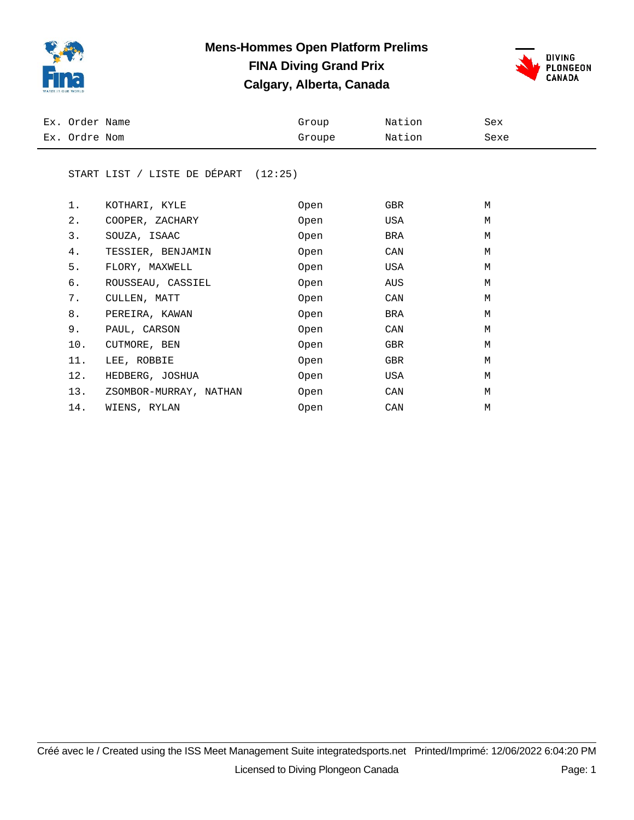

### **Mens-Hommes Open Platform Prelims FINA Diving Grand Prix Calgary, Alberta, Canada**



| Ex. Order Name | Group  | Nation | Sex  |
|----------------|--------|--------|------|
| Ex. Ordre Nom  | Groupe | Nation | Sexe |

#### START LIST / LISTE DE DÉPART (12:25)

| 1.  | KOTHARI, KYLE          | Open | GBR | M |
|-----|------------------------|------|-----|---|
| 2.  | COOPER, ZACHARY        | Open | USA | M |
| 3.  | SOUZA, ISAAC           | Open | BRA | M |
| 4.  | TESSIER, BENJAMIN      | Open | CAN | M |
| 5.  | FLORY, MAXWELL         | Open | USA | M |
| б.  | ROUSSEAU, CASSIEL      | Open | AUS | M |
| 7.  | CULLEN, MATT           | Open | CAN | M |
| 8.  | PEREIRA, KAWAN         | Open | BRA | M |
| 9.  | PAUL, CARSON           | Open | CAN | M |
| 10. | CUTMORE, BEN           | Open | GBR | M |
| 11. | LEE, ROBBIE            | Open | GBR | M |
| 12. | HEDBERG, JOSHUA        | Open | USA | M |
| 13. | ZSOMBOR-MURRAY, NATHAN | Open | CAN | M |
| 14. | WIENS, RYLAN           | Open | CAN | M |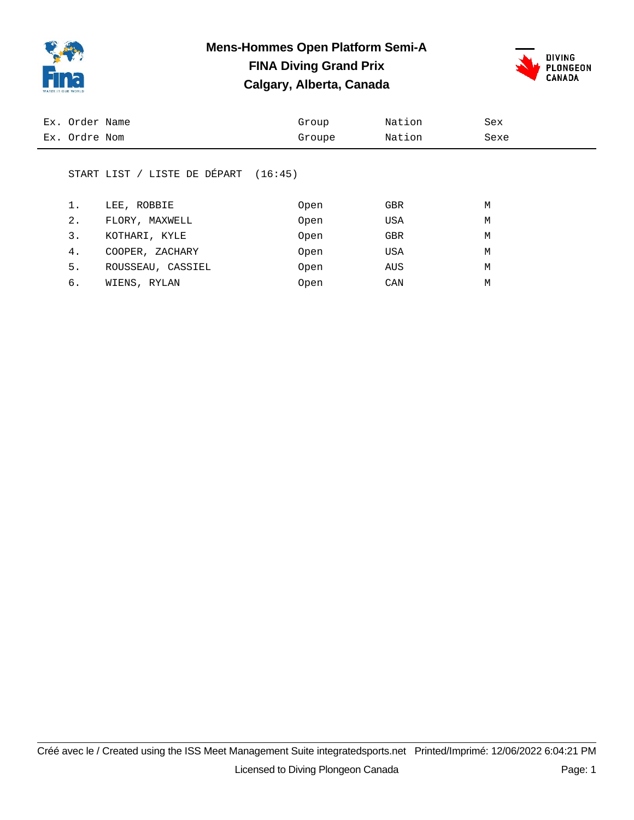

### **Mens-Hommes Open Platform Semi-A FINA Diving Grand Prix Calgary, Alberta, Canada**



| Ex. Order Name | Group  | Nation | Sex  |
|----------------|--------|--------|------|
| Ex. Ordre Nom  | Groupe | Nation | Sexe |

#### START LIST / LISTE DE DÉPART (16:45)

|    | LEE, ROBBIE       | Open | <b>GBR</b> | M |
|----|-------------------|------|------------|---|
| 2. | FLORY, MAXWELL    | Open | USA        | M |
| 3. | KOTHARI, KYLE     | Open | <b>GBR</b> | M |
| 4. | COOPER, ZACHARY   | Open | USA        | M |
| 5. | ROUSSEAU, CASSIEL | Open | AUS        | M |
| б. | WIENS, RYLAN      | Open | CAN        | М |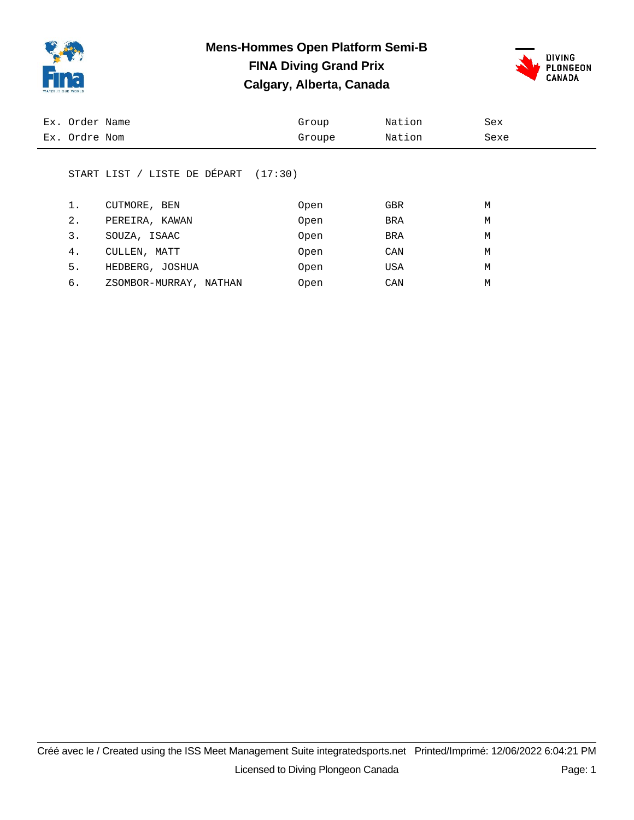

### **Mens-Hommes Open Platform Semi-B FINA Diving Grand Prix Calgary, Alberta, Canada**



| Ex. Order Name                       | Group  | Nation | Sex  |  |
|--------------------------------------|--------|--------|------|--|
| Ex. Ordre Nom                        | Groupe | Nation | Sexe |  |
| START LIST / LISTE DE DÉPART (17:30) |        |        |      |  |

| 1. | CUTMORE, BEN           | Open | <b>GBR</b> | M |
|----|------------------------|------|------------|---|
| 2. | PEREIRA, KAWAN         | Open | BRA        | M |
| 3. | SOUZA, ISAAC           | Open | BRA        | М |
| 4. | CULLEN, MATT           | Open | CAN        | M |
| 5. | HEDBERG, JOSHUA        | Open | USA        | M |
| б. | ZSOMBOR-MURRAY, NATHAN | Open | CAN        | М |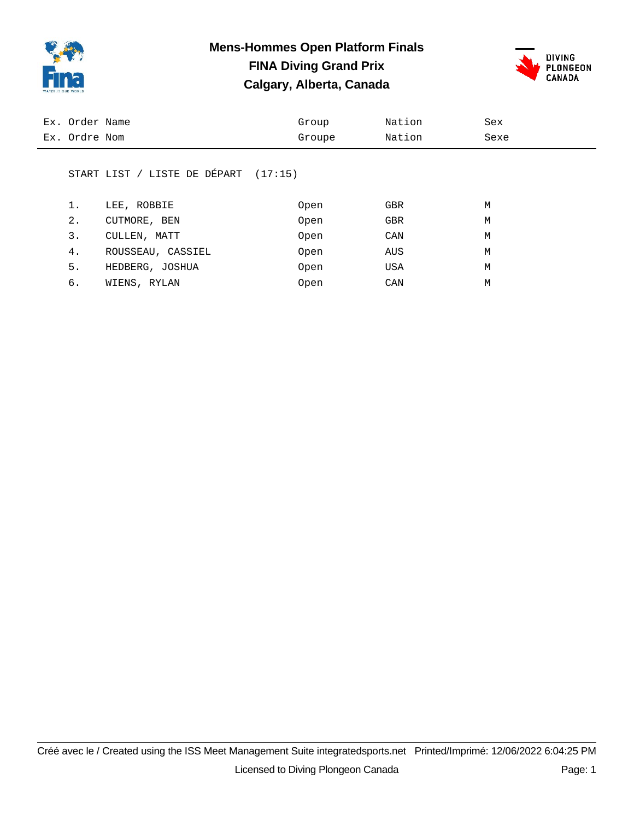

### **Mens-Hommes Open Platform Finals FINA Diving Grand Prix Calgary, Alberta, Canada**



| Ex. Order Name | Group  | Nation | Sex  |
|----------------|--------|--------|------|
| Ex. Ordre Nom  | Groupe | Nation | Sexe |

#### START LIST / LISTE DE DÉPART (17:15)

| 1. | LEE, ROBBIE       | Open | <b>GBR</b> | М |
|----|-------------------|------|------------|---|
| 2. | CUTMORE, BEN      | Open | <b>GBR</b> | M |
| 3. | CULLEN, MATT      | Open | CAN        | M |
| 4. | ROUSSEAU, CASSIEL | Open | AUS        | M |
| 5. | HEDBERG, JOSHUA   | Open | USA        | М |
| б. | WIENS, RYLAN      | Open | CAN        | М |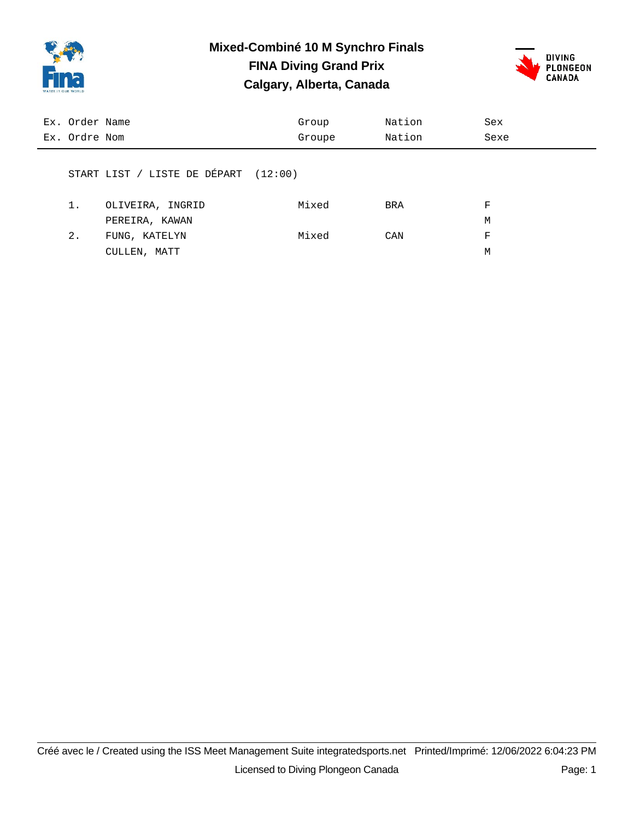

### **Mixed-Combiné 10 M Synchro Finals FINA Diving Grand Prix**

**Calgary, Alberta, Canada**



| Ex. Order Name |                                        | Group  | Nation | Sex  |
|----------------|----------------------------------------|--------|--------|------|
| Ex. Ordre Nom  |                                        | Groupe | Nation | Sexe |
|                |                                        |        |        |      |
|                | START LIST / LISTE DE DÉPART $(12:00)$ |        |        |      |
|                |                                        |        |        |      |
| 1.             | OLIVEIRA, INGRID                       | Mixed  | BRA    | F    |
|                | PEREIRA, KAWAN                         |        |        | М    |
| 2.             | FUNG, KATELYN                          | Mixed  | CAN    | F    |

CULLEN, MATT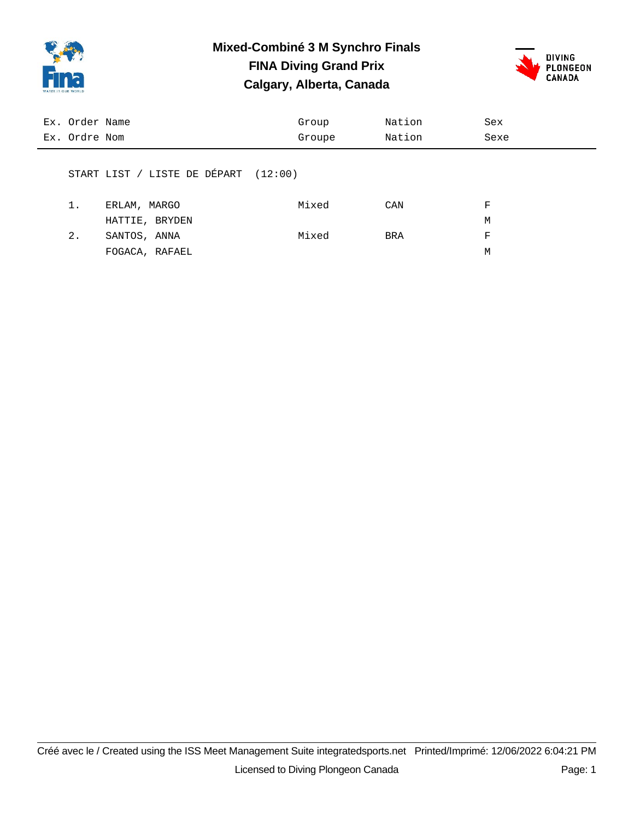

### **Mixed-Combiné 3 M Synchro Finals FINA Diving Grand Prix**

**Calgary, Alberta, Canada**



| Ex. Order Name |                                        | Group  | Nation | Sex  |
|----------------|----------------------------------------|--------|--------|------|
| Ex. Ordre Nom  |                                        | Groupe | Nation | Sexe |
|                |                                        |        |        |      |
|                | START LIST / LISTE DE DÉPART $(12:00)$ |        |        |      |
|                |                                        |        |        |      |
| 1.             | ERLAM, MARGO                           | Mixed  | CAN    | F    |
|                | HATTIE, BRYDEN                         |        |        | М    |
| 2.             | SANTOS, ANNA                           | Mixed  | BRA    | F    |

FOGACA, RAFAEL M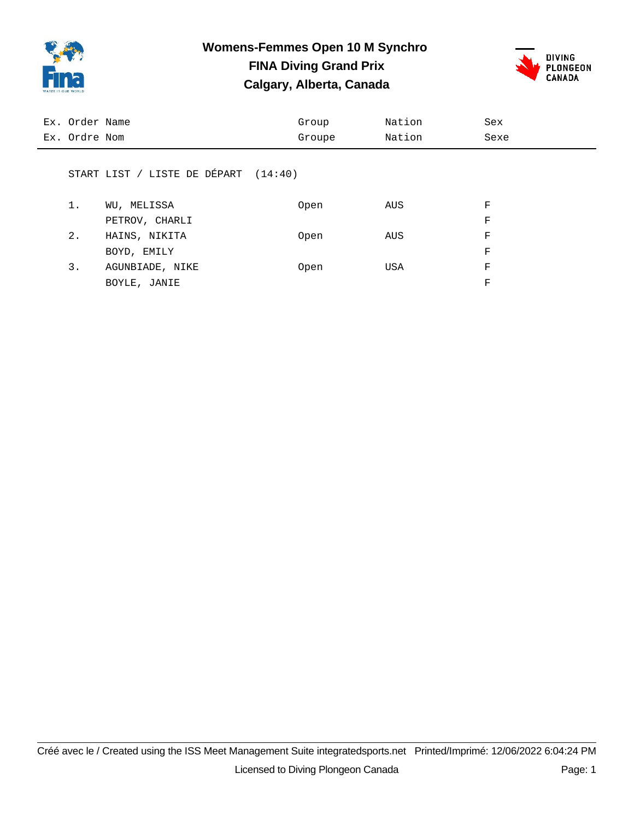

# **Womens-Femmes Open 10 M Synchro FINA Diving Grand Prix**





| Ex. Order Name |                                        | Group  | Nation | Sex  |
|----------------|----------------------------------------|--------|--------|------|
| Ex. Ordre Nom  |                                        | Groupe | Nation | Sexe |
|                |                                        |        |        |      |
|                | START LIST / LISTE DE DÉPART $(14:40)$ |        |        |      |
|                |                                        |        |        |      |
| 1.             | WU, MELISSA                            | Open   | AUS    | F    |
|                | PETROV, CHARLI                         |        |        | F    |
| $2$ .          | HAINS, NIKITA                          | Open   | AUS    | F    |

|    | BOYD, EMILY     |      |      | F |
|----|-----------------|------|------|---|
| 3. | AGUNBIADE, NIKE | Open | IJSA | F |
|    | BOYLE, JANIE    |      |      | F |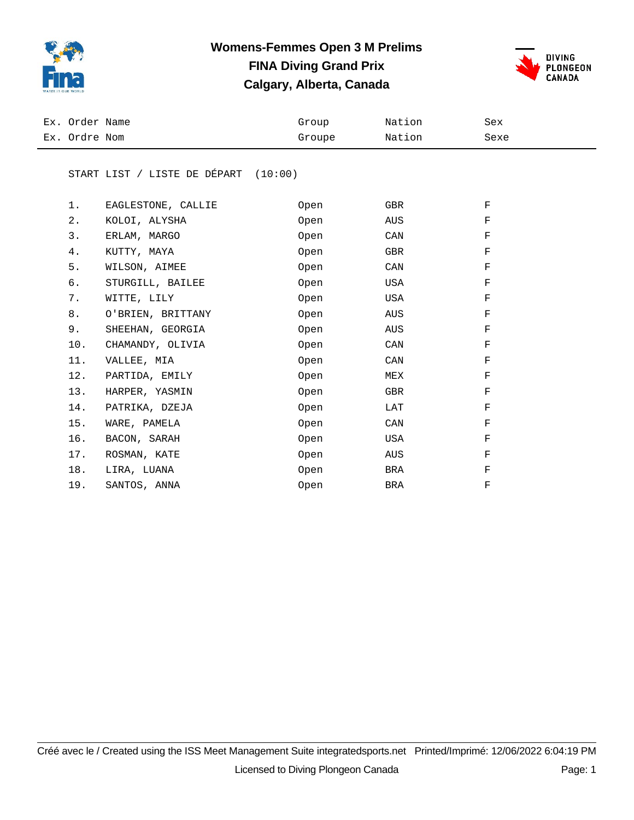

### **Womens-Femmes Open 3 M Prelims FINA Diving Grand Prix Calgary, Alberta, Canada**



| Ex. Order Name | Group  | Nation | Sex  |
|----------------|--------|--------|------|
| Ex. Ordre Nom  | Groupe | Nation | Sexe |

#### START LIST / LISTE DE DÉPART (10:00)

| 1.    | EAGLESTONE, CALLIE | Open | GBR | $_{\rm F}$ |
|-------|--------------------|------|-----|------------|
| $2$ . | KOLOI, ALYSHA      | Open | AUS | F          |
| 3.    | ERLAM, MARGO       | Open | CAN | F          |
| 4.    | KUTTY, MAYA        | Open | GBR | F          |
| 5.    | WILSON, AIMEE      | Open | CAN | F          |
| б.    | STURGILL, BAILEE   | Open | USA | F          |
| 7.    | WITTE, LILY        | Open | USA | F          |
| $8$ . | O'BRIEN, BRITTANY  | Open | AUS | F          |
| 9.    | SHEEHAN, GEORGIA   | Open | AUS | F          |
| 10.   | CHAMANDY, OLIVIA   | Open | CAN | F          |
| 11.   | VALLEE, MIA        | Open | CAN | F          |
|       | 12. PARTIDA, EMILY | Open | MEX | F          |
| 13.   | HARPER, YASMIN     | Open | GBR | F          |
| 14.   | PATRIKA, DZEJA     | Open | LAT | F          |
| 15.   | WARE, PAMELA       | Open | CAN | F          |
| 16.   | BACON, SARAH       | Open | USA | F          |
| 17.   | ROSMAN, KATE       | Open | AUS | F          |
| 18.   | LIRA, LUANA        | Open | BRA | F          |
| 19.   | SANTOS, ANNA       | Open | BRA | F          |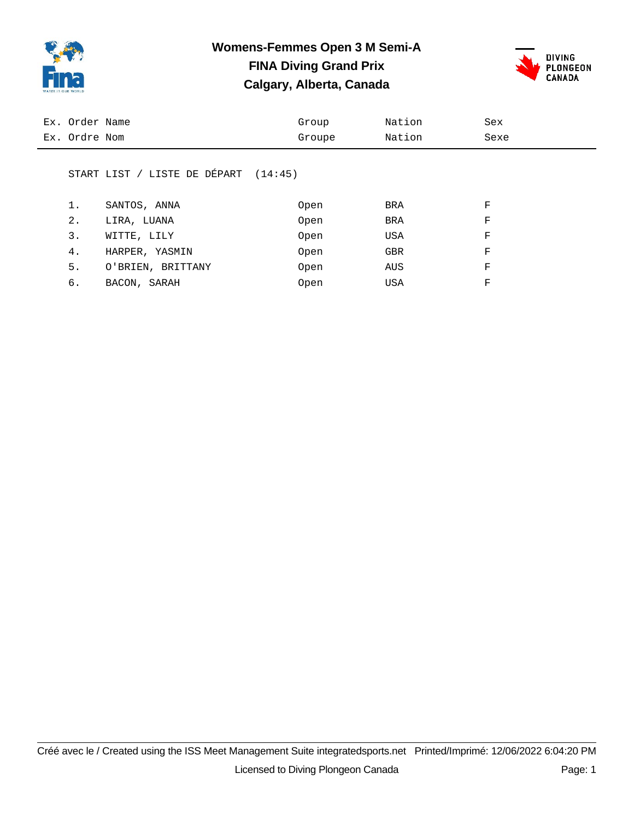

### **Womens-Femmes Open 3 M Semi-A FINA Diving Grand Prix Calgary, Alberta, Canada**



| Ex. Ordre Nom<br>Nation<br>Groupe<br>Sexe | Ex. Order Name | Group | Nation | Sex |
|-------------------------------------------|----------------|-------|--------|-----|
|                                           |                |       |        |     |

#### START LIST / LISTE DE DÉPART (14:45)

| 1. | SANTOS, ANNA      | Open | BRA        | F |
|----|-------------------|------|------------|---|
| 2. | LIRA, LUANA       | Open | <b>BRA</b> | F |
| 3. | WITTE, LILY       | Open | USA        | F |
| 4. | HARPER, YASMIN    | Open | <b>GBR</b> | F |
| 5. | O'BRIEN, BRITTANY | Open | AUS        | F |
| б. | BACON, SARAH      | Open | USA        | F |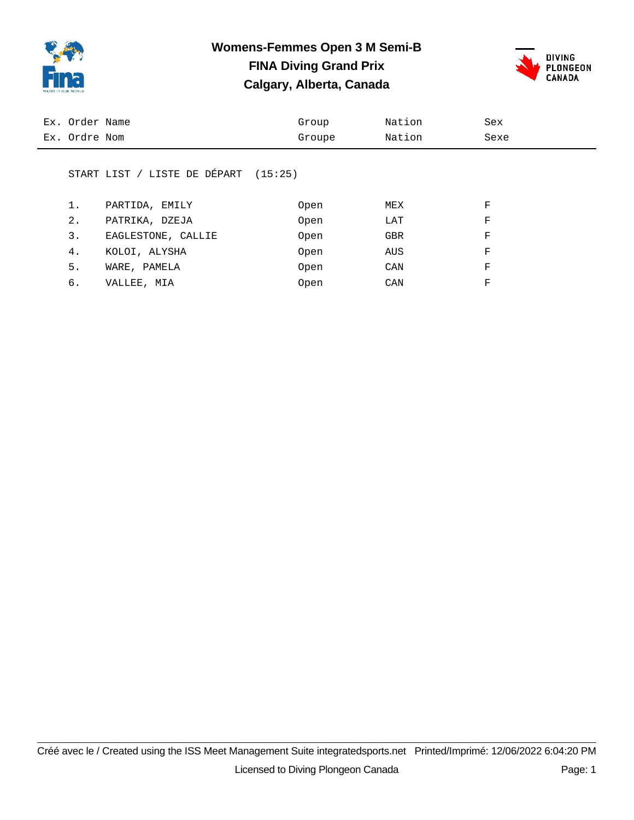

### **Womens-Femmes Open 3 M Semi-B FINA Diving Grand Prix Calgary, Alberta, Canada**



| Ex. Order Name<br>Ex. Ordre Nom | Group<br>Groupe | Nation<br>Nation | Sex<br>Sexe |  |
|---------------------------------|-----------------|------------------|-------------|--|
|                                 |                 |                  |             |  |

#### START LIST / LISTE DE DÉPART (15:25)

| 1. | PARTIDA, EMILY     | Open | MEX        | F |
|----|--------------------|------|------------|---|
| 2. | PATRIKA, DZEJA     | Open | LAT        | F |
| 3. | EAGLESTONE, CALLIE | Open | <b>GBR</b> | F |
| 4. | KOLOI, ALYSHA      | Open | AUS        | F |
| 5. | WARE, PAMELA       | Open | CAN        | F |
| 6. | VALLEE, MIA        | Open | CAN        | F |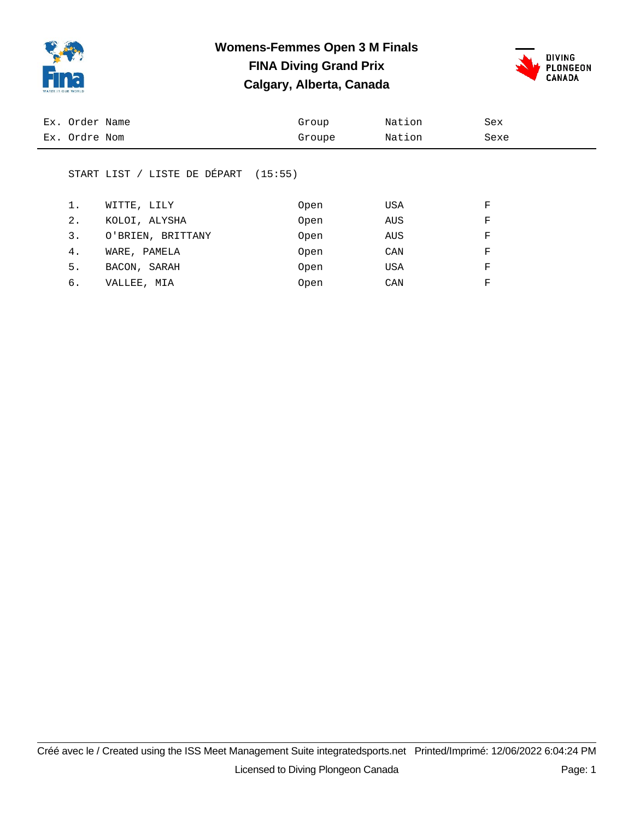

### **Womens-Femmes Open 3 M Finals FINA Diving Grand Prix Calgary, Alberta, Canada**



| Ex. Order Name                       | Group  | Nation | Sex  |
|--------------------------------------|--------|--------|------|
| Ex. Ordre Nom                        | Groupe | Nation | Sexe |
|                                      |        |        |      |
| START LIST / LISTE DE DÉPART (15:55) |        |        |      |

| 1. | WITTE, LILY       | Open | USA | F |
|----|-------------------|------|-----|---|
| 2. | KOLOI, ALYSHA     | Open | AUS | F |
| 3. | O'BRIEN, BRITTANY | Open | AUS | F |
| 4. | WARE, PAMELA      | Open | CAN | F |
| 5. | BACON, SARAH      | Open | USA | F |
| б. | VALLEE, MIA       | Open | CAN | F |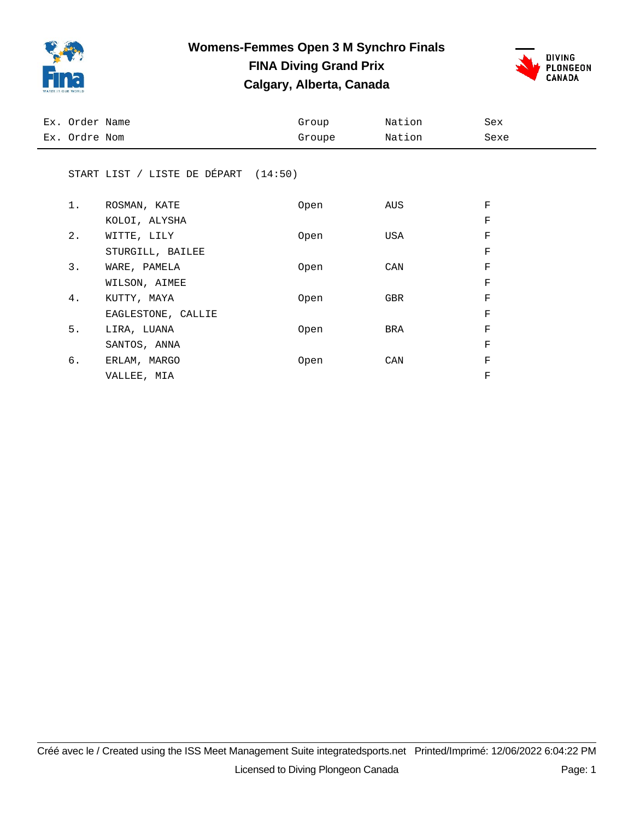

### **Womens-Femmes Open 3 M Synchro Finals FINA Diving Grand Prix**

**Calgary, Alberta, Canada**



| Ex. Order Name |                                      | Group  | Nation | Sex         |
|----------------|--------------------------------------|--------|--------|-------------|
| Ex. Ordre Nom  |                                      | Groupe | Nation | Sexe        |
|                |                                      |        |        |             |
|                | START LIST / LISTE DE DÉPART (14:50) |        |        |             |
|                |                                      |        |        |             |
| $1$ .          | ROSMAN, KATE                         | Open   | AUS    | F           |
|                | KOLOI, ALYSHA                        |        |        | F           |
| 2.             | WITTE, LILY                          | Open   | USA    | F           |
|                | STURGILL, BAILEE                     |        |        | $\mathbf F$ |
| 3.             | WARE, PAMELA                         | Open   | CAN    | F           |
|                | WILSON, AIMEE                        |        |        | $\mathbf F$ |
| 4.             | KUTTY, MAYA                          | Open   | GBR    | F           |
|                | EAGLESTONE, CALLIE                   |        |        | F           |
| 5.             | LIRA, LUANA                          | Open   | BRA    | F           |
|                | SANTOS, ANNA                         |        |        | F           |
| б.             | ERLAM, MARGO                         | Open   | CAN    | $\mathbf F$ |
|                | VALLEE, MIA                          |        |        | $\rm F$     |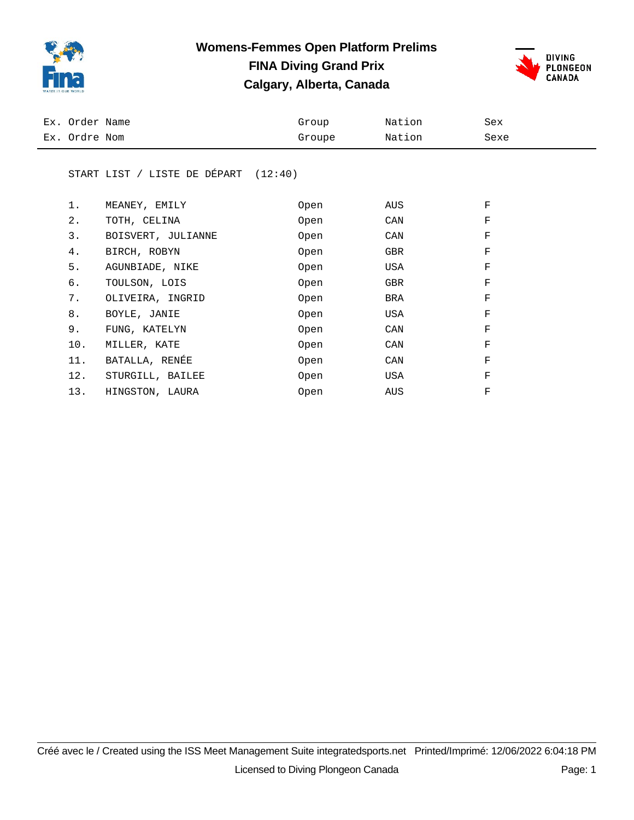

### **Womens-Femmes Open Platform Prelims FINA Diving Grand Prix Calgary, Alberta, Canada**



| Ex. Order Name | Group  | Nation | Sex  |
|----------------|--------|--------|------|
| Ex. Ordre Nom  | Groupe | Nation | Sexe |

#### START LIST / LISTE DE DÉPART (12:40)

| 1.    | MEANEY, EMILY      | Open | AUS | F |
|-------|--------------------|------|-----|---|
| $2$ . | TOTH, CELINA       | Open | CAN | F |
| 3.    | BOISVERT, JULIANNE | Open | CAN | F |
| 4.    | BIRCH, ROBYN       | Open | GBR | F |
| 5.    | AGUNBIADE, NIKE    | Open | USA | F |
| б.    | TOULSON, LOIS      | Open | GBR | F |
| 7.    | OLIVEIRA, INGRID   | Open | BRA | F |
| 8.    | BOYLE, JANIE       | Open | USA | F |
| 9.    | FUNG, KATELYN      | Open | CAN | F |
| 10.   | MILLER, KATE       | Open | CAN | F |
| 11.   | BATALLA, RENÉE     | Open | CAN | F |
| 12.   | STURGILL, BAILEE   | Open | USA | F |
| 13.   | HINGSTON, LAURA    | Open | AUS | F |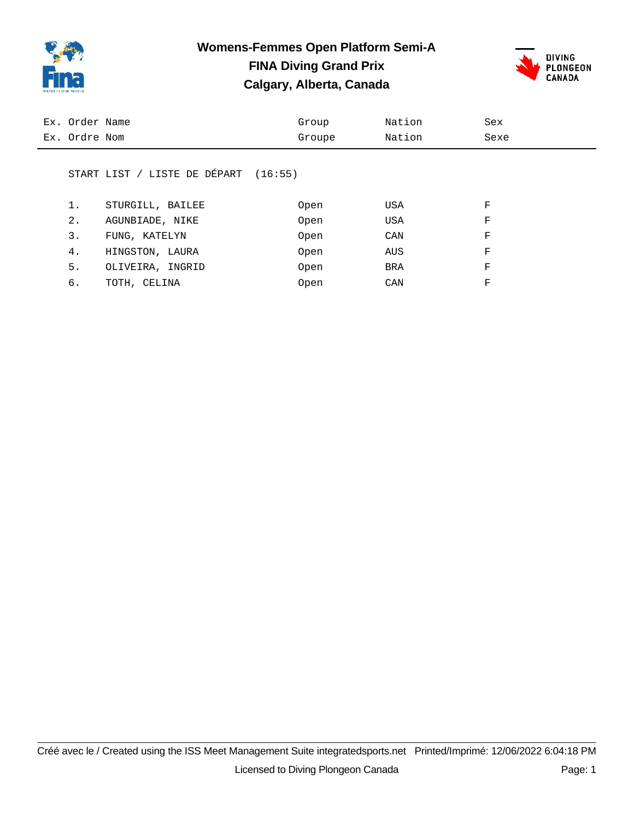

### **Womens-Femmes Open Platform Semi-A FINA Diving Grand Prix Calgary, Alberta, Canada**



| Ex. Order Name | Group  | Nation | Sex  |
|----------------|--------|--------|------|
| Ex. Ordre Nom  | Groupe | Nation | Sexe |
|                |        |        |      |

#### START LIST / LISTE DE DÉPART (16:55)

|    | STURGILL, BAILEE | Open | USA | F |
|----|------------------|------|-----|---|
| 2. | AGUNBIADE, NIKE  | Open | USA | F |
| 3. | FUNG, KATELYN    | Open | CAN | F |
| 4. | HINGSTON, LAURA  | Open | AUS | F |
| 5. | OLIVEIRA, INGRID | Open | BRA | F |
| б. | TOTH, CELINA     | Open | CAN | F |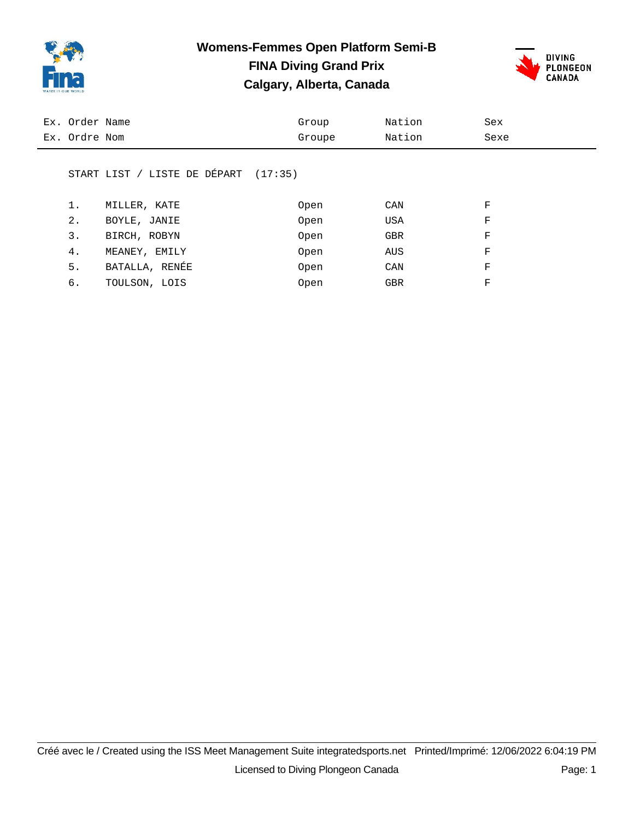

### **Womens-Femmes Open Platform Semi-B FINA Diving Grand Prix Calgary, Alberta, Canada**



| Ex. Order Name | Group  | Nation | Sex  |
|----------------|--------|--------|------|
| Ex. Ordre Nom  | Groupe | Nation | Sexe |
|                |        |        |      |

#### START LIST / LISTE DE DÉPART (17:35)

| 1. | MILLER, KATE   | Open | CAN        | F |
|----|----------------|------|------------|---|
| 2. | BOYLE, JANIE   | Open | USA        | F |
| 3. | BIRCH, ROBYN   | Open | <b>GBR</b> | F |
| 4. | MEANEY, EMILY  | Open | AUS        | F |
| 5. | BATALLA, RENÉE | Open | CAN        | F |
| 6. | TOULSON, LOIS  | Open | GBR        | F |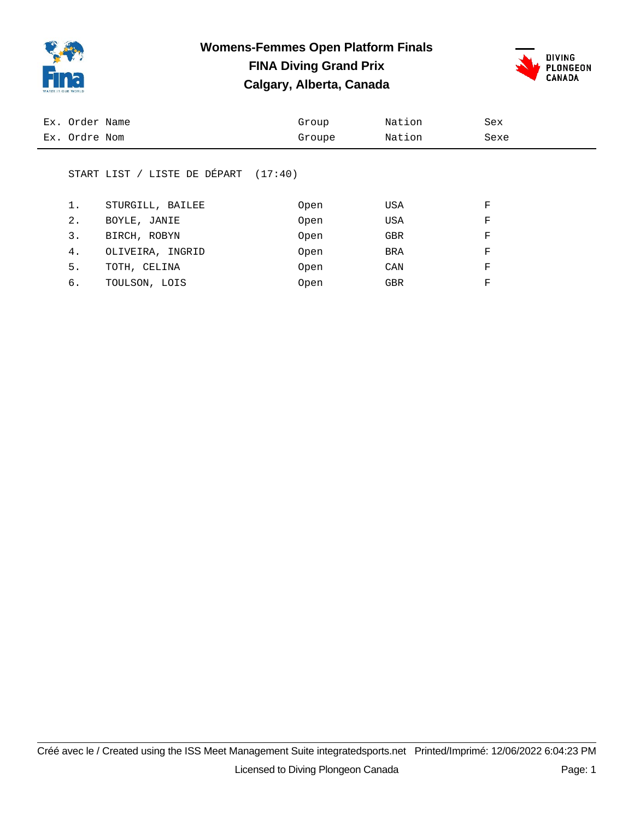

# **Womens-Femmes Open Platform Finals FINA Diving Grand Prix**





| Ex. Order Name | Group  | Nation | Sex  |
|----------------|--------|--------|------|
| Ex. Ordre Nom  | Groupe | Nation | Sexe |
|                |        |        |      |

#### START LIST / LISTE DE DÉPART (17:40)

| 1. | STURGILL, BAILEE | Open | USA        | F |
|----|------------------|------|------------|---|
| 2. | BOYLE, JANIE     | Open | USA        | F |
| 3. | BIRCH, ROBYN     | Open | <b>GBR</b> | F |
| 4. | OLIVEIRA, INGRID | Open | <b>BRA</b> | F |
| 5. | TOTH, CELINA     | Open | CAN        | F |
| б. | TOULSON, LOIS    | Open | GBR        | F |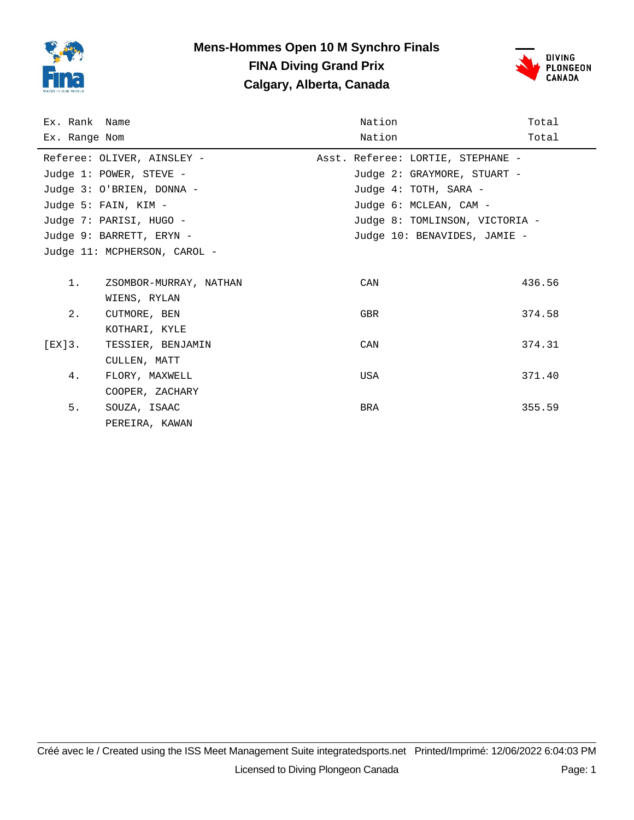

### **Mens-Hommes Open 10 M Synchro Finals FINA Diving Grand Prix Calgary, Alberta, Canada**



| Ex. Rank Name |                              | Nation                            | Total  |
|---------------|------------------------------|-----------------------------------|--------|
| Ex. Range Nom |                              | Nation                            | Total  |
|               | Referee: OLIVER, AINSLEY -   | Asst. Referee: LORTIE, STEPHANE - |        |
|               | Judge 1: POWER, STEVE -      | Judge 2: GRAYMORE, STUART -       |        |
|               | Judge 3: 0'BRIEN, DONNA -    | Judge 4: TOTH, SARA -             |        |
|               | Judge 5: FAIN, KIM -         | Judge 6: MCLEAN, CAM -            |        |
|               | Judge 7: PARISI, HUGO -      | Judge 8: TOMLINSON, VICTORIA -    |        |
|               | Judge 9: BARRETT, ERYN -     | Judge 10: BENAVIDES, JAMIE -      |        |
|               | Judge 11: MCPHERSON, CAROL - |                                   |        |
|               |                              |                                   |        |
| 1.            | ZSOMBOR-MURRAY, NATHAN       | CAN                               | 436.56 |
|               | WIENS, RYLAN                 |                                   |        |
| 2.            | CUTMORE, BEN                 | <b>GBR</b>                        | 374.58 |
|               | KOTHARI, KYLE                |                                   |        |
| $[EX]3$ .     | TESSIER, BENJAMIN            | CAN                               | 374.31 |
|               | CULLEN, MATT                 |                                   |        |
| 4.            | FLORY, MAXWELL               | USA                               | 371.40 |
|               | COOPER, ZACHARY              |                                   |        |
| 5.            | SOUZA, ISAAC                 | BRA                               | 355.59 |
|               | PEREIRA, KAWAN               |                                   |        |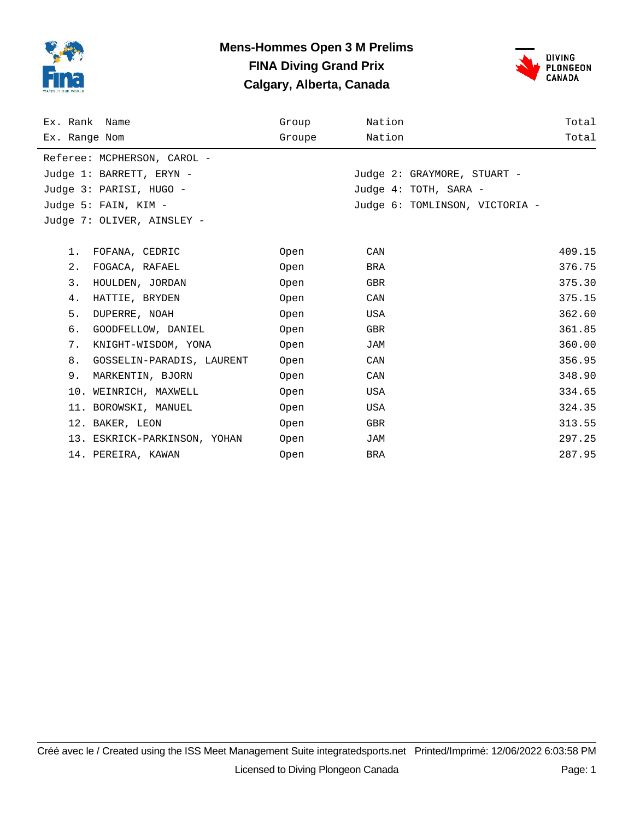

### **Mens-Hommes Open 3 M Prelims FINA Diving Grand Prix Calgary, Alberta, Canada**



| Ex. Rank Name |                              | Group  | Nation |                                | Total  |
|---------------|------------------------------|--------|--------|--------------------------------|--------|
| Ex. Range Nom |                              | Groupe | Nation |                                | Total  |
|               | Referee: MCPHERSON, CAROL -  |        |        |                                |        |
|               | Judge 1: BARRETT, ERYN -     |        |        | Judge 2: GRAYMORE, STUART -    |        |
|               | Judge 3: PARISI, HUGO -      |        |        | Judge 4: TOTH, SARA -          |        |
|               | Judge 5: FAIN, KIM -         |        |        | Judge 6: TOMLINSON, VICTORIA - |        |
|               | Judge 7: OLIVER, AINSLEY -   |        |        |                                |        |
|               |                              |        |        |                                |        |
| $1$ .         | FOFANA, CEDRIC               | Open   | CAN    |                                | 409.15 |
| 2.            | FOGACA, RAFAEL               | Open   | BRA    |                                | 376.75 |
| 3.            | HOULDEN, JORDAN              | Open   | GBR    |                                | 375.30 |
| 4.            | HATTIE, BRYDEN               | Open   | CAN    |                                | 375.15 |
| 5.            | DUPERRE, NOAH                | Open   | USA    |                                | 362.60 |
| б.            | GOODFELLOW, DANIEL           | Open   | GBR    |                                | 361.85 |
| 7.            | KNIGHT-WISDOM, YONA          | Open   | JAM    |                                | 360.00 |
| 8.            | GOSSELIN-PARADIS, LAURENT    | Open   | CAN    |                                | 356.95 |
| 9.            | MARKENTIN, BJORN             | Open   | CAN    |                                | 348.90 |
|               | 10. WEINRICH, MAXWELL        | Open   | USA    |                                | 334.65 |
|               | 11. BOROWSKI, MANUEL         | Open   | USA    |                                | 324.35 |
|               | 12. BAKER, LEON              | Open   | GBR    |                                | 313.55 |
|               | 13. ESKRICK-PARKINSON, YOHAN | Open   | JAM    |                                | 297.25 |
|               | 14. PEREIRA, KAWAN           | Open   | BRA    |                                | 287.95 |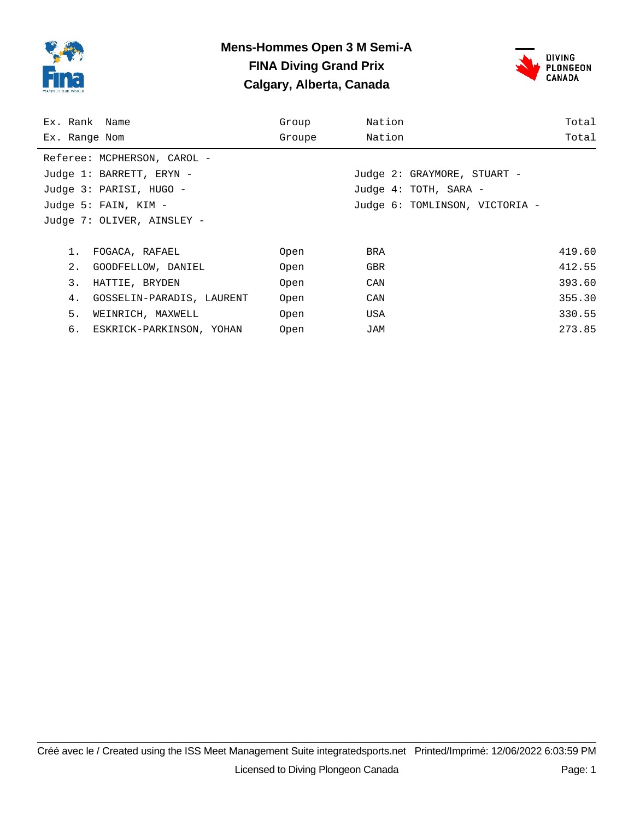

### **Mens-Hommes Open 3 M Semi-A FINA Diving Grand Prix Calgary, Alberta, Canada**



| Ex. Rank Name        |                             | Group  | Nation |                                | Total  |
|----------------------|-----------------------------|--------|--------|--------------------------------|--------|
| Ex. Range Nom        |                             | Groupe | Nation |                                | Total  |
|                      | Referee: MCPHERSON, CAROL - |        |        |                                |        |
|                      | Judge 1: BARRETT, ERYN -    |        |        | Judge 2: GRAYMORE, STUART -    |        |
|                      | Judge 3: PARISI, HUGO -     |        |        | Judge 4: TOTH, SARA -          |        |
| Judge 5: FAIN, KIM - |                             |        |        | Judge 6: TOMLINSON, VICTORIA - |        |
|                      | Judge 7: OLIVER, AINSLEY -  |        |        |                                |        |
|                      |                             |        |        |                                |        |
| 1.                   | FOGACA, RAFAEL              | Open   | BRA    |                                | 419.60 |
| 2.                   | GOODFELLOW, DANIEL          | Open   | GBR    |                                | 412.55 |
| 3.                   | HATTIE, BRYDEN              | Open   | CAN    |                                | 393.60 |
| 4.                   | GOSSELIN-PARADIS, LAURENT   | Open   | CAN    |                                | 355.30 |
| 5.                   | WEINRICH, MAXWELL           | Open   | USA    |                                | 330.55 |
|                      | 6. ESKRICK-PARKINSON, YOHAN | Open   | JAM    |                                | 273.85 |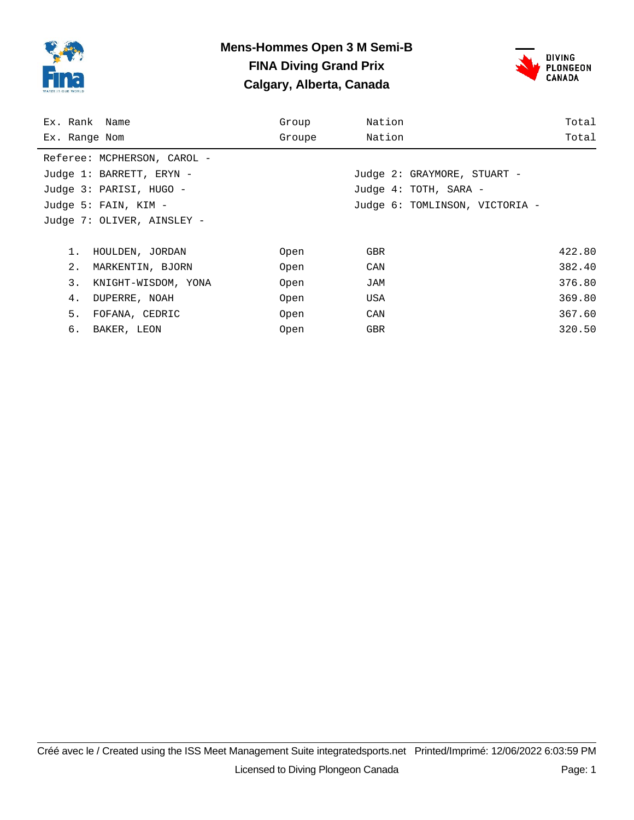

### **Mens-Hommes Open 3 M Semi-B FINA Diving Grand Prix Calgary, Alberta, Canada**



| Ex. Rank Name               | Group  | Nation                         | Total  |
|-----------------------------|--------|--------------------------------|--------|
| Ex. Range Nom               | Groupe | Nation                         | Total  |
| Referee: MCPHERSON, CAROL - |        |                                |        |
| Judge 1: BARRETT, ERYN -    |        | Judge 2: GRAYMORE, STUART -    |        |
| Judge 3: PARISI, HUGO -     |        | Judge 4: TOTH, SARA -          |        |
| Judge 5: FAIN, KIM -        |        | Judge 6: TOMLINSON, VICTORIA - |        |
| Judge 7: OLIVER, AINSLEY -  |        |                                |        |
|                             |        |                                |        |
| 1.<br>HOULDEN, JORDAN       | Open   | <b>GBR</b>                     | 422.80 |
| 2.<br>MARKENTIN, BJORN      | Open   | CAN                            | 382.40 |
| 3.<br>KNIGHT-WISDOM, YONA   | Open   | JAM                            | 376.80 |
| 4.<br>DUPERRE, NOAH         | Open   | USA                            | 369.80 |
| 5.<br>FOFANA, CEDRIC        | Open   | CAN                            | 367.60 |
| б.<br>BAKER, LEON           | Open   | <b>GBR</b>                     | 320.50 |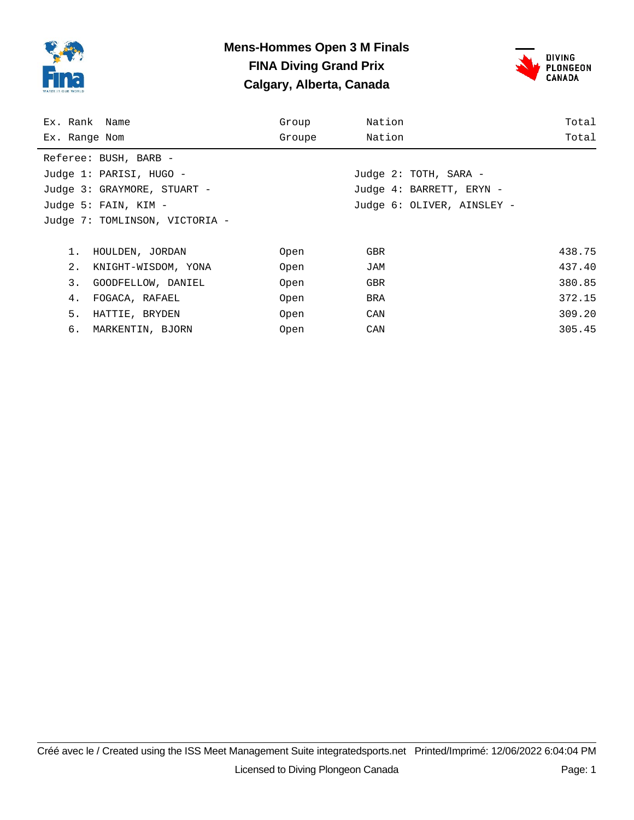

### **Mens-Hommes Open 3 M Finals FINA Diving Grand Prix Calgary, Alberta, Canada**



| Ex. Rank Name                  | Group  | Nation                     | Total  |
|--------------------------------|--------|----------------------------|--------|
| Ex. Range Nom                  | Groupe | Nation                     | Total  |
| Referee: BUSH, BARB -          |        |                            |        |
| Judge 1: PARISI, HUGO -        |        | Judge 2: TOTH, SARA -      |        |
| Judge 3: GRAYMORE, STUART -    |        | Judge 4: BARRETT, ERYN -   |        |
| Judge 5: FAIN, KIM -           |        | Judge 6: OLIVER, AINSLEY - |        |
| Judge 7: TOMLINSON, VICTORIA - |        |                            |        |
|                                |        |                            |        |
| HOULDEN, JORDAN<br>1.          | Open   | GBR                        | 438.75 |
| 2.<br>KNIGHT-WISDOM, YONA      | Open   | JAM                        | 437.40 |
| 3.<br>GOODFELLOW, DANIEL       | Open   | <b>GBR</b>                 | 380.85 |
| FOGACA, RAFAEL<br>4.           | Open   | BRA                        | 372.15 |
| 5.<br>HATTIE, BRYDEN           | Open   | CAN                        | 309.20 |
| б.<br>MARKENTIN, BJORN         | Open   | CAN                        | 305.45 |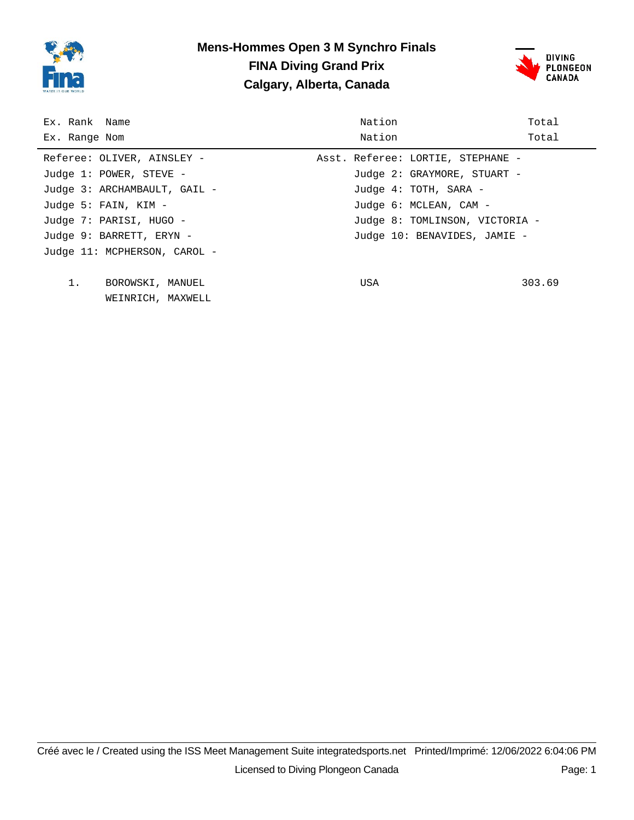

### **Mens-Hommes Open 3 M Synchro Finals FINA Diving Grand Prix Calgary, Alberta, Canada**



| Ex. Rank Name                | Nation                            | Total  |
|------------------------------|-----------------------------------|--------|
| Ex. Range Nom                | Nation                            | Total  |
| Referee: OLIVER, AINSLEY -   | Asst. Referee: LORTIE, STEPHANE - |        |
| Judge 1: POWER, STEVE -      | Judge 2: GRAYMORE, STUART -       |        |
| Judge 3: ARCHAMBAULT, GAIL - | Judge 4: TOTH, SARA -             |        |
| Judge 5: FAIN, KIM -         | Judge 6: MCLEAN, CAM -            |        |
| Judge 7: PARISI, HUGO -      | Judge 8: TOMLINSON, VICTORIA -    |        |
| Judge 9: BARRETT, ERYN -     | Judge 10: BENAVIDES, JAMIE -      |        |
| Judge 11: MCPHERSON, CAROL - |                                   |        |
|                              |                                   |        |
| 1.<br>BOROWSKI, MANUEL       | USA                               | 303.69 |
| WEINRICH, MAXWELL            |                                   |        |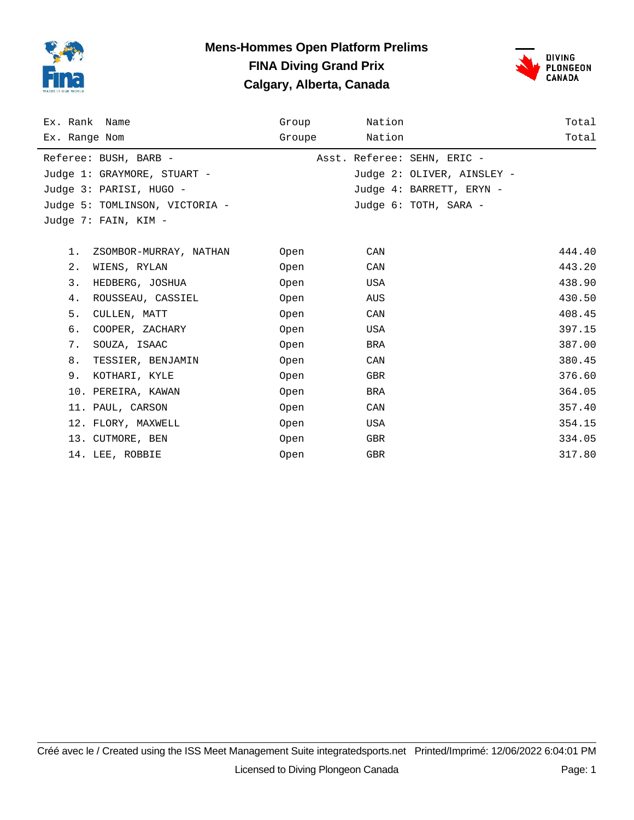

### **Mens-Hommes Open Platform Prelims FINA Diving Grand Prix Calgary, Alberta, Canada**



| Ex. Rank Name               |                                | Group  | Nation |                             | Total  |
|-----------------------------|--------------------------------|--------|--------|-----------------------------|--------|
| Ex. Range Nom               |                                | Groupe | Nation |                             | Total  |
| Referee: BUSH, BARB -       |                                |        |        | Asst. Referee: SEHN, ERIC - |        |
| Judge 1: GRAYMORE, STUART - |                                |        |        | Judge 2: OLIVER, AINSLEY -  |        |
| Judge 3: PARISI, HUGO -     |                                |        |        | Judge 4: BARRETT, ERYN -    |        |
|                             | Judge 5: TOMLINSON, VICTORIA - |        |        | Judge 6: TOTH, SARA -       |        |
| Judge 7: FAIN, KIM -        |                                |        |        |                             |        |
|                             |                                |        |        |                             |        |
| 1.                          | ZSOMBOR-MURRAY, NATHAN         | Open   | CAN    |                             | 444.40 |
| $2$ .<br>WIENS, RYLAN       |                                | Open   | CAN    |                             | 443.20 |
| 3.                          | HEDBERG, JOSHUA                | Open   | USA    |                             | 438.90 |
| 4.                          | ROUSSEAU, CASSIEL              | Open   | AUS    |                             | 430.50 |
| 5.<br>CULLEN, MATT          |                                | Open   | CAN    |                             | 408.45 |
| б.                          | COOPER, ZACHARY                | Open   | USA    |                             | 397.15 |
| 7.<br>SOUZA, ISAAC          |                                | Open   | BRA    |                             | 387.00 |
| 8.                          | TESSIER, BENJAMIN              | Open   | CAN    |                             | 380.45 |
| 9.                          | KOTHARI, KYLE                  | Open   | GBR    |                             | 376.60 |
| 10. PEREIRA, KAWAN          |                                | Open   | BRA    |                             | 364.05 |
| 11. PAUL, CARSON            |                                | Open   | CAN    |                             | 357.40 |
| 12. FLORY, MAXWELL          |                                | Open   | USA    |                             | 354.15 |
| 13. CUTMORE, BEN            |                                | Open   | GBR    |                             | 334.05 |
| 14. LEE, ROBBIE             |                                | Open   | GBR    |                             | 317.80 |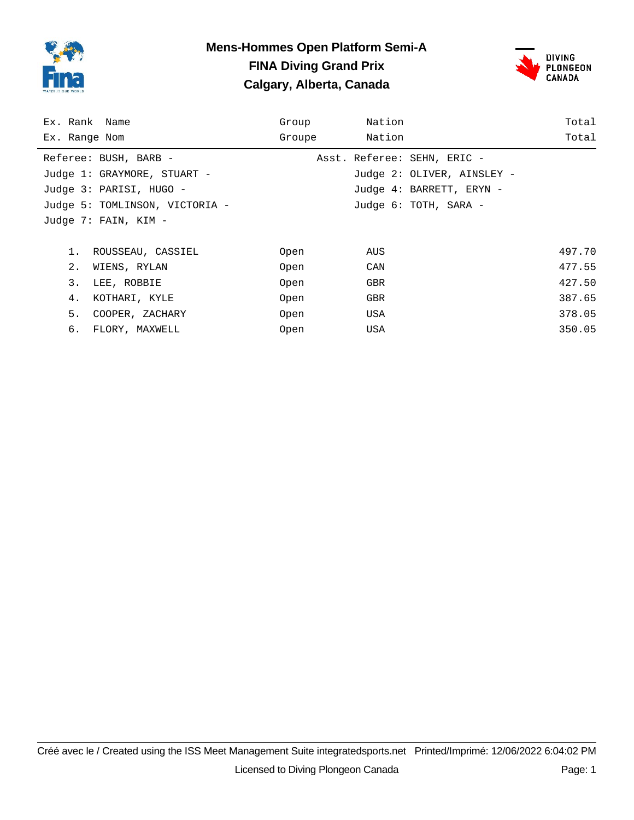

### **Mens-Hommes Open Platform Semi-A FINA Diving Grand Prix Calgary, Alberta, Canada**



| Ex. Rank Name                  | Group  | Nation                      | Total  |
|--------------------------------|--------|-----------------------------|--------|
| Ex. Range Nom                  | Groupe | Nation                      | Total  |
| Referee: BUSH, BARB -          |        | Asst. Referee: SEHN, ERIC - |        |
| Judge 1: GRAYMORE, STUART -    |        | Judge 2: OLIVER, AINSLEY -  |        |
| Judge 3: PARISI, HUGO -        |        | Judge 4: BARRETT, ERYN -    |        |
| Judge 5: TOMLINSON, VICTORIA - |        | Judge 6: TOTH, SARA -       |        |
| Judge 7: FAIN, KIM -           |        |                             |        |
|                                |        |                             |        |
| ROUSSEAU, CASSIEL<br>1.        | Open   | AUS                         | 497.70 |
| 2.<br>WIENS, RYLAN             | Open   | CAN                         | 477.55 |
| 3.<br>LEE, ROBBIE              | Open   | GBR                         | 427.50 |
| 4.<br>KOTHARI, KYLE            | Open   | <b>GBR</b>                  | 387.65 |
| 5.<br>COOPER, ZACHARY          | Open   | USA                         | 378.05 |
| 6. FLORY, MAXWELL              | Open   | USA                         | 350.05 |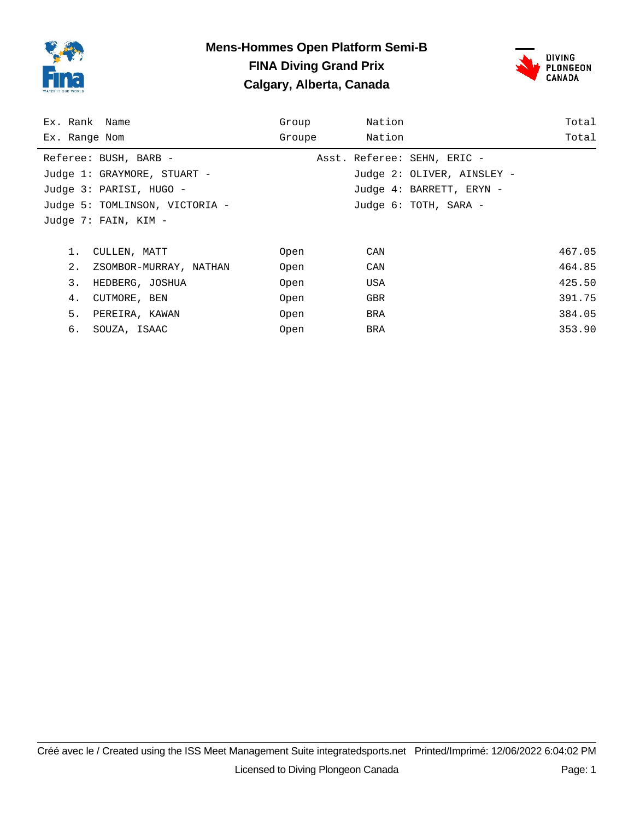

#### **Mens-Hommes Open Platform Semi-B FINA Diving Grand Prix Calgary, Alberta, Canada**



| Ex. Rank Name |                                | Group  | Nation |                             | Total  |
|---------------|--------------------------------|--------|--------|-----------------------------|--------|
| Ex. Range Nom |                                | Groupe | Nation |                             | Total  |
|               | Referee: BUSH, BARB -          |        |        | Asst. Referee: SEHN, ERIC - |        |
|               | Judge 1: GRAYMORE, STUART -    |        |        | Judge 2: OLIVER, AINSLEY -  |        |
|               | Judge 3: PARISI, HUGO -        |        |        | Judge 4: BARRETT, ERYN -    |        |
|               | Judge 5: TOMLINSON, VICTORIA - |        |        | Judge 6: TOTH, SARA -       |        |
|               | Judge 7: FAIN, KIM -           |        |        |                             |        |
|               |                                |        |        |                             |        |
| 1.            | CULLEN, MATT                   | Open   | CAN    |                             | 467.05 |
| 2.            | ZSOMBOR-MURRAY, NATHAN         | Open   | CAN    |                             | 464.85 |
| 3.            | HEDBERG, JOSHUA                | Open   | USA    |                             | 425.50 |
| 4.            | CUTMORE, BEN                   | Open   | GBR    |                             | 391.75 |
| 5.            | PEREIRA, KAWAN                 | Open   | BRA    |                             | 384.05 |
| б.            | SOUZA, ISAAC                   | Open   | BRA    |                             | 353.90 |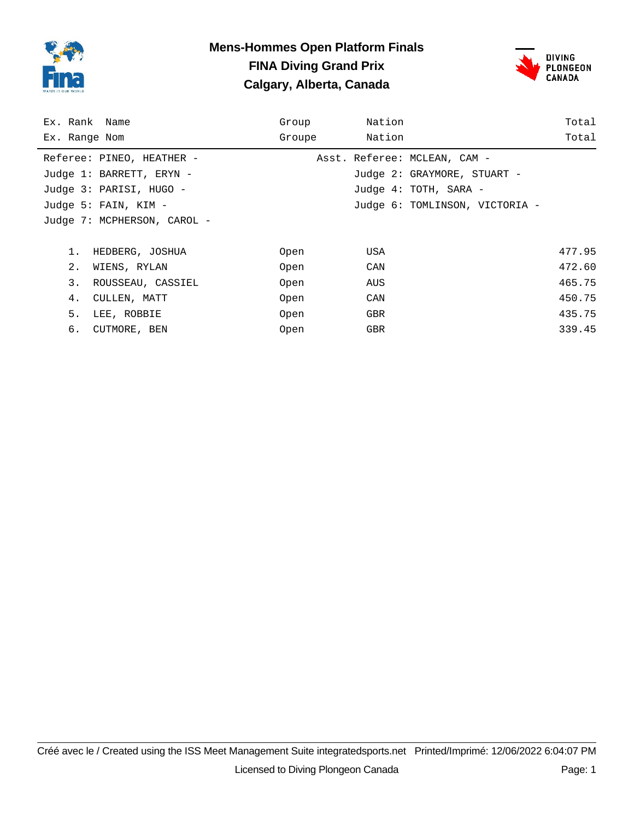

#### **Mens-Hommes Open Platform Finals FINA Diving Grand Prix Calgary, Alberta, Canada**



| Ex. Rank Name               | Group  | Nation                         | Total  |
|-----------------------------|--------|--------------------------------|--------|
| Ex. Range Nom               | Groupe | Nation                         | Total  |
| Referee: PINEO, HEATHER -   |        | Asst. Referee: MCLEAN, CAM -   |        |
| Judge 1: BARRETT, ERYN -    |        | Judge 2: GRAYMORE, STUART -    |        |
| Judge 3: PARISI, HUGO -     |        | Judge 4: TOTH, SARA -          |        |
| Judge 5: FAIN, KIM -        |        | Judge 6: TOMLINSON, VICTORIA - |        |
| Judge 7: MCPHERSON, CAROL - |        |                                |        |
|                             |        |                                |        |
| HEDBERG, JOSHUA<br>1.       | Open   | USA                            | 477.95 |
| 2.<br>WIENS, RYLAN          | Open   | CAN                            | 472.60 |
| 3.<br>ROUSSEAU, CASSIEL     | Open   | AUS                            | 465.75 |
| CULLEN, MATT<br>4.          | Open   | CAN                            | 450.75 |
| 5.<br>LEE, ROBBIE           | Open   | <b>GBR</b>                     | 435.75 |
| б.<br>CUTMORE, BEN          | Open   | GBR                            | 339.45 |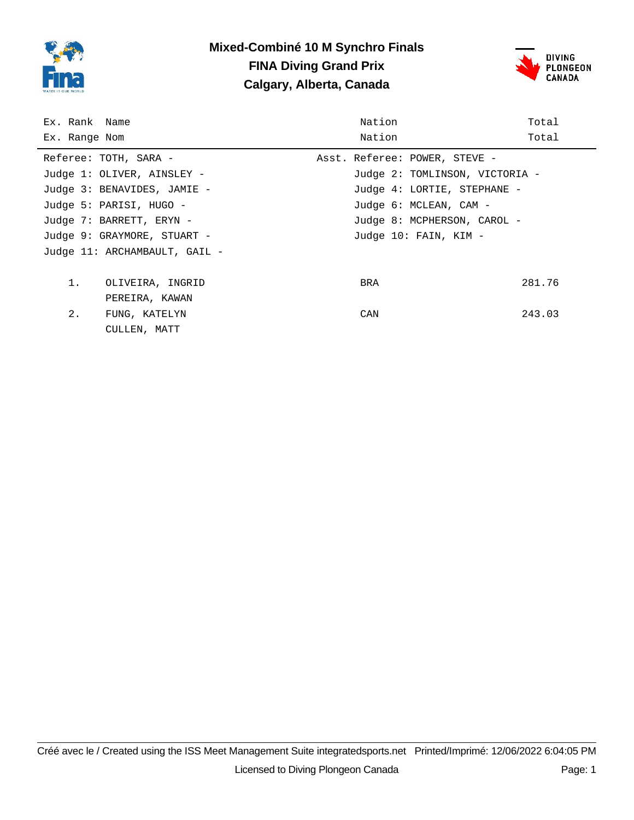

## **Mixed-Combiné 10 M Synchro Finals FINA Diving Grand Prix Calgary, Alberta, Canada**



| Ex. Rank Name         |                               | Nation                         | Total  |
|-----------------------|-------------------------------|--------------------------------|--------|
| Ex. Range Nom         |                               | Nation                         | Total  |
| Referee: TOTH, SARA - |                               | Asst. Referee: POWER, STEVE -  |        |
|                       | Judge 1: OLIVER, AINSLEY -    | Judge 2: TOMLINSON, VICTORIA - |        |
|                       | Judge 3: BENAVIDES, JAMIE -   | Judge 4: LORTIE, STEPHANE -    |        |
|                       | Judge 5: PARISI, HUGO -       | Judge 6: MCLEAN, CAM -         |        |
|                       | Judge 7: BARRETT, ERYN -      | Judge 8: MCPHERSON, CAROL -    |        |
|                       | Judge 9: GRAYMORE, STUART -   | Judge 10: FAIN, KIM -          |        |
|                       | Judge 11: ARCHAMBAULT, GAIL - |                                |        |
|                       |                               |                                |        |
| 1.                    | OLIVEIRA, INGRID              | BRA                            | 281.76 |
|                       | PEREIRA, KAWAN                |                                |        |
| 2.                    | FUNG, KATELYN                 | CAN                            | 243.03 |
|                       | CULLEN, MATT                  |                                |        |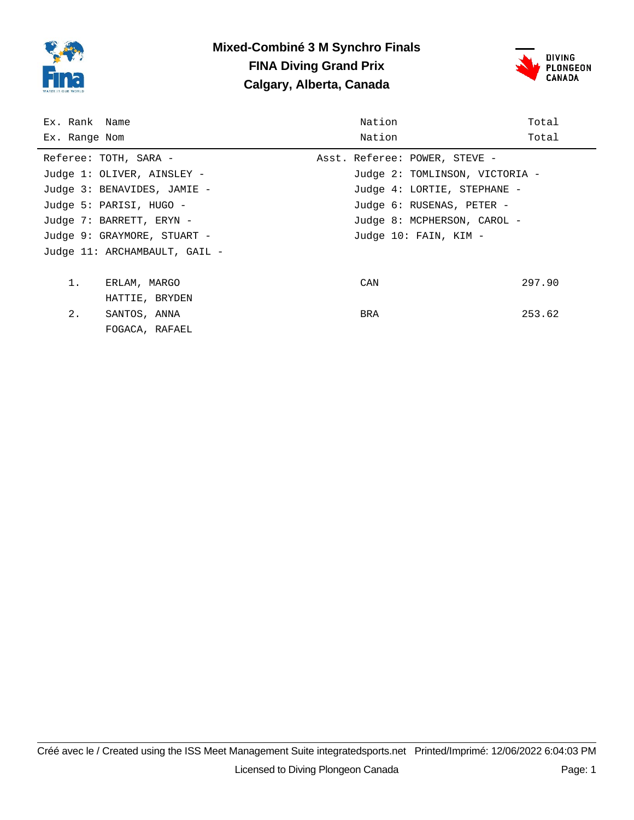

# **Mixed-Combiné 3 M Synchro Finals FINA Diving Grand Prix Calgary, Alberta, Canada**



| Ex. Rank Name |                               | Nation                         | Total  |
|---------------|-------------------------------|--------------------------------|--------|
| Ex. Range Nom |                               | Nation                         | Total  |
|               | Referee: TOTH, SARA -         | Asst. Referee: POWER, STEVE -  |        |
|               | Judge 1: OLIVER, AINSLEY -    | Judge 2: TOMLINSON, VICTORIA - |        |
|               | Judge 3: BENAVIDES, JAMIE -   | Judge 4: LORTIE, STEPHANE -    |        |
|               | Judge 5: PARISI, HUGO -       | Judge 6: RUSENAS, PETER -      |        |
|               | Judge 7: BARRETT, ERYN -      | Judge 8: MCPHERSON, CAROL -    |        |
|               | Judge 9: GRAYMORE, STUART -   | Judge 10: FAIN, KIM -          |        |
|               | Judge 11: ARCHAMBAULT, GAIL - |                                |        |
|               |                               |                                |        |
| 1.            | ERLAM, MARGO                  | CAN                            | 297.90 |
|               | HATTIE, BRYDEN                |                                |        |
| 2.            | SANTOS, ANNA                  | <b>BRA</b>                     | 253.62 |
|               | FOGACA, RAFAEL                |                                |        |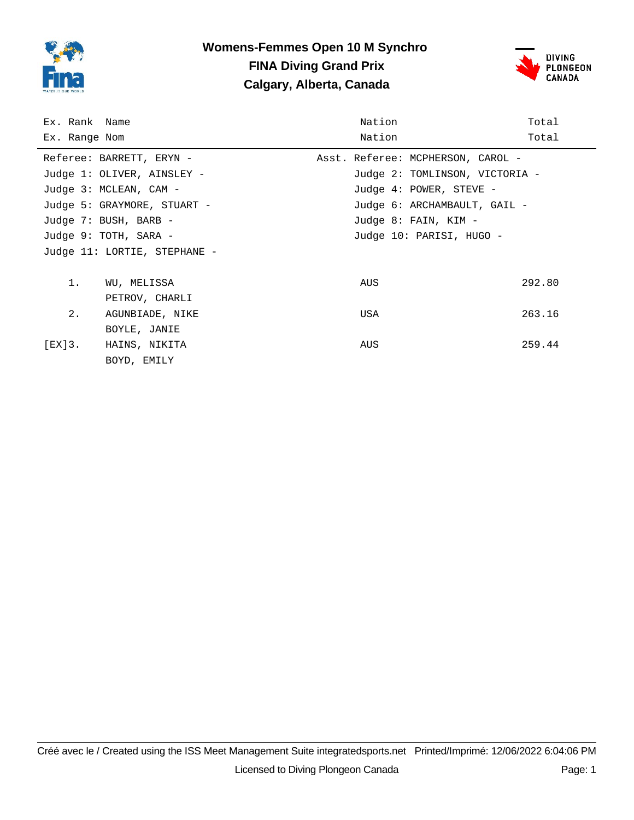

# **Womens-Femmes Open 10 M Synchro FINA Diving Grand Prix Calgary, Alberta, Canada**



| Ex. Rank Name |                              | Nation                            | Total  |
|---------------|------------------------------|-----------------------------------|--------|
| Ex. Range Nom |                              | Nation                            | Total  |
|               | Referee: BARRETT, ERYN -     | Asst. Referee: MCPHERSON, CAROL - |        |
|               | Judge 1: OLIVER, AINSLEY -   | Judge 2: TOMLINSON, VICTORIA -    |        |
|               | Judge 3: MCLEAN, CAM -       | Judge 4: POWER, STEVE -           |        |
|               | Judge 5: GRAYMORE, STUART -  | Judge 6: ARCHAMBAULT, GAIL -      |        |
|               | Judge 7: BUSH, BARB -        | Judge 8: FAIN, KIM -              |        |
|               | Judge 9: TOTH, SARA -        | Judge 10: PARISI, HUGO -          |        |
|               | Judge 11: LORTIE, STEPHANE - |                                   |        |
|               |                              |                                   |        |
| 1.            | WU, MELISSA                  | AUS                               | 292.80 |
|               | PETROV, CHARLI               |                                   |        |
| 2.            | AGUNBIADE, NIKE              | USA                               | 263.16 |
|               | BOYLE, JANIE                 |                                   |        |
| [EX]3.        | HAINS, NIKITA                | AUS                               | 259.44 |
|               | BOYD, EMILY                  |                                   |        |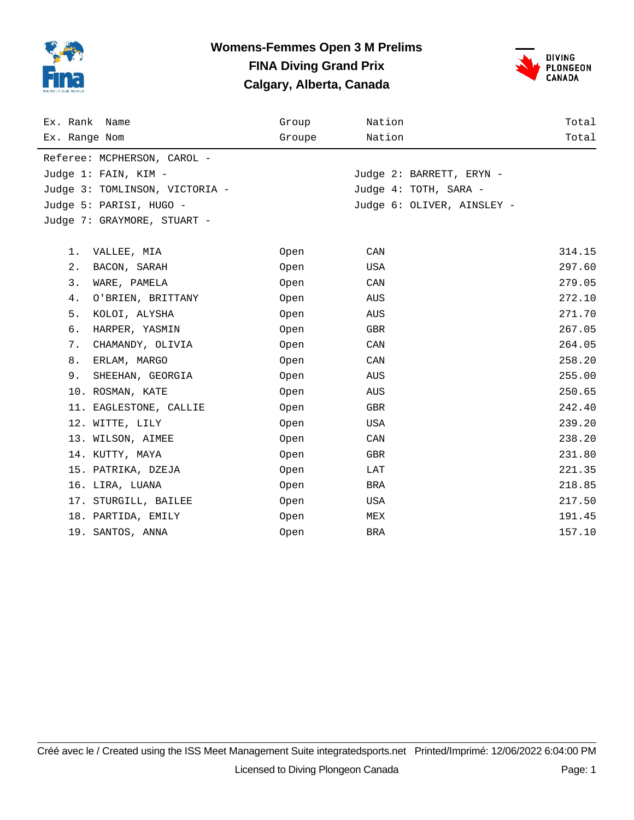

## **Womens-Femmes Open 3 M Prelims FINA Diving Grand Prix Calgary, Alberta, Canada**



| Ex. Rank Name                  | Group  | Nation                     | Total  |
|--------------------------------|--------|----------------------------|--------|
| Ex. Range Nom                  | Groupe | Nation                     | Total  |
| Referee: MCPHERSON, CAROL -    |        |                            |        |
| Judge 1: FAIN, KIM -           |        | Judge 2: BARRETT, ERYN -   |        |
| Judge 3: TOMLINSON, VICTORIA - |        | Judge 4: TOTH, SARA -      |        |
| Judge 5: PARISI, HUGO -        |        | Judge 6: OLIVER, AINSLEY - |        |
| Judge 7: GRAYMORE, STUART -    |        |                            |        |
|                                |        |                            |        |
| 1.<br>VALLEE, MIA              | Open   | CAN                        | 314.15 |
| $2$ .<br>BACON, SARAH          | Open   | USA                        | 297.60 |
| 3.<br>WARE, PAMELA             | Open   | CAN                        | 279.05 |
| 4.<br>O'BRIEN, BRITTANY        | Open   | AUS                        | 272.10 |
| 5.<br>KOLOI, ALYSHA            | Open   | AUS                        | 271.70 |
| б.<br>HARPER, YASMIN           | Open   | GBR                        | 267.05 |
| 7.<br>CHAMANDY, OLIVIA         | Open   | CAN                        | 264.05 |
| 8.<br>ERLAM, MARGO             | Open   | CAN                        | 258.20 |
| 9.<br>SHEEHAN, GEORGIA         | Open   | AUS                        | 255.00 |
| 10. ROSMAN, KATE               | Open   | AUS                        | 250.65 |
| 11. EAGLESTONE, CALLIE         | Open   | GBR                        | 242.40 |
| 12. WITTE, LILY                | Open   | USA                        | 239.20 |
| 13. WILSON, AIMEE              | Open   | CAN                        | 238.20 |
| 14. KUTTY, MAYA                | Open   | GBR                        | 231.80 |
| 15. PATRIKA, DZEJA             | Open   | LAT                        | 221.35 |
| 16. LIRA, LUANA                | Open   | BRA                        | 218.85 |
| 17. STURGILL, BAILEE           | Open   | USA                        | 217.50 |
| 18. PARTIDA, EMILY             | Open   | MEX                        | 191.45 |
| 19. SANTOS, ANNA               | Open   | BRA                        | 157.10 |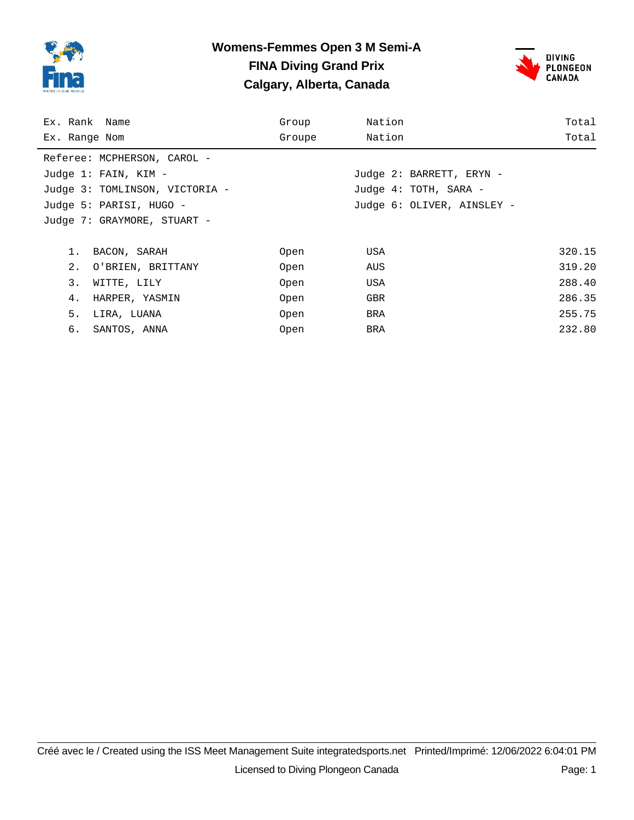

## **Womens-Femmes Open 3 M Semi-A FINA Diving Grand Prix Calgary, Alberta, Canada**



| Ex. Rank Name                  | Group  | Nation                     | Total  |
|--------------------------------|--------|----------------------------|--------|
| Ex. Range Nom                  | Groupe | Nation                     | Total  |
| Referee: MCPHERSON, CAROL -    |        |                            |        |
| Judge 1: FAIN, KIM -           |        | Judge 2: BARRETT, ERYN -   |        |
| Judge 3: TOMLINSON, VICTORIA - |        | Judge 4: TOTH, SARA -      |        |
| Judge 5: PARISI, HUGO -        |        | Judge 6: OLIVER, AINSLEY - |        |
| Judge 7: GRAYMORE, STUART -    |        |                            |        |
|                                |        |                            |        |
| 1.<br>BACON, SARAH             | Open   | USA                        | 320.15 |
| 2.<br>O'BRIEN, BRITTANY        | Open   | AUS                        | 319.20 |
| 3.<br>WITTE, LILY              | Open   | USA                        | 288.40 |
| 4.<br>HARPER, YASMIN           | Open   | <b>GBR</b>                 | 286.35 |
| 5.<br>LIRA, LUANA              | Open   | BRA                        | 255.75 |
| б.<br>SANTOS, ANNA             | Open   | BRA                        | 232.80 |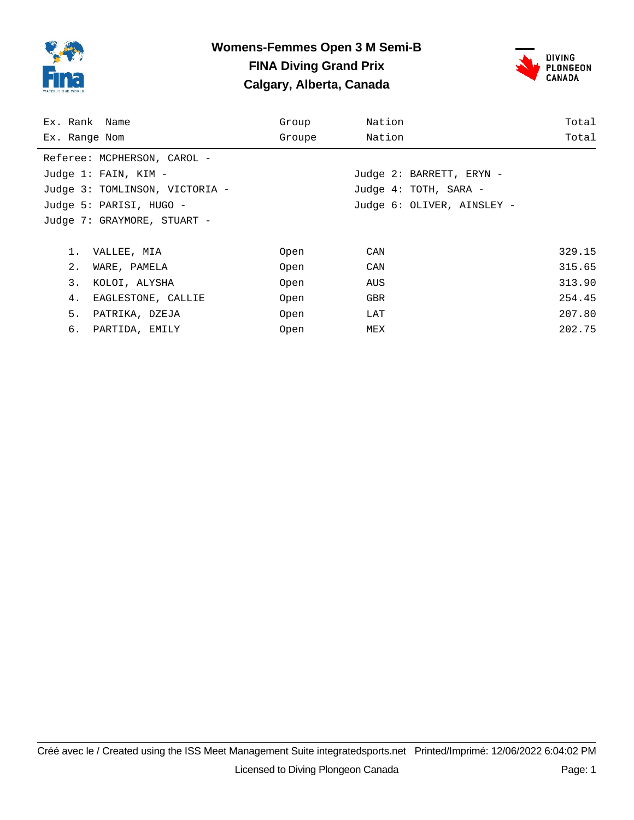

## **Womens-Femmes Open 3 M Semi-B FINA Diving Grand Prix Calgary, Alberta, Canada**



| Ex. Rank Name                  | Group  | Nation                     | Total  |
|--------------------------------|--------|----------------------------|--------|
| Ex. Range Nom                  | Groupe | Nation                     | Total  |
| Referee: MCPHERSON, CAROL -    |        |                            |        |
| Judge 1: FAIN, KIM -           |        | Judge 2: BARRETT, ERYN -   |        |
| Judge 3: TOMLINSON, VICTORIA - |        | Judge 4: TOTH, SARA -      |        |
| Judge 5: PARISI, HUGO -        |        | Judge 6: OLIVER, AINSLEY - |        |
| Judge 7: GRAYMORE, STUART -    |        |                            |        |
|                                |        |                            |        |
| 1.<br>VALLEE, MIA              | Open   | CAN                        | 329.15 |
| 2.<br>WARE, PAMELA             | Open   | CAN                        | 315.65 |
| 3.<br>KOLOI, ALYSHA            | Open   | AUS                        | 313.90 |
| EAGLESTONE, CALLIE<br>4.       | Open   | <b>GBR</b>                 | 254.45 |
| 5.<br>PATRIKA, DZEJA           | Open   | LAT                        | 207.80 |
| 6. PARTIDA, EMILY              | Open   | MEX                        | 202.75 |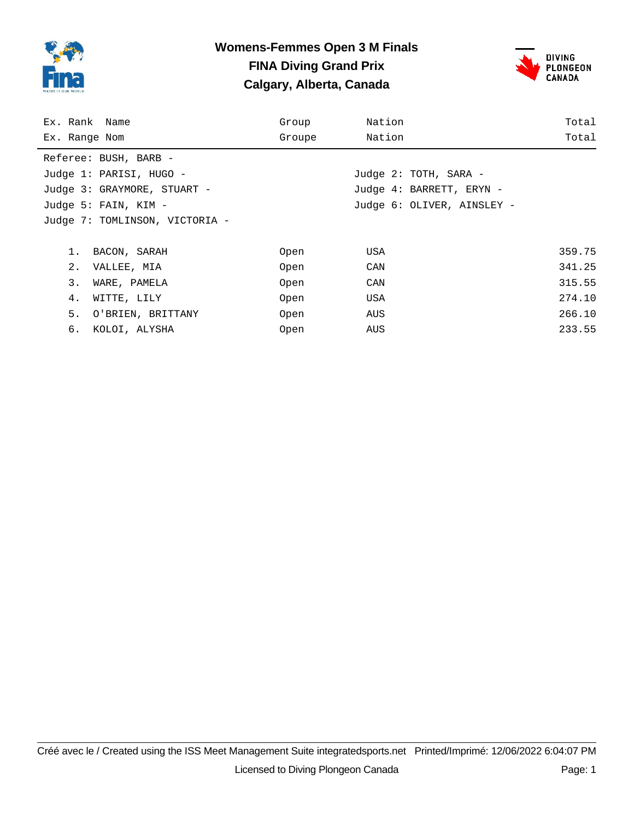

#### **Womens-Femmes Open 3 M Finals FINA Diving Grand Prix Calgary, Alberta, Canada**



| Ex. Rank Name                  | Group  | Nation                     | Total  |
|--------------------------------|--------|----------------------------|--------|
| Ex. Range Nom                  | Groupe | Nation                     | Total  |
| Referee: BUSH, BARB -          |        |                            |        |
| Judge 1: PARISI, HUGO -        |        | Judge 2: TOTH, SARA -      |        |
| Judge 3: GRAYMORE, STUART -    |        | Judge 4: BARRETT, ERYN -   |        |
| Judge 5: FAIN, KIM -           |        | Judge 6: OLIVER, AINSLEY - |        |
| Judge 7: TOMLINSON, VICTORIA - |        |                            |        |
|                                |        |                            |        |
| 1.<br>BACON, SARAH             | Open   | USA                        | 359.75 |
| 2.<br>VALLEE, MIA              | Open   | CAN                        | 341.25 |
| 3.<br>WARE, PAMELA             | Open   | CAN                        | 315.55 |
| WITTE, LILY<br>4.              | Open   | USA                        | 274.10 |
| 5.<br>O'BRIEN, BRITTANY        | Open   | AUS                        | 266.10 |
| б.<br>KOLOI, ALYSHA            | Open   | AUS                        | 233.55 |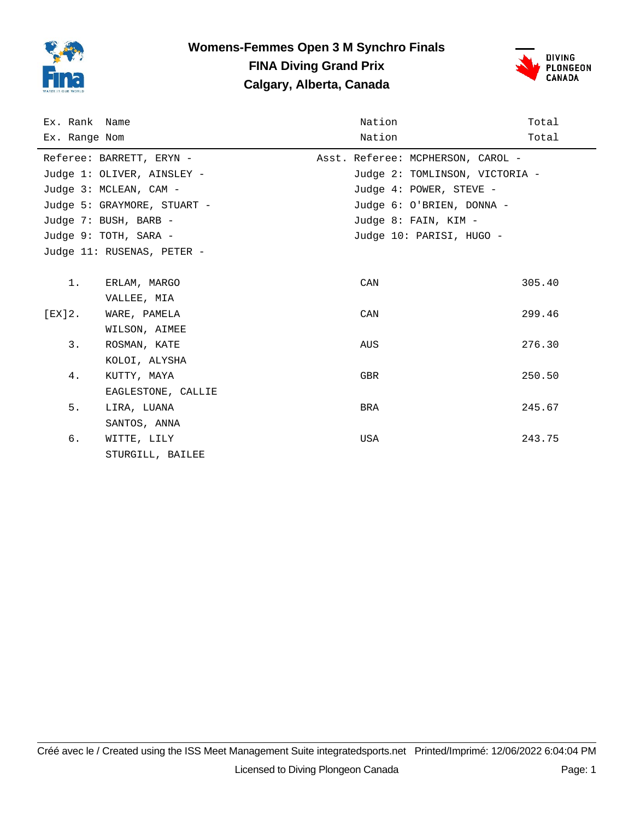

# **Womens-Femmes Open 3 M Synchro Finals FINA Diving Grand Prix Calgary, Alberta, Canada**



| Ex. Rank Name |                             | Nation                            | Total  |
|---------------|-----------------------------|-----------------------------------|--------|
| Ex. Range Nom |                             | Nation                            | Total  |
|               | Referee: BARRETT, ERYN -    | Asst. Referee: MCPHERSON, CAROL - |        |
|               | Judge 1: OLIVER, AINSLEY -  | Judge 2: TOMLINSON, VICTORIA -    |        |
|               | Judge 3: MCLEAN, CAM -      | Judge 4: POWER, STEVE -           |        |
|               | Judge 5: GRAYMORE, STUART - | Judge 6: O'BRIEN, DONNA -         |        |
|               | Judge 7: BUSH, BARB -       | Judge 8: FAIN, KIM -              |        |
|               | Judge 9: TOTH, SARA -       | Judge 10: PARISI, HUGO -          |        |
|               | Judge 11: RUSENAS, PETER -  |                                   |        |
|               |                             |                                   |        |
| $1$ .         | ERLAM, MARGO                | CAN                               | 305.40 |
|               | VALLEE, MIA                 |                                   |        |
| [EX]2.        | WARE, PAMELA                | CAN                               | 299.46 |
|               | WILSON, AIMEE               |                                   |        |
| 3.            | ROSMAN, KATE                | AUS                               | 276.30 |
|               | KOLOI, ALYSHA               |                                   |        |
| 4.            | KUTTY, MAYA                 | <b>GBR</b>                        | 250.50 |
|               | EAGLESTONE, CALLIE          |                                   |        |
| 5.            | LIRA, LUANA                 | BRA                               | 245.67 |
|               | SANTOS, ANNA                |                                   |        |
| б.            | WITTE, LILY                 | USA                               | 243.75 |
|               | STURGILL, BAILEE            |                                   |        |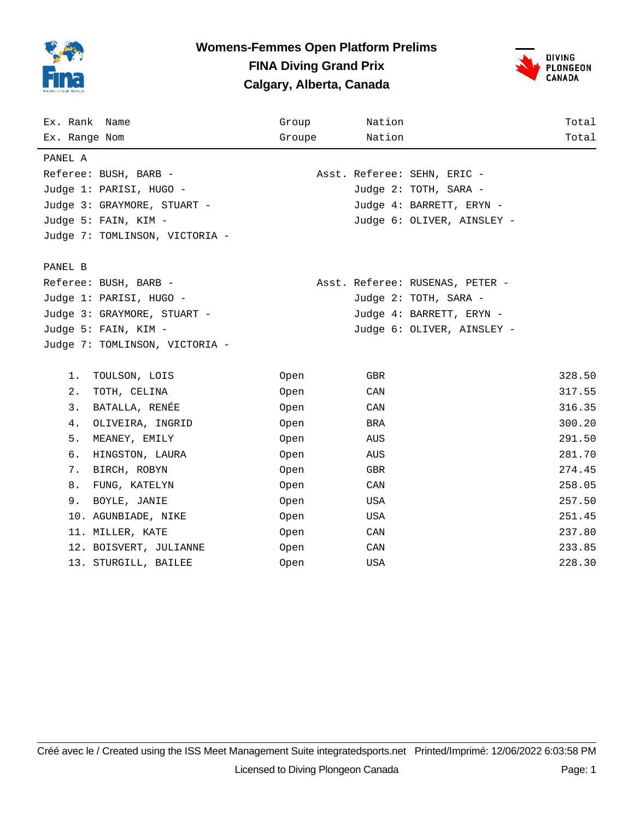

#### **Womens-Femmes Open Platform Prelims FINA Diving Grand Prix Calgary, Alberta, Canada**



| Ex. Rank Name                  | Group       | Nation                          | Total  |
|--------------------------------|-------------|---------------------------------|--------|
| Ex. Range Nom                  | Groupe      | Nation                          | Total  |
| PANEL A                        |             |                                 |        |
| Referee: BUSH, BARB -          |             | Asst. Referee: SEHN, ERIC -     |        |
| Judge 1: PARISI, HUGO -        |             | Judge 2: TOTH, SARA -           |        |
| Judge 3: GRAYMORE, STUART -    |             | Judge 4: BARRETT, ERYN -        |        |
| Judge 5: FAIN, KIM -           |             | Judge 6: OLIVER, AINSLEY -      |        |
| Judge 7: TOMLINSON, VICTORIA - |             |                                 |        |
| PANEL B                        |             |                                 |        |
| Referee: BUSH, BARB -          |             | Asst. Referee: RUSENAS, PETER - |        |
| Judge 1: PARISI, HUGO -        |             | Judge 2: TOTH, SARA -           |        |
| Judge 3: GRAYMORE, STUART -    |             | Judge 4: BARRETT, ERYN -        |        |
| Judge 5: FAIN, KIM -           |             | Judge 6: OLIVER, AINSLEY -      |        |
| Judge 7: TOMLINSON, VICTORIA - |             |                                 |        |
| TOULSON, LOIS<br>1.            | Open        | GBR                             | 328.50 |
| 2.<br>TOTH, CELINA             | Open        | CAN                             | 317.55 |
| BATALLA, RENÉE<br>3.           | Open        | CAN                             | 316.35 |
| 4.<br>OLIVEIRA, INGRID         | Open        | BRA                             | 300.20 |
| 5.<br>MEANEY, EMILY            | Open        | AUS                             | 291.50 |
| б.<br>HINGSTON, LAURA          | Open        | AUS                             | 281.70 |
| 7.<br>BIRCH, ROBYN             | Open        | GBR                             | 274.45 |
| 8.<br>FUNG, KATELYN            | Open        | CAN                             | 258.05 |
| 9.<br>BOYLE, JANIE             | Open        | USA                             | 257.50 |
| 10. AGUNBIADE, NIKE            | Open        | USA                             | 251.45 |
| 11. MILLER, KATE               | Open        | CAN                             | 237.80 |
| 12. BOISVERT, JULIANNE         | Open        | CAN                             | 233.85 |
| 13. STURGILL, BAILEE           | <b>Open</b> | USA                             | 228.30 |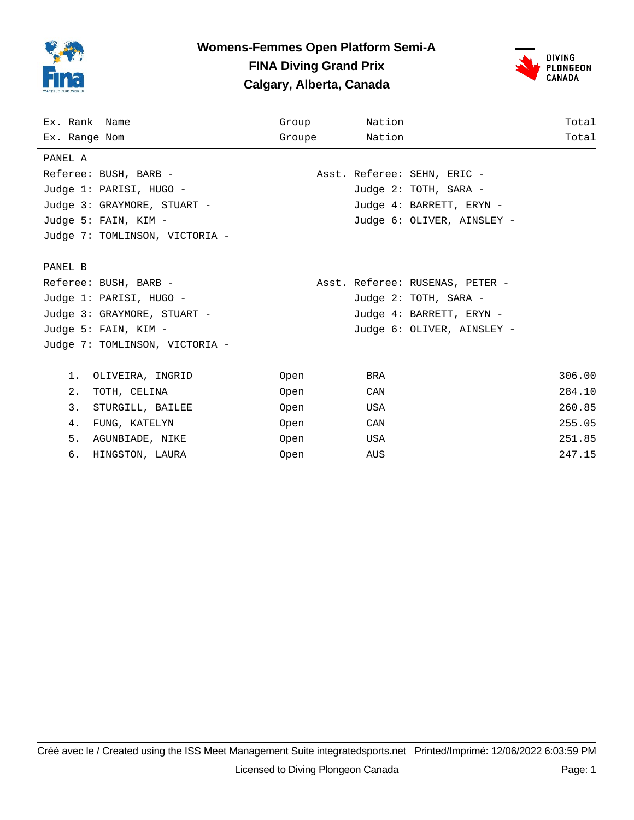

## **Womens-Femmes Open Platform Semi-A FINA Diving Grand Prix Calgary, Alberta, Canada**



| Ex. Rank Name                  | Group       | Nation                          | Total  |
|--------------------------------|-------------|---------------------------------|--------|
| Ex. Range Nom                  | Groupe      | Nation                          | Total  |
| PANEL A                        |             |                                 |        |
| Referee: BUSH, BARB -          |             | Asst. Referee: SEHN, ERIC -     |        |
| Judge 1: PARISI, HUGO -        |             | Judge 2: TOTH, SARA -           |        |
| Judge 3: GRAYMORE, STUART -    |             | Judge 4: BARRETT, ERYN -        |        |
| Judge 5: FAIN, KIM -           |             | Judge 6: OLIVER, AINSLEY -      |        |
| Judge 7: TOMLINSON, VICTORIA - |             |                                 |        |
|                                |             |                                 |        |
| PANEL B                        |             |                                 |        |
| Referee: BUSH, BARB -          |             | Asst. Referee: RUSENAS, PETER - |        |
| Judge 1: PARISI, HUGO -        |             | Judge 2: TOTH, SARA -           |        |
| Judge 3: GRAYMORE, STUART -    |             | Judge 4: BARRETT, ERYN -        |        |
| Judge 5: FAIN, KIM -           |             | Judge 6: OLIVER, AINSLEY -      |        |
| Judge 7: TOMLINSON, VICTORIA - |             |                                 |        |
| $1$ .                          |             | BRA                             | 306.00 |
| OLIVEIRA, INGRID               | Open        |                                 |        |
| 2.<br>TOTH, CELINA             | Open        | CAN                             | 284.10 |
| 3.<br>STURGILL, BAILEE         | Open        | USA                             | 260.85 |
| 4.<br>FUNG, KATELYN            | Open        | CAN                             | 255.05 |
| 5.<br>AGUNBIADE, NIKE          | Open        | USA                             | 251.85 |
| б.<br>HINGSTON, LAURA          | <b>Open</b> | AUS                             | 247.15 |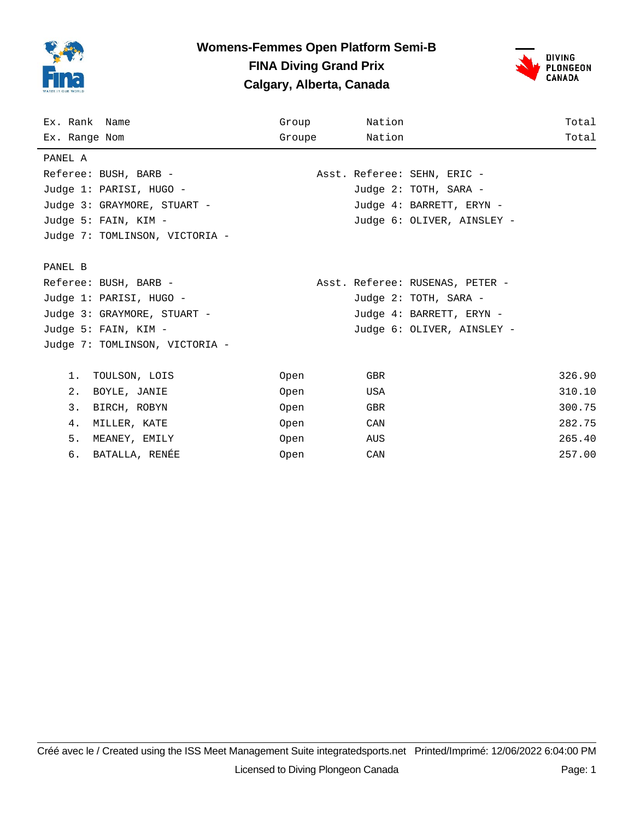

## **Womens-Femmes Open Platform Semi-B FINA Diving Grand Prix Calgary, Alberta, Canada**



| Ex. Rank Name                  | Group  | Nation                          | Total  |
|--------------------------------|--------|---------------------------------|--------|
| Ex. Range Nom                  | Groupe | Nation                          | Total  |
| PANEL A                        |        |                                 |        |
| Referee: BUSH, BARB -          |        | Asst. Referee: SEHN, ERIC -     |        |
| Judge 1: PARISI, HUGO -        |        | Judge 2: TOTH, SARA -           |        |
| Judge 3: GRAYMORE, STUART -    |        | Judge 4: BARRETT, ERYN -        |        |
| Judge 5: FAIN, KIM -           |        | Judge 6: OLIVER, AINSLEY -      |        |
| Judge 7: TOMLINSON, VICTORIA - |        |                                 |        |
|                                |        |                                 |        |
| PANEL B                        |        |                                 |        |
| Referee: BUSH, BARB -          |        | Asst. Referee: RUSENAS, PETER - |        |
| Judge 1: PARISI, HUGO -        |        | Judge 2: TOTH, SARA -           |        |
| Judge 3: GRAYMORE, STUART -    |        | Judge 4: BARRETT, ERYN -        |        |
| Judge 5: FAIN, KIM -           |        | Judge 6: OLIVER, AINSLEY -      |        |
| Judge 7: TOMLINSON, VICTORIA - |        |                                 |        |
|                                |        |                                 |        |
| $1$ .<br>TOULSON, LOIS         | Open   | GBR                             | 326.90 |
| 2.<br>BOYLE, JANIE             | Open   | USA                             | 310.10 |
| 3.<br>BIRCH, ROBYN             | Open   | GBR                             | 300.75 |
| 4.<br>MILLER, KATE             | Open   | CAN                             | 282.75 |
| 5.<br>MEANEY, EMILY            | Open   | AUS                             | 265.40 |
| BATALLA, RENÉE<br>б.           | Open   | CAN                             | 257.00 |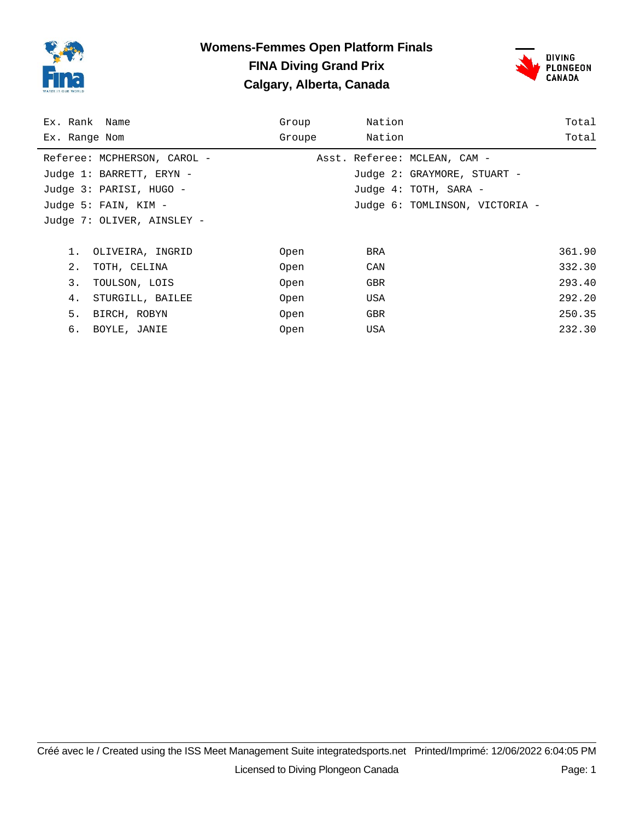

## **Womens-Femmes Open Platform Finals FINA Diving Grand Prix Calgary, Alberta, Canada**



| Ex. Rank Name               | Group  | Nation                         | Total  |
|-----------------------------|--------|--------------------------------|--------|
| Ex. Range Nom               | Groupe | Nation                         | Total  |
| Referee: MCPHERSON, CAROL - |        | Asst. Referee: MCLEAN, CAM -   |        |
| Judge 1: BARRETT, ERYN -    |        | Judge 2: GRAYMORE, STUART -    |        |
| Judge 3: PARISI, HUGO -     |        | Judge 4: TOTH, SARA -          |        |
| Judge 5: FAIN, KIM -        |        | Judge 6: TOMLINSON, VICTORIA - |        |
| Judge 7: OLIVER, AINSLEY -  |        |                                |        |
|                             |        |                                |        |
| OLIVEIRA, INGRID<br>1.      | Open   | BRA                            | 361.90 |
| 2.<br>TOTH, CELINA          | Open   | CAN                            | 332.30 |
| 3.<br>TOULSON, LOIS         | Open   | <b>GBR</b>                     | 293.40 |
| STURGILL, BAILEE<br>4.      | Open   | USA                            | 292.20 |
| 5.<br>BIRCH, ROBYN          | Open   | GBR                            | 250.35 |
| б.<br>BOYLE, JANIE          | Open   | USA                            | 232.30 |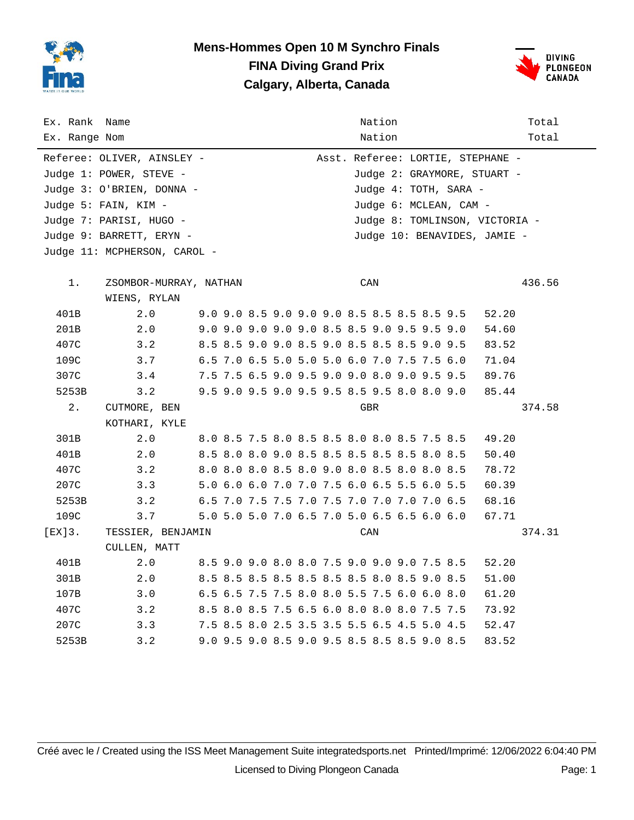

# **Mens-Hommes Open 10 M Synchro Finals FINA Diving Grand Prix Calgary, Alberta, Canada**



| Ex. Rank Name<br>Ex. Range Nom |                              |                        | Nation<br>Nation                            | Total<br>Total                 |
|--------------------------------|------------------------------|------------------------|---------------------------------------------|--------------------------------|
|                                | Referee: OLIVER, AINSLEY -   |                        | Asst. Referee: LORTIE, STEPHANE -           |                                |
|                                | Judge 1: POWER, STEVE -      |                        | Judge 2: GRAYMORE, STUART -                 |                                |
|                                | Judge 3: O'BRIEN, DONNA -    |                        | Judge 4: TOTH, SARA -                       |                                |
|                                | Judge 5: FAIN, KIM -         |                        | Judge 6: MCLEAN, CAM -                      |                                |
|                                | Judge 7: PARISI, HUGO -      |                        |                                             | Judge 8: TOMLINSON, VICTORIA - |
|                                | Judge 9: BARRETT, ERYN -     |                        | Judge 10: BENAVIDES, JAMIE -                |                                |
|                                | Judge 11: MCPHERSON, CAROL - |                        |                                             |                                |
|                                |                              |                        |                                             |                                |
| 1.                             |                              | ZSOMBOR-MURRAY, NATHAN | CAN                                         | 436.56                         |
| 401B                           | WIENS, RYLAN<br>2.0          |                        | 9.0 9.0 8.5 9.0 9.0 9.0 8.5 8.5 8.5 8.5 9.5 | 52.20                          |
| 201B                           | 2.0                          |                        | 9.0 9.0 9.0 9.0 9.0 8.5 8.5 9.0 9.5 9.5 9.0 | 54.60                          |
| 407C                           | 3.2                          |                        | 8.5 8.5 9.0 9.0 8.5 9.0 8.5 8.5 8.5 9.0 9.5 | 83.52                          |
| 109C                           | 3.7                          |                        | 6.5 7.0 6.5 5.0 5.0 5.0 6.0 7.0 7.5 7.5 6.0 | 71.04                          |
| 307C                           | 3.4                          |                        | 7.5 7.5 6.5 9.0 9.5 9.0 9.0 8.0 9.0 9.5 9.5 | 89.76                          |
| 5253B                          | 3.2                          |                        | 9.5 9.0 9.5 9.0 9.5 9.5 8.5 9.5 8.0 8.0 9.0 | 85.44                          |
| 2.                             | CUTMORE, BEN                 |                        | GBR                                         | 374.58                         |
|                                | KOTHARI, KYLE                |                        |                                             |                                |
| 301B                           | 2.0                          |                        | 8.0 8.5 7.5 8.0 8.5 8.5 8.0 8.0 8.5 7.5 8.5 | 49.20                          |
| 401B                           | 2.0                          |                        | 8.5 8.0 8.0 9.0 8.5 8.5 8.5 8.5 8.5 8.0 8.5 | 50.40                          |
| 407C                           | 3.2                          |                        | 8.0 8.0 8.0 8.5 8.0 9.0 8.0 8.5 8.0 8.0 8.5 | 78.72                          |
| 207C                           | 3.3                          |                        | 5.0 6.0 6.0 7.0 7.0 7.5 6.0 6.5 5.5 6.0 5.5 | 60.39                          |
| 5253B                          | 3.2                          |                        | 6.5 7.0 7.5 7.5 7.0 7.5 7.0 7.0 7.0 7.0 6.5 | 68.16                          |
| 109C                           | 3.7                          |                        | 5.0 5.0 5.0 7.0 6.5 7.0 5.0 6.5 6.5 6.0 6.0 | 67.71                          |
| $[EX]3$ .                      | TESSIER, BENJAMIN            |                        | CAN                                         | 374.31                         |
|                                | CULLEN, MATT                 |                        |                                             |                                |
| 401B                           | 2.0                          |                        | 8.5 9.0 9.0 8.0 8.0 7.5 9.0 9.0 9.0 7.5 8.5 | 52.20                          |
| 301B                           | 2.0                          |                        | 8.5 8.5 8.5 8.5 8.5 8.5 8.5 8.0 8.5 9.0 8.5 | 51.00                          |
| 107B                           | 3.0                          |                        | 6.5 6.5 7.5 7.5 8.0 8.0 5.5 7.5 6.0 6.0 8.0 | 61.20                          |
| 407C                           | 3.2                          |                        | 8.5 8.0 8.5 7.5 6.5 6.0 8.0 8.0 8.0 7.5 7.5 | 73.92                          |
| 207C                           | 3.3                          |                        | 7.5 8.5 8.0 2.5 3.5 3.5 5.5 6.5 4.5 5.0 4.5 | 52.47                          |
| 5253B                          | 3.2                          |                        | 9.0 9.5 9.0 8.5 9.0 9.5 8.5 8.5 8.5 9.0 8.5 | 83.52                          |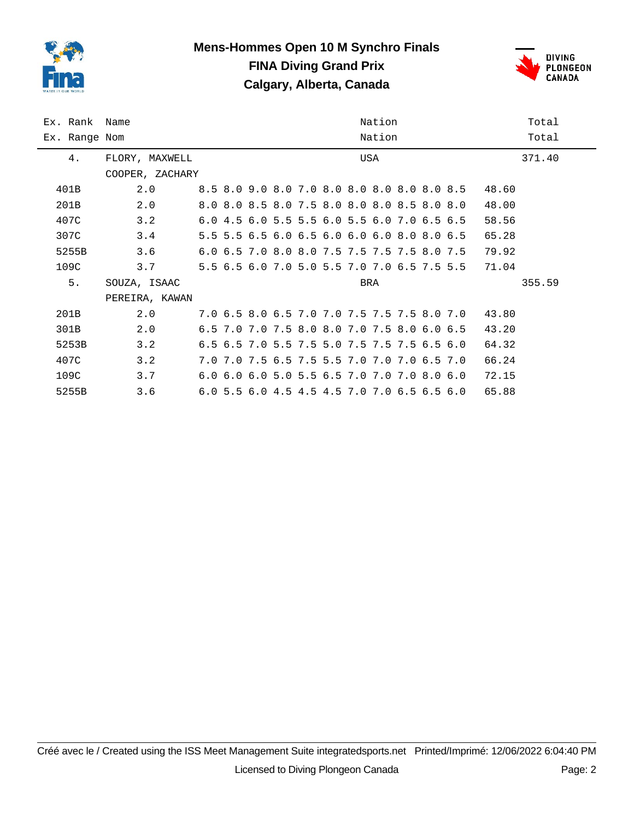

#### **Mens-Hommes Open 10 M Synchro Finals FINA Diving Grand Prix Calgary, Alberta, Canada**



| Ex. Rank Name | Nation          |  |  |  |  |  |  |                                             |        |  |                                             | Total |        |
|---------------|-----------------|--|--|--|--|--|--|---------------------------------------------|--------|--|---------------------------------------------|-------|--------|
| Ex. Range Nom |                 |  |  |  |  |  |  |                                             | Nation |  |                                             |       | Total  |
| 4.            | FLORY, MAXWELL  |  |  |  |  |  |  | USA                                         |        |  |                                             |       | 371.40 |
|               | COOPER, ZACHARY |  |  |  |  |  |  |                                             |        |  |                                             |       |        |
| 401B          | 2.0             |  |  |  |  |  |  | 8.5 8.0 9.0 8.0 7.0 8.0 8.0 8.0 8.0 8.0 8.5 |        |  |                                             | 48.60 |        |
| 201B          | 2.0             |  |  |  |  |  |  | 8.0 8.0 8.5 8.0 7.5 8.0 8.0 8.0 8.5 8.0 8.0 |        |  |                                             | 48.00 |        |
| 407C          | 3.2             |  |  |  |  |  |  | 6.0 4.5 6.0 5.5 5.5 6.0 5.5 6.0 7.0 6.5 6.5 |        |  |                                             | 58.56 |        |
| 307C          | 3.4             |  |  |  |  |  |  | 5.5 5.5 6.5 6.0 6.5 6.0 6.0 6.0 8.0 8.0 6.5 |        |  |                                             | 65.28 |        |
| 5255B         | 3.6             |  |  |  |  |  |  | 6.0 6.5 7.0 8.0 8.0 7.5 7.5 7.5 7.5 8.0 7.5 |        |  |                                             | 79.92 |        |
| 109C          | 3.7             |  |  |  |  |  |  |                                             |        |  | 5.5 6.5 6.0 7.0 5.0 5.5 7.0 7.0 6.5 7.5 5.5 | 71.04 |        |
| 5.            | SOUZA, ISAAC    |  |  |  |  |  |  | BRA                                         |        |  |                                             |       | 355.59 |
|               | PEREIRA, KAWAN  |  |  |  |  |  |  |                                             |        |  |                                             |       |        |
| 201B          | 2.0             |  |  |  |  |  |  |                                             |        |  | 7.0 6.5 8.0 6.5 7.0 7.0 7.5 7.5 7.5 8.0 7.0 | 43.80 |        |
| 301B          | 2.0             |  |  |  |  |  |  | 6.5 7.0 7.0 7.5 8.0 8.0 7.0 7.5 8.0 6.0 6.5 |        |  |                                             | 43.20 |        |
| 5253B         | 3.2             |  |  |  |  |  |  | 6.5 6.5 7.0 5.5 7.5 5.0 7.5 7.5 7.5 6.5 6.0 |        |  |                                             | 64.32 |        |
| 407C          | 3.2             |  |  |  |  |  |  | 7.0 7.0 7.5 6.5 7.5 5.5 7.0 7.0 7.0 6.5 7.0 |        |  |                                             | 66.24 |        |
| 109C          | 3.7             |  |  |  |  |  |  | 6.0 6.0 6.0 5.0 5.5 6.5 7.0 7.0 7.0 8.0 6.0 |        |  |                                             | 72.15 |        |
| 5255B         | 3.6             |  |  |  |  |  |  | 6.0 5.5 6.0 4.5 4.5 4.5 7.0 7.0 6.5 6.5 6.0 |        |  |                                             | 65.88 |        |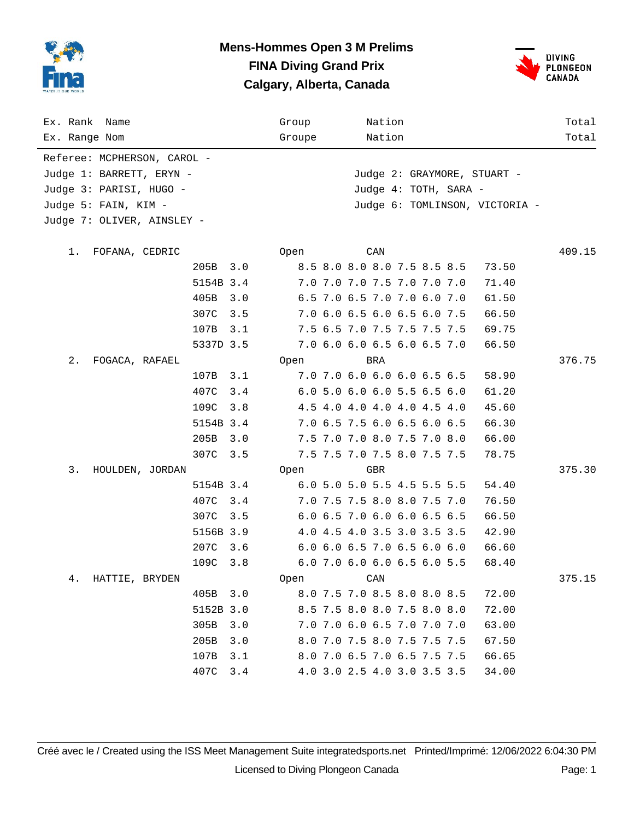

### **Mens-Hommes Open 3 M Prelims FINA Diving Grand Prix Calgary, Alberta, Canada**



| Ex. Rank Name<br>Ex. Range Nom                  |           |     | Group<br>Groupe |     | Nation<br>Nation            |                       |                                | Total<br>Total |
|-------------------------------------------------|-----------|-----|-----------------|-----|-----------------------------|-----------------------|--------------------------------|----------------|
| Referee: MCPHERSON, CAROL -                     |           |     |                 |     |                             |                       |                                |                |
| Judge 1: BARRETT, ERYN -                        |           |     |                 |     |                             |                       | Judge 2: GRAYMORE, STUART -    |                |
|                                                 |           |     |                 |     |                             | Judge 4: TOTH, SARA - |                                |                |
| Judge 3: PARISI, HUGO -<br>Judge 5: FAIN, KIM - |           |     |                 |     |                             |                       |                                |                |
|                                                 |           |     |                 |     |                             |                       | Judge 6: TOMLINSON, VICTORIA - |                |
| Judge 7: OLIVER, AINSLEY -                      |           |     |                 |     |                             |                       |                                |                |
| 1.<br>FOFANA, CEDRIC                            |           |     | Open            | CAN |                             |                       |                                | 409.15         |
|                                                 | 205B      | 3.0 |                 |     | 8.5 8.0 8.0 8.0 7.5 8.5 8.5 |                       | 73.50                          |                |
|                                                 | 5154B 3.4 |     |                 |     | 7.0 7.0 7.0 7.5 7.0 7.0 7.0 |                       | 71.40                          |                |
|                                                 | 405B      | 3.0 |                 |     | 6.5 7.0 6.5 7.0 7.0 6.0 7.0 |                       | 61.50                          |                |
|                                                 | 307C      | 3.5 |                 |     | 7.0 6.0 6.5 6.0 6.5 6.0 7.5 |                       | 66.50                          |                |
|                                                 | 107B      | 3.1 |                 |     | 7.5 6.5 7.0 7.5 7.5 7.5 7.5 |                       | 69.75                          |                |
|                                                 | 5337D 3.5 |     |                 |     | 7.0 6.0 6.0 6.5 6.0 6.5 7.0 |                       | 66.50                          |                |
| $2$ .<br>FOGACA, RAFAEL                         |           |     | Open            | BRA |                             |                       |                                | 376.75         |
|                                                 | 107B      | 3.1 |                 |     | 7.0 7.0 6.0 6.0 6.0 6.5 6.5 |                       | 58.90                          |                |
|                                                 | 407C      | 3.4 |                 |     | 6.0 5.0 6.0 6.0 5.5 6.5 6.0 |                       | 61.20                          |                |
|                                                 | 109C      | 3.8 |                 |     | 4.5 4.0 4.0 4.0 4.0 4.5 4.0 |                       | 45.60                          |                |
|                                                 | 5154B 3.4 |     |                 |     | 7.0 6.5 7.5 6.0 6.5 6.0 6.5 |                       | 66.30                          |                |
|                                                 | 205B      | 3.0 |                 |     | 7.5 7.0 7.0 8.0 7.5 7.0 8.0 |                       | 66.00                          |                |
|                                                 | 307C      | 3.5 |                 |     | 7.5 7.5 7.0 7.5 8.0 7.5 7.5 |                       | 78.75                          |                |
| 3.<br>HOULDEN, JORDAN                           |           |     | Open            | GBR |                             |                       |                                | 375.30         |
|                                                 | 5154B 3.4 |     |                 |     | 6.0 5.0 5.0 5.5 4.5 5.5 5.5 |                       | 54.40                          |                |
|                                                 | 407C      | 3.4 |                 |     | 7.0 7.5 7.5 8.0 8.0 7.5 7.0 |                       | 76.50                          |                |
|                                                 | 307C      | 3.5 |                 |     | 6.0 6.5 7.0 6.0 6.0 6.5 6.5 |                       | 66.50                          |                |
|                                                 | 5156B 3.9 |     |                 |     | 4.0 4.5 4.0 3.5 3.0 3.5 3.5 |                       | 42.90                          |                |
|                                                 | 207C      | 3.6 |                 |     | 6.0 6.0 6.5 7.0 6.5 6.0 6.0 |                       | 66.60                          |                |
|                                                 | 109C      | 3.8 |                 |     | 6.0 7.0 6.0 6.0 6.5 6.0 5.5 |                       | 68.40                          |                |
| 4.<br>HATTIE, BRYDEN                            |           |     | Open            | CAN |                             |                       |                                | 375.15         |
|                                                 | 405B      | 3.0 |                 |     | 8.0 7.5 7.0 8.5 8.0 8.0 8.5 |                       | 72.00                          |                |
|                                                 | 5152B 3.0 |     |                 |     | 8.5 7.5 8.0 8.0 7.5 8.0 8.0 |                       | 72.00                          |                |
|                                                 | 305B      | 3.0 |                 |     | 7.0 7.0 6.0 6.5 7.0 7.0 7.0 |                       | 63.00                          |                |
|                                                 | 205B      | 3.0 |                 |     | 8.0 7.0 7.5 8.0 7.5 7.5 7.5 |                       | 67.50                          |                |
|                                                 | 107B      | 3.1 |                 |     | 8.0 7.0 6.5 7.0 6.5 7.5 7.5 |                       | 66.65                          |                |
|                                                 | 407C      | 3.4 |                 |     | 4.0 3.0 2.5 4.0 3.0 3.5 3.5 |                       | 34.00                          |                |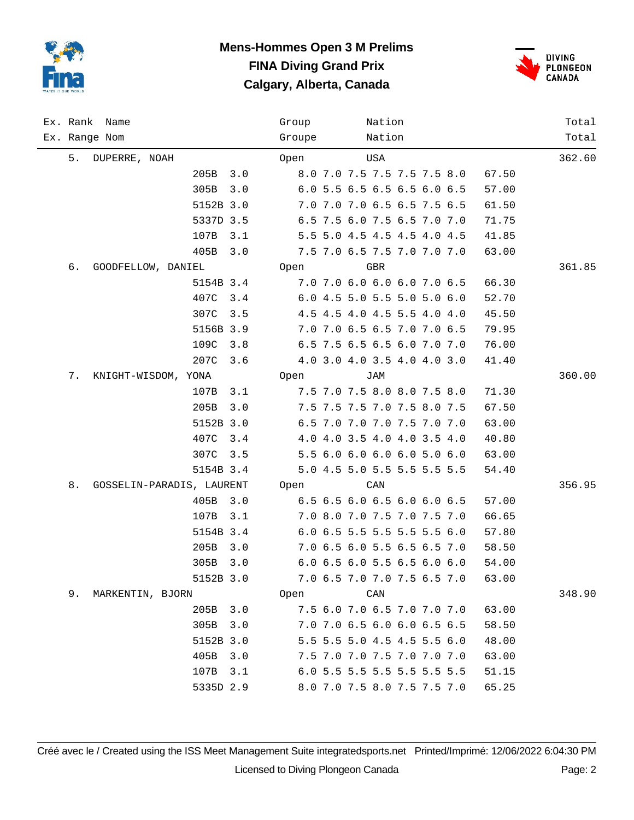

# **Mens-Hommes Open 3 M Prelims FINA Diving Grand Prix Calgary, Alberta, Canada**



|    | Ex. Rank Name             | Group  | Nation                               | Total  |
|----|---------------------------|--------|--------------------------------------|--------|
|    | Ex. Range Nom             | Groupe | Nation                               | Total  |
| 5. | DUPERRE, NOAH             | Open   | USA                                  | 362.60 |
|    | 205B<br>3.0               |        | 8.0 7.0 7.5 7.5 7.5 7.5 8.0<br>67.50 |        |
|    | 305B<br>3.0               |        | 6.0 5.5 6.5 6.5 6.5 6.0 6.5<br>57.00 |        |
|    | 5152B 3.0                 |        | 7.0 7.0 7.0 6.5 6.5 7.5 6.5<br>61.50 |        |
|    | 5337D 3.5                 |        | 6.5 7.5 6.0 7.5 6.5 7.0 7.0<br>71.75 |        |
|    | 107B<br>3.1               |        | 5.5 5.0 4.5 4.5 4.5 4.0 4.5<br>41.85 |        |
|    | 405B<br>3.0               |        | 7.5 7.0 6.5 7.5 7.0 7.0 7.0<br>63.00 |        |
| б. | GOODFELLOW, DANIEL        | Open   | <b>GBR</b>                           | 361.85 |
|    | 5154B 3.4                 |        | 7.0 7.0 6.0 6.0 6.0 7.0 6.5<br>66.30 |        |
|    | 407C<br>3.4               |        | 6.0 4.5 5.0 5.5 5.0 5.0 6.0<br>52.70 |        |
|    | 307C<br>3.5               |        | 4.5 4.5 4.0 4.5 5.5 4.0 4.0<br>45.50 |        |
|    | 5156B 3.9                 |        | 7.0 7.0 6.5 6.5 7.0 7.0 6.5<br>79.95 |        |
|    | 109C<br>3.8               |        | 6.5 7.5 6.5 6.5 6.0 7.0 7.0<br>76.00 |        |
|    | 207C<br>3.6               |        | 4.0 3.0 4.0 3.5 4.0 4.0 3.0<br>41.40 |        |
| 7. | KNIGHT-WISDOM, YONA       | Open   | JAM                                  | 360.00 |
|    | 3.1<br>107B               |        | 7.5 7.0 7.5 8.0 8.0 7.5 8.0<br>71.30 |        |
|    | 205B<br>3.0               |        | 7.5 7.5 7.5 7.0 7.5 8.0 7.5<br>67.50 |        |
|    | 5152B 3.0                 |        | 6.5 7.0 7.0 7.0 7.5 7.0 7.0<br>63.00 |        |
|    | 407C<br>3.4               |        | 4.0 4.0 3.5 4.0 4.0 3.5 4.0<br>40.80 |        |
|    | 307C<br>3.5               |        | 5.5 6.0 6.0 6.0 6.0 5.0 6.0<br>63.00 |        |
|    | 5154B 3.4                 |        | 5.0 4.5 5.0 5.5 5.5 5.5 5.5<br>54.40 |        |
| 8. | GOSSELIN-PARADIS, LAURENT | Open   | CAN                                  | 356.95 |
|    | 405B<br>3.0               |        | 6.5 6.5 6.0 6.5 6.0 6.0 6.5<br>57.00 |        |
|    | 107B<br>3.1               |        | 7.0 8.0 7.0 7.5 7.0 7.5 7.0<br>66.65 |        |
|    | 5154B 3.4                 |        | 6.0 6.5 5.5 5.5 5.5 5.5 6.0<br>57.80 |        |
|    | 205B<br>3.0               |        | 7.0 6.5 6.0 5.5 6.5 6.5 7.0<br>58.50 |        |
|    | 305B 3.0                  |        | 6.0 6.5 6.0 5.5 6.5 6.0 6.0<br>54.00 |        |
|    | 5152B 3.0                 |        | 7.0 6.5 7.0 7.0 7.5 6.5 7.0<br>63.00 |        |
| 9. | MARKENTIN, BJORN          | Open   | CAN                                  | 348.90 |
|    | 3.0<br>205B               |        | 7.5 6.0 7.0 6.5 7.0 7.0 7.0<br>63.00 |        |
|    | 305B<br>3.0               |        | 7.0 7.0 6.5 6.0 6.0 6.5 6.5<br>58.50 |        |
|    | 5152B 3.0                 |        | 5.5 5.5 5.0 4.5 4.5 5.5 6.0<br>48.00 |        |
|    | 405B<br>3.0               |        | 7.5 7.0 7.0 7.5 7.0 7.0 7.0<br>63.00 |        |
|    | 107B<br>3.1               |        | 6.0 5.5 5.5 5.5 5.5 5.5 5.5<br>51.15 |        |
|    | 5335D 2.9                 |        | 8.0 7.0 7.5 8.0 7.5 7.5 7.0<br>65.25 |        |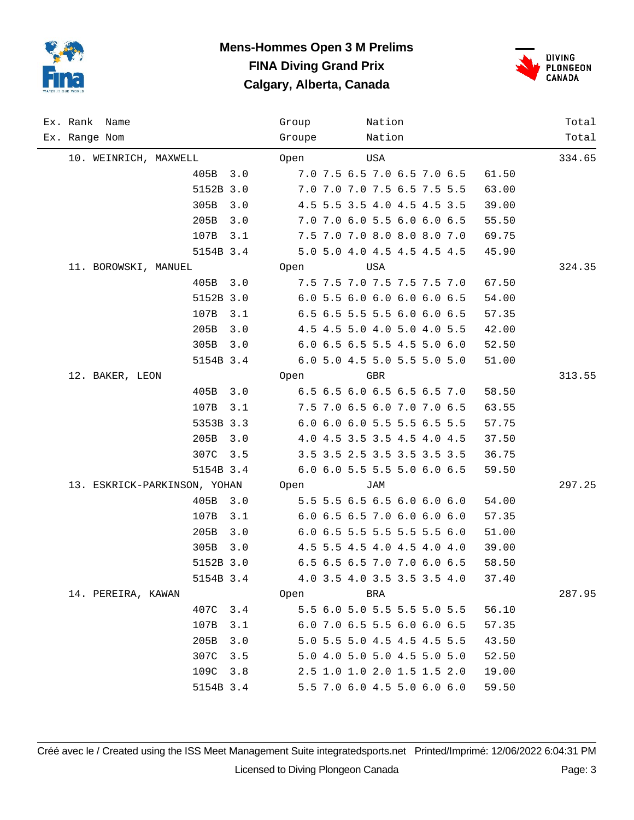

## **Mens-Hommes Open 3 M Prelims FINA Diving Grand Prix Calgary, Alberta, Canada**



| Ex. Rank Name                | Group<br>Nation                      | Total  |
|------------------------------|--------------------------------------|--------|
| Ex. Range Nom                | Nation<br>Groupe                     | Total  |
| 10. WEINRICH, MAXWELL        | USA<br>Open                          | 334.65 |
| 405B 3.0                     | 7.0 7.5 6.5 7.0 6.5 7.0 6.5<br>61.50 |        |
| 5152B 3.0                    | 7.0 7.0 7.0 7.5 6.5 7.5 5.5<br>63.00 |        |
| 305B<br>3.0                  | 4.5 5.5 3.5 4.0 4.5 4.5 3.5<br>39.00 |        |
| 205B<br>3.0                  | 7.0 7.0 6.0 5.5 6.0 6.0 6.5<br>55.50 |        |
| 107B<br>3.1                  | 7.5 7.0 7.0 8.0 8.0 8.0 7.0<br>69.75 |        |
| 5154B 3.4                    | 5.0 5.0 4.0 4.5 4.5 4.5 4.5<br>45.90 |        |
| 11. BOROWSKI, MANUEL         | Open<br>USA                          | 324.35 |
| 405B 3.0                     | 7.5 7.5 7.0 7.5 7.5 7.5 7.0<br>67.50 |        |
| 5152B 3.0                    | 6.0 5.5 6.0 6.0 6.0 6.0 6.5<br>54.00 |        |
| 107B<br>3.1                  | 6.5 6.5 5.5 5.5 6.0 6.0 6.5<br>57.35 |        |
| 205B<br>3.0                  | 4.5 4.5 5.0 4.0 5.0 4.0 5.5<br>42.00 |        |
| 305B<br>3.0                  | 6.0 6.5 6.5 5.5 4.5 5.0 6.0<br>52.50 |        |
| 5154B 3.4                    | 6.0 5.0 4.5 5.0 5.5 5.0 5.0<br>51.00 |        |
| 12. BAKER, LEON              | Open<br>GBR                          | 313.55 |
| 3.0<br>405B                  | 6.5 6.5 6.0 6.5 6.5 6.5 7.0<br>58.50 |        |
| 107B<br>3.1                  | 7.5 7.0 6.5 6.0 7.0 7.0 6.5<br>63.55 |        |
| 5353B 3.3                    | 6.0 6.0 6.0 5.5 5.5 6.5 5.5<br>57.75 |        |
| 205B<br>3.0                  | 4.0 4.5 3.5 3.5 4.5 4.0 4.5<br>37.50 |        |
| 307C<br>3.5                  | 3.5 3.5 2.5 3.5 3.5 3.5 3.5<br>36.75 |        |
| 5154B 3.4                    | 6.0 6.0 5.5 5.5 5.0 6.0 6.5<br>59.50 |        |
| 13. ESKRICK-PARKINSON, YOHAN | Open<br>JAM                          | 297.25 |
| 405B<br>3.0                  | 5.5 5.5 6.5 6.5 6.0 6.0 6.0<br>54.00 |        |
| 107B<br>3.1                  | 6.0 6.5 6.5 7.0 6.0 6.0 6.0<br>57.35 |        |
| 205B<br>3.0                  | 6.0 6.5 5.5 5.5 5.5 5.5 6.0<br>51.00 |        |
| 305B<br>3.0                  | 4.5 5.5 4.5 4.0 4.5 4.0 4.0<br>39.00 |        |
| 5152B 3.0                    | 6.5 6.5 6.5 7.0 7.0 6.0 6.5<br>58.50 |        |
| 5154B 3.4                    | 4.0 3.5 4.0 3.5 3.5 3.5 4.0<br>37.40 |        |
| 14. PEREIRA, KAWAN           | BRA<br>Open                          | 287.95 |
| 407C<br>3.4                  | 5.5 6.0 5.0 5.5 5.5 5.0 5.5<br>56.10 |        |
| 107B<br>3.1                  | 6.0 7.0 6.5 5.5 6.0 6.0 6.5<br>57.35 |        |
| 205B<br>3.0                  | 5.0 5.5 5.0 4.5 4.5 4.5 5.5<br>43.50 |        |
| 307C<br>3.5                  | 5.0 4.0 5.0 5.0 4.5 5.0 5.0<br>52.50 |        |
| 109C<br>3.8                  | 2.5 1.0 1.0 2.0 1.5 1.5 2.0<br>19.00 |        |
| 5154B 3.4                    | 5.5 7.0 6.0 4.5 5.0 6.0 6.0<br>59.50 |        |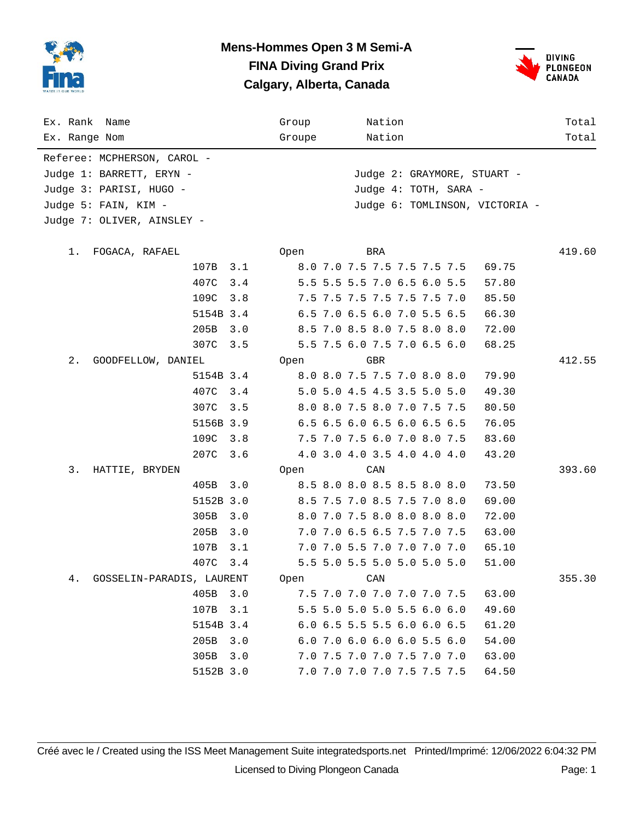

#### **Mens-Hommes Open 3 M Semi-A FINA Diving Grand Prix Calgary, Alberta, Canada**



| Ex. Rank Name<br>Ex. Range Nom  |             | Group<br>Groupe | Nation<br>Nation                     | Total<br>Total |
|---------------------------------|-------------|-----------------|--------------------------------------|----------------|
|                                 |             |                 |                                      |                |
| Referee: MCPHERSON, CAROL -     |             |                 |                                      |                |
| Judge 1: BARRETT, ERYN -        |             |                 | Judge 2: GRAYMORE, STUART -          |                |
| Judge 3: PARISI, HUGO -         |             |                 | Judge 4: TOTH, SARA -                |                |
| Judge 5: FAIN, KIM -            |             |                 | Judge 6: TOMLINSON, VICTORIA -       |                |
| Judge 7: OLIVER, AINSLEY -      |             |                 |                                      |                |
| 1.<br>FOGACA, RAFAEL            |             | Open            | BRA                                  | 419.60         |
|                                 | 107B<br>3.1 |                 | 8.0 7.0 7.5 7.5 7.5 7.5 7.5<br>69.75 |                |
|                                 | 407C<br>3.4 |                 | 5.5 5.5 5.5 7.0 6.5 6.0 5.5<br>57.80 |                |
|                                 | 109C<br>3.8 |                 | 7.5 7.5 7.5 7.5 7.5 7.5 7.0<br>85.50 |                |
|                                 | 5154B 3.4   |                 | 6.5 7.0 6.5 6.0 7.0 5.5 6.5<br>66.30 |                |
|                                 | 205B<br>3.0 |                 | 8.5 7.0 8.5 8.0 7.5 8.0 8.0<br>72.00 |                |
|                                 | 307C<br>3.5 |                 | 5.5 7.5 6.0 7.5 7.0 6.5 6.0<br>68.25 |                |
| $2$ .<br>GOODFELLOW, DANIEL     |             | Open            | GBR                                  | 412.55         |
|                                 | 5154B 3.4   |                 | 8.0 8.0 7.5 7.5 7.0 8.0 8.0<br>79.90 |                |
|                                 | 407C<br>3.4 |                 | 5.0 5.0 4.5 4.5 3.5 5.0 5.0<br>49.30 |                |
|                                 | 307C<br>3.5 |                 | 8.0 8.0 7.5 8.0 7.0 7.5 7.5<br>80.50 |                |
|                                 | 5156B 3.9   |                 | 6.5 6.5 6.0 6.5 6.0 6.5 6.5<br>76.05 |                |
|                                 | 109C<br>3.8 |                 | 7.5 7.0 7.5 6.0 7.0 8.0 7.5<br>83.60 |                |
|                                 | 207C<br>3.6 |                 | 4.0 3.0 4.0 3.5 4.0 4.0 4.0<br>43.20 |                |
| 3.<br>HATTIE, BRYDEN            |             | Open            | CAN                                  | 393.60         |
|                                 | 405B<br>3.0 |                 | 8.5 8.0 8.0 8.5 8.5 8.0 8.0<br>73.50 |                |
|                                 | 5152B 3.0   |                 | 8.5 7.5 7.0 8.5 7.5 7.0 8.0<br>69.00 |                |
|                                 | 305B<br>3.0 |                 | 8.0 7.0 7.5 8.0 8.0 8.0 8.0<br>72.00 |                |
|                                 | 205B<br>3.0 |                 | 7.0 7.0 6.5 6.5 7.5 7.0 7.5<br>63.00 |                |
|                                 | 107B<br>3.1 |                 | 7.0 7.0 5.5 7.0 7.0 7.0 7.0<br>65.10 |                |
|                                 | 407C<br>3.4 |                 | 5.5 5.0 5.5 5.0 5.0 5.0 5.0<br>51.00 |                |
| GOSSELIN-PARADIS, LAURENT<br>4. |             | Open            | CAN                                  | 355.30         |
|                                 | 405B 3.0    |                 | 7.5 7.0 7.0 7.0 7.0 7.0 7.5<br>63.00 |                |
|                                 | 107B<br>3.1 |                 | 5.5 5.0 5.0 5.0 5.5 6.0 6.0<br>49.60 |                |
|                                 | 5154B 3.4   |                 | 6.0 6.5 5.5 5.5 6.0 6.0 6.5<br>61.20 |                |
|                                 | 205B<br>3.0 |                 | 6.0 7.0 6.0 6.0 6.0 5.5 6.0<br>54.00 |                |
|                                 | 305B<br>3.0 |                 | 7.0 7.5 7.0 7.0 7.5 7.0 7.0<br>63.00 |                |
|                                 | 5152B 3.0   |                 | 7.0 7.0 7.0 7.0 7.5 7.5 7.5<br>64.50 |                |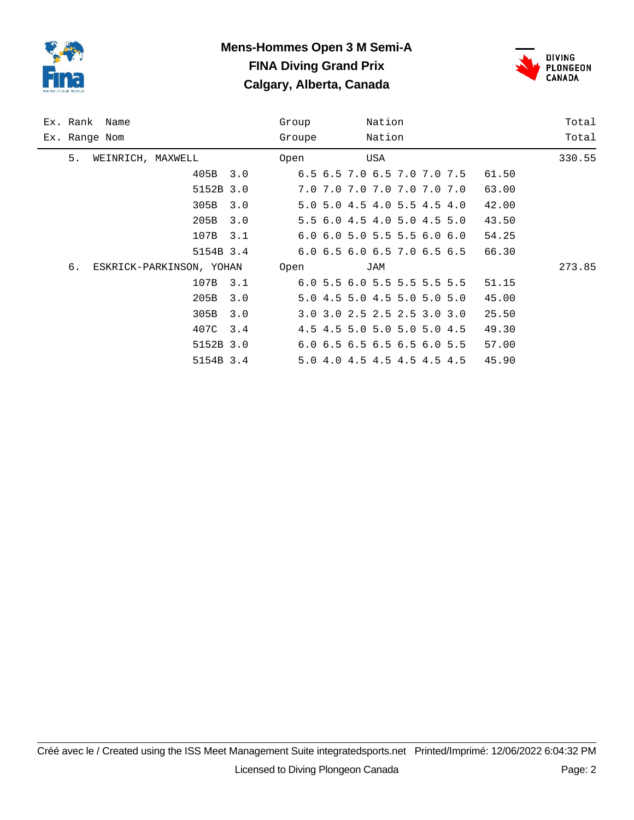

# **Mens-Hommes Open 3 M Semi-A FINA Diving Grand Prix Calgary, Alberta, Canada**



| Ex. Rank Name |                   |                          |     | Group  |                                           | Nation |  |       | Total  |
|---------------|-------------------|--------------------------|-----|--------|-------------------------------------------|--------|--|-------|--------|
| Ex. Range Nom |                   |                          |     | Groupe |                                           | Nation |  |       | Total  |
| 5.            | WEINRICH, MAXWELL |                          |     | Open   |                                           | USA    |  |       | 330.55 |
|               |                   | 405B 3.0                 |     |        | 6.5 6.5 7.0 6.5 7.0 7.0 7.5               |        |  | 61.50 |        |
|               |                   | 5152B 3.0                |     |        | 7.0 7.0 7.0 7.0 7.0 7.0 7.0               |        |  | 63.00 |        |
|               |                   | 305B                     | 3.0 |        | 5.0 5.0 4.5 4.0 5.5 4.5 4.0               |        |  | 42.00 |        |
|               |                   | 205B                     | 3.0 |        | 5.5 6.0 4.5 4.0 5.0 4.5 5.0               |        |  | 43.50 |        |
|               |                   | 107B                     | 3.1 |        | $6.0$ $6.0$ $5.0$ $5.5$ $5.5$ $6.0$ $6.0$ |        |  | 54.25 |        |
|               |                   | 5154B 3.4                |     |        | $6.0$ $6.5$ $6.0$ $6.5$ $7.0$ $6.5$ $6.5$ |        |  | 66.30 |        |
| б.            |                   | ESKRICK-PARKINSON, YOHAN |     | Open   |                                           | JAM    |  |       | 273.85 |
|               |                   | 107B 3.1                 |     |        | 6.0 5.5 6.0 5.5 5.5 5.5 5.5               |        |  | 51.15 |        |
|               |                   | 205B                     | 3.0 |        | 5.0 4.5 5.0 4.5 5.0 5.0 5.0               |        |  | 45.00 |        |
|               |                   | 305B                     | 3.0 |        | 3.0 3.0 2.5 2.5 2.5 3.0 3.0               |        |  | 25.50 |        |
|               |                   | 407C 3.4                 |     |        | 4.5 4.5 5.0 5.0 5.0 5.0 4.5               |        |  | 49.30 |        |
|               |                   | 5152B 3.0                |     |        | 6.0 6.5 6.5 6.5 6.5 6.0 5.5               |        |  | 57.00 |        |
|               |                   | 5154B 3.4                |     |        | 5.0 4.0 4.5 4.5 4.5 4.5 4.5               |        |  | 45.90 |        |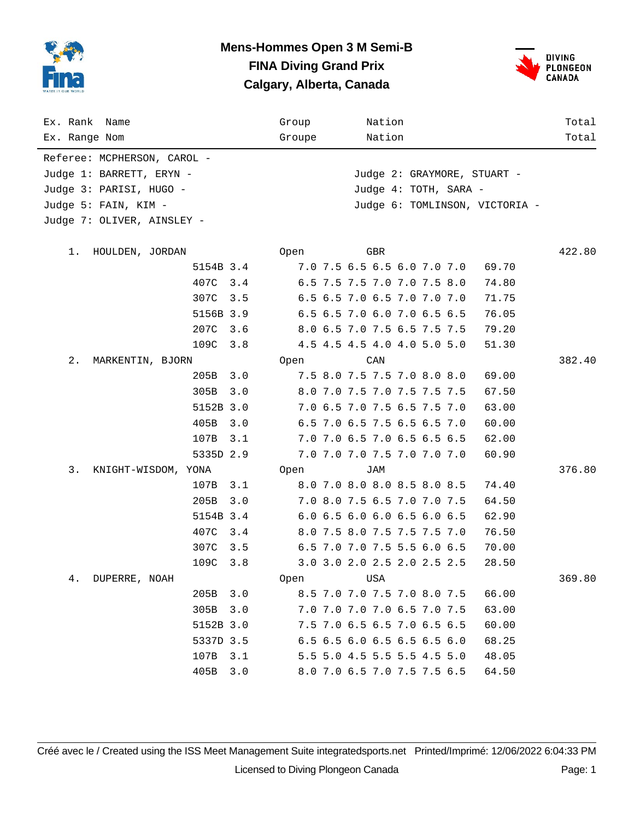

#### **Mens-Hommes Open 3 M Semi-B FINA Diving Grand Prix Calgary, Alberta, Canada**



| Ex. Rank Name<br>Ex. Range Nom |             | Group<br>Groupe | Nation<br>Nation               | Total<br>Total |
|--------------------------------|-------------|-----------------|--------------------------------|----------------|
|                                |             |                 |                                |                |
| Referee: MCPHERSON, CAROL -    |             |                 |                                |                |
| Judge 1: BARRETT, ERYN -       |             |                 | Judge 2: GRAYMORE, STUART -    |                |
| Judge 3: PARISI, HUGO -        |             |                 | Judge 4: TOTH, SARA -          |                |
| Judge 5: FAIN, KIM -           |             |                 | Judge 6: TOMLINSON, VICTORIA - |                |
| Judge 7: OLIVER, AINSLEY -     |             |                 |                                |                |
| 1.<br>HOULDEN, JORDAN          |             | Open            | GBR                            | 422.80         |
|                                | 5154B 3.4   |                 | 7.0 7.5 6.5 6.5 6.0 7.0 7.0    | 69.70          |
|                                | 407C<br>3.4 |                 | 6.5 7.5 7.5 7.0 7.0 7.5 8.0    | 74.80          |
|                                | 307C<br>3.5 |                 | 6.5 6.5 7.0 6.5 7.0 7.0 7.0    | 71.75          |
|                                | 5156B 3.9   |                 | 6.5 6.5 7.0 6.0 7.0 6.5 6.5    | 76.05          |
|                                | 207C<br>3.6 |                 | 8.0 6.5 7.0 7.5 6.5 7.5 7.5    | 79.20          |
|                                | 109C<br>3.8 |                 | 4.5 4.5 4.5 4.0 4.0 5.0 5.0    | 51.30          |
| $2$ .<br>MARKENTIN, BJORN      |             | Open            | CAN                            | 382.40         |
|                                | 205B<br>3.0 |                 | 7.5 8.0 7.5 7.5 7.0 8.0 8.0    | 69.00          |
|                                | 305B<br>3.0 |                 | 8.0 7.0 7.5 7.0 7.5 7.5 7.5    | 67.50          |
|                                | 5152B 3.0   |                 | 7.0 6.5 7.0 7.5 6.5 7.5 7.0    | 63.00          |
|                                | 405B<br>3.0 |                 | 6.5 7.0 6.5 7.5 6.5 6.5 7.0    | 60.00          |
|                                | 107B<br>3.1 |                 | 7.0 7.0 6.5 7.0 6.5 6.5 6.5    | 62.00          |
|                                | 5335D 2.9   |                 | 7.0 7.0 7.0 7.5 7.0 7.0 7.0    | 60.90          |
| 3.<br>KNIGHT-WISDOM, YONA      |             | Open            | JAM                            | 376.80         |
|                                | 3.1<br>107B |                 | 8.0 7.0 8.0 8.0 8.5 8.0 8.5    | 74.40          |
|                                | 205B<br>3.0 |                 | 7.0 8.0 7.5 6.5 7.0 7.0 7.5    | 64.50          |
|                                | 5154B 3.4   |                 | 6.0 6.5 6.0 6.0 6.5 6.0 6.5    | 62.90          |
|                                | 407C<br>3.4 |                 | 8.0 7.5 8.0 7.5 7.5 7.5 7.0    | 76.50          |
|                                | 307C<br>3.5 |                 | 6.5 7.0 7.0 7.5 5.5 6.0 6.5    | 70.00          |
|                                | 109C<br>3.8 |                 | 3.0 3.0 2.0 2.5 2.0 2.5 2.5    | 28.50          |
| 4.<br>DUPERRE, NOAH            |             | Open            | USA                            | 369.80         |
|                                | 205B<br>3.0 |                 | 8.5 7.0 7.0 7.5 7.0 8.0 7.5    | 66.00          |
|                                | 305B<br>3.0 |                 | 7.0 7.0 7.0 7.0 6.5 7.0 7.5    | 63.00          |
|                                | 5152B 3.0   |                 | 7.5 7.0 6.5 6.5 7.0 6.5 6.5    | 60.00          |
|                                | 5337D 3.5   |                 | 6.5 6.5 6.0 6.5 6.5 6.5 6.0    | 68.25          |
|                                | 107B<br>3.1 |                 | 5.5 5.0 4.5 5.5 5.5 4.5 5.0    | 48.05          |
|                                | 405B<br>3.0 |                 | 8.0 7.0 6.5 7.0 7.5 7.5 6.5    | 64.50          |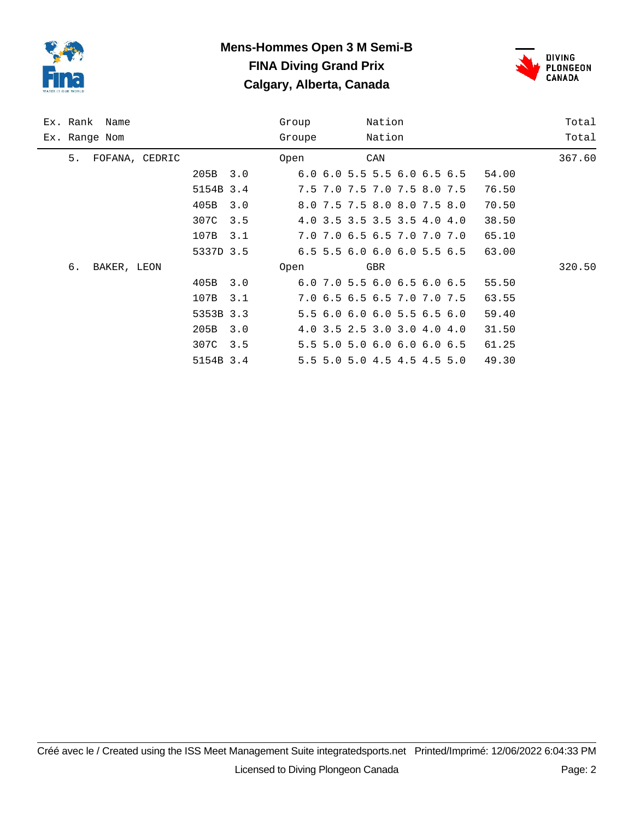

# **Mens-Hommes Open 3 M Semi-B FINA Diving Grand Prix Calgary, Alberta, Canada**



|               | Ex. Rank Name |                |           |     | Group  |                                           | Nation |  |       | Total  |
|---------------|---------------|----------------|-----------|-----|--------|-------------------------------------------|--------|--|-------|--------|
| Ex. Range Nom |               |                |           |     | Groupe |                                           | Nation |  |       | Total  |
| 5.            |               | FOFANA, CEDRIC |           |     | Open   |                                           | CAN    |  |       | 367.60 |
|               |               |                | 205B      | 3.0 |        | $6.0$ $6.0$ $5.5$ $5.5$ $6.0$ $6.5$ $6.5$ |        |  | 54.00 |        |
|               |               |                | 5154B 3.4 |     |        | 7.5 7.0 7.5 7.0 7.5 8.0 7.5               |        |  | 76.50 |        |
|               |               |                | 405B      | 3.0 |        | 8.0 7.5 7.5 8.0 8.0 7.5 8.0               |        |  | 70.50 |        |
|               |               |                | 307C      | 3.5 |        | 4.0 3.5 3.5 3.5 3.5 4.0 4.0               |        |  | 38.50 |        |
|               |               |                | 107B      | 3.1 |        | 7.0 7.0 6.5 6.5 7.0 7.0 7.0               |        |  | 65.10 |        |
|               |               |                | 5337D 3.5 |     |        | $6.5$ 5.5 6.0 6.0 6.0 5.5 6.5             |        |  | 63.00 |        |
| б.            | BAKER, LEON   |                |           |     | Open   |                                           | GBR    |  |       | 320.50 |
|               |               |                | 405B      | 3.0 |        | $6.0$ 7.0 5.5 6.0 6.5 6.0 6.5             |        |  | 55.50 |        |
|               |               |                | 107B      | 3.1 |        | 7.0 6.5 6.5 6.5 7.0 7.0 7.5               |        |  | 63.55 |        |
|               |               |                | 5353B 3.3 |     |        | 5.5 6.0 6.0 6.0 5.5 6.5 6.0               |        |  | 59.40 |        |
|               |               |                | 205B      | 3.0 |        | 4.0 3.5 2.5 3.0 3.0 4.0 4.0               |        |  | 31.50 |        |
|               |               |                | 307C      | 3.5 |        | 5.5 5.0 5.0 6.0 6.0 6.0 6.5               |        |  | 61.25 |        |
|               |               |                | 5154B 3.4 |     |        | 5.5 5.0 5.0 4.5 4.5 4.5 5.0               |        |  | 49.30 |        |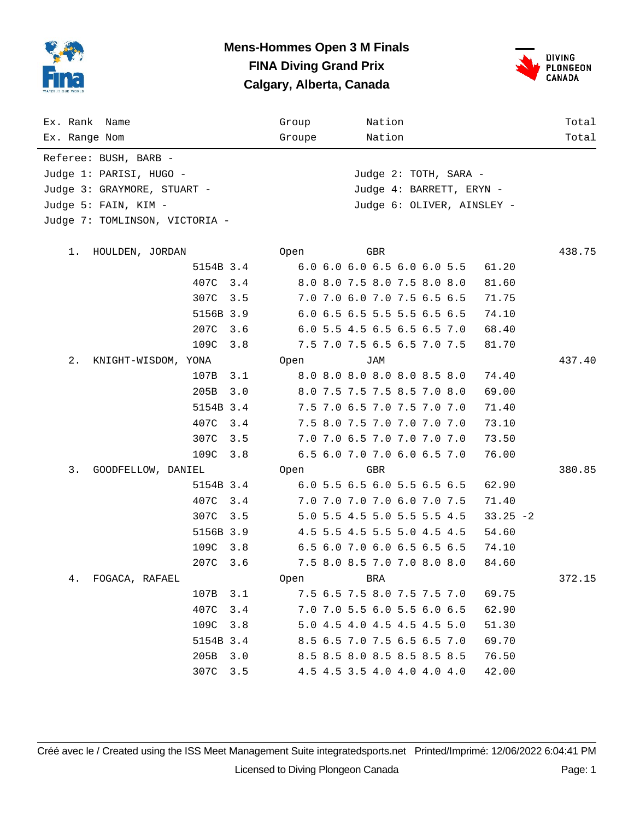

#### **Mens-Hommes Open 3 M Finals FINA Diving Grand Prix Calgary, Alberta, Canada**



| Ex. Rank Name                  |           |     | Group  |     | Nation                      |  |             | Total  |
|--------------------------------|-----------|-----|--------|-----|-----------------------------|--|-------------|--------|
| Ex. Range Nom                  |           |     | Groupe |     | Nation                      |  |             | Total  |
| Referee: BUSH, BARB -          |           |     |        |     |                             |  |             |        |
| Judge 1: PARISI, HUGO -        |           |     |        |     | Judge 2: TOTH, SARA -       |  |             |        |
| Judge 3: GRAYMORE, STUART -    |           |     |        |     | Judge 4: BARRETT, ERYN -    |  |             |        |
| Judge 5: FAIN, KIM -           |           |     |        |     | Judge 6: OLIVER, AINSLEY -  |  |             |        |
| Judge 7: TOMLINSON, VICTORIA - |           |     |        |     |                             |  |             |        |
|                                |           |     |        |     |                             |  |             |        |
| 1.<br>HOULDEN, JORDAN          |           |     | Open   | GBR |                             |  |             | 438.75 |
|                                | 5154B 3.4 |     |        |     | 6.0 6.0 6.0 6.5 6.0 6.0 5.5 |  | 61.20       |        |
|                                | 407C      | 3.4 |        |     | 8.0 8.0 7.5 8.0 7.5 8.0 8.0 |  | 81.60       |        |
|                                | 307C      | 3.5 |        |     | 7.0 7.0 6.0 7.0 7.5 6.5 6.5 |  | 71.75       |        |
|                                | 5156B 3.9 |     |        |     | 6.0 6.5 6.5 5.5 5.5 6.5 6.5 |  | 74.10       |        |
|                                | 207C      | 3.6 |        |     | 6.0 5.5 4.5 6.5 6.5 6.5 7.0 |  | 68.40       |        |
|                                | 109C      | 3.8 |        |     | 7.5 7.0 7.5 6.5 6.5 7.0 7.5 |  | 81.70       |        |
| 2.<br>KNIGHT-WISDOM, YONA      |           |     | Open   | JAM |                             |  |             | 437.40 |
|                                | 107B      | 3.1 |        |     | 8.0 8.0 8.0 8.0 8.0 8.5 8.0 |  | 74.40       |        |
|                                | 205B      | 3.0 |        |     | 8.0 7.5 7.5 7.5 8.5 7.0 8.0 |  | 69.00       |        |
|                                | 5154B 3.4 |     |        |     | 7.5 7.0 6.5 7.0 7.5 7.0 7.0 |  | 71.40       |        |
|                                | 407C      | 3.4 |        |     | 7.5 8.0 7.5 7.0 7.0 7.0 7.0 |  | 73.10       |        |
|                                | 307C      | 3.5 |        |     | 7.0 7.0 6.5 7.0 7.0 7.0 7.0 |  | 73.50       |        |
|                                | 109C      | 3.8 |        |     | 6.5 6.0 7.0 7.0 6.0 6.5 7.0 |  | 76.00       |        |
| 3.<br>GOODFELLOW, DANIEL       |           |     | Open   | GBR |                             |  |             | 380.85 |
|                                | 5154B 3.4 |     |        |     | 6.0 5.5 6.5 6.0 5.5 6.5 6.5 |  | 62.90       |        |
|                                | 407C      | 3.4 |        |     | 7.0 7.0 7.0 7.0 6.0 7.0 7.5 |  | 71.40       |        |
|                                | 307C      | 3.5 |        |     | 5.0 5.5 4.5 5.0 5.5 5.5 4.5 |  | $33.25 - 2$ |        |
|                                | 5156B 3.9 |     |        |     | 4.5 5.5 4.5 5.5 5.0 4.5 4.5 |  | 54.60       |        |
|                                | 109C      | 3.8 |        |     | 6.5 6.0 7.0 6.0 6.5 6.5 6.5 |  | 74.10       |        |
|                                | 207C      | 3.6 |        |     | 7.5 8.0 8.5 7.0 7.0 8.0 8.0 |  | 84.60       |        |
| 4.<br>FOGACA, RAFAEL           |           |     | Open   | BRA |                             |  |             | 372.15 |
|                                | 107B      | 3.1 |        |     | 7.5 6.5 7.5 8.0 7.5 7.5 7.0 |  | 69.75       |        |
|                                | 407C      | 3.4 |        |     | 7.0 7.0 5.5 6.0 5.5 6.0 6.5 |  | 62.90       |        |
|                                | 109C      | 3.8 |        |     | 5.0 4.5 4.0 4.5 4.5 4.5 5.0 |  | 51.30       |        |
|                                | 5154B 3.4 |     |        |     | 8.5 6.5 7.0 7.5 6.5 6.5 7.0 |  | 69.70       |        |
|                                | 205B      | 3.0 |        |     | 8.5 8.5 8.0 8.5 8.5 8.5 8.5 |  | 76.50       |        |
|                                | 307C      | 3.5 |        |     | 4.5 4.5 3.5 4.0 4.0 4.0 4.0 |  | 42.00       |        |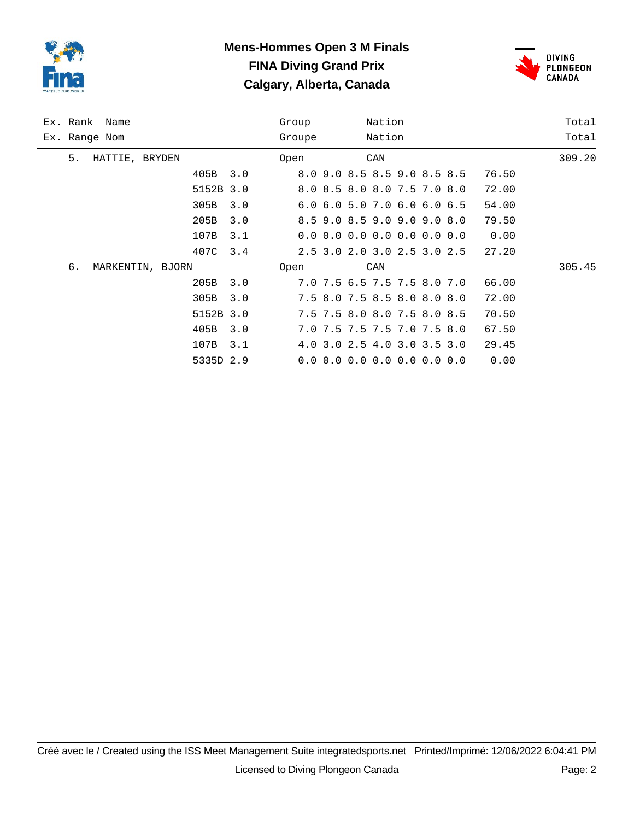

# **Mens-Hommes Open 3 M Finals FINA Diving Grand Prix Calgary, Alberta, Canada**



| Ex. Rank Name |                |                  |           |     | Group  | Nation                                    |  |        |  | Total |        |
|---------------|----------------|------------------|-----------|-----|--------|-------------------------------------------|--|--------|--|-------|--------|
| Ex. Range Nom |                |                  |           |     | Groupe |                                           |  | Nation |  |       | Total  |
| 5.            | HATTIE, BRYDEN |                  |           |     | Open   |                                           |  | CAN    |  |       | 309.20 |
|               |                |                  | 405B      | 3.0 |        | 8.0 9.0 8.5 8.5 9.0 8.5 8.5               |  |        |  | 76.50 |        |
|               |                |                  | 5152B 3.0 |     |        | 8.0 8.5 8.0 8.0 7.5 7.0 8.0               |  |        |  | 72.00 |        |
|               |                |                  | 305B      | 3.0 |        | 6.0 6.0 5.0 7.0 6.0 6.0 6.5               |  |        |  | 54.00 |        |
|               |                |                  | 205B      | 3.0 |        | 8.5 9.0 8.5 9.0 9.0 9.0 8.0               |  |        |  | 79.50 |        |
|               |                |                  | 107B      | 3.1 |        | $0.0$ 0.0 0.0 0.0 0.0 0.0 0.0             |  |        |  | 0.00  |        |
|               |                |                  | 407C      | 3.4 |        | 2.5 3.0 2.0 3.0 2.5 3.0 2.5               |  |        |  | 27.20 |        |
| б.            |                | MARKENTIN, BJORN |           |     | Open   |                                           |  | CAN    |  |       | 305.45 |
|               |                |                  | 205B      | 3.0 |        | 7.0 7.5 6.5 7.5 7.5 8.0 7.0               |  |        |  | 66.00 |        |
|               |                |                  | 305B      | 3.0 |        | 7.5 8.0 7.5 8.5 8.0 8.0 8.0               |  |        |  | 72.00 |        |
|               |                |                  | 5152B 3.0 |     |        | 7.5 7.5 8.0 8.0 7.5 8.0 8.5               |  |        |  | 70.50 |        |
|               |                |                  | 405B      | 3.0 |        | 7.0 7.5 7.5 7.5 7.0 7.5 8.0               |  |        |  | 67.50 |        |
|               |                |                  | 107B      | 3.1 |        | 4.0 3.0 2.5 4.0 3.0 3.5 3.0               |  |        |  | 29.45 |        |
|               |                |                  | 5335D 2.9 |     |        | $0.0 \t0.0 \t0.0 \t0.0 \t0.0 \t0.0 \t0.0$ |  |        |  | 0.00  |        |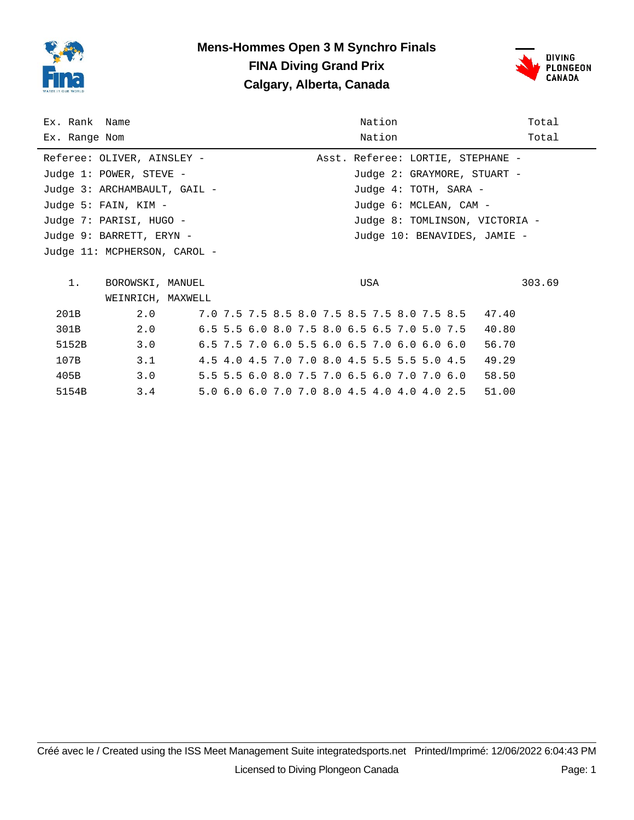

# **Mens-Hommes Open 3 M Synchro Finals FINA Diving Grand Prix Calgary, Alberta, Canada**



| Ex. Rank Name<br>Ex. Range Nom |                              |  | Nation<br>Nation                            | Total<br>Total |
|--------------------------------|------------------------------|--|---------------------------------------------|----------------|
|                                | Referee: OLIVER, AINSLEY -   |  | Asst. Referee: LORTIE, STEPHANE -           |                |
|                                | Judge 1: POWER, STEVE -      |  | Judge 2: GRAYMORE, STUART -                 |                |
|                                | Judge 3: ARCHAMBAULT, GAIL - |  | Judge 4: TOTH, SARA -                       |                |
|                                | Judge 5: FAIN, KIM -         |  | Judge 6: MCLEAN, CAM -                      |                |
|                                | Judge 7: PARISI, HUGO -      |  | Judge 8: TOMLINSON, VICTORIA -              |                |
|                                | Judge 9: BARRETT, ERYN -     |  | Judge 10: BENAVIDES, JAMIE -                |                |
|                                | Judge 11: MCPHERSON, CAROL - |  |                                             |                |
|                                |                              |  |                                             |                |
| $1$ .                          | BOROWSKI, MANUEL             |  | USA                                         | 303.69         |
|                                | WEINRICH, MAXWELL            |  |                                             |                |
| 201B                           | 2.0                          |  | 7.0 7.5 7.5 8.5 8.0 7.5 8.5 7.5 8.0 7.5 8.5 | 47.40          |
| 301B                           | 2.0                          |  | 6.5 5.5 6.0 8.0 7.5 8.0 6.5 6.5 7.0 5.0 7.5 | 40.80          |
| 5152B                          | 3.0                          |  | 6.5 7.5 7.0 6.0 5.5 6.0 6.5 7.0 6.0 6.0 6.0 | 56.70          |
| 107B                           | 3.1                          |  | 4.5 4.0 4.5 7.0 7.0 8.0 4.5 5.5 5.5 5.0 4.5 | 49.29          |
| 405B                           | 3.0                          |  | 5.5 5.5 6.0 8.0 7.5 7.0 6.5 6.0 7.0 7.0 6.0 | 58.50          |
| 5154B                          | 3.4                          |  | 5.0 6.0 6.0 7.0 7.0 8.0 4.5 4.0 4.0 4.0 2.5 | 51.00          |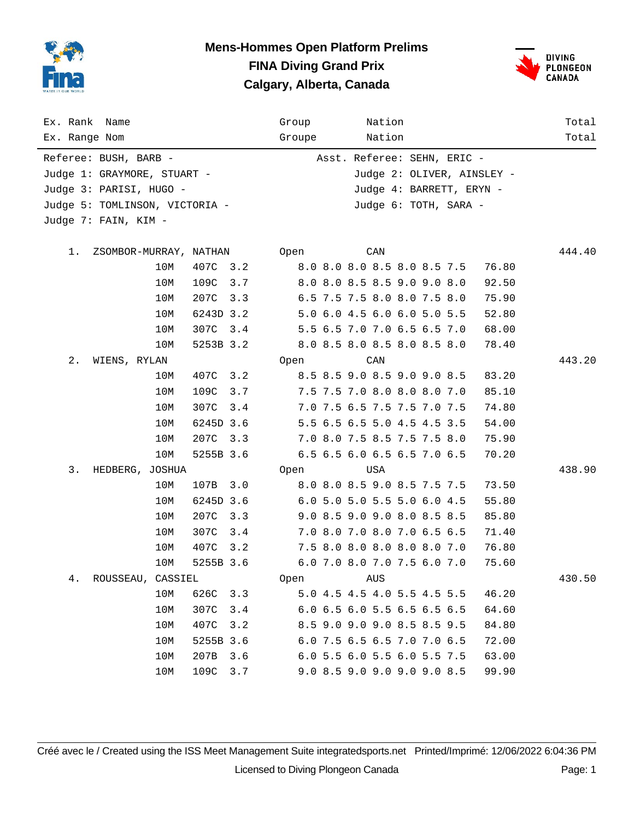

#### **Mens-Hommes Open Platform Prelims FINA Diving Grand Prix Calgary, Alberta, Canada**



| Ex. Rank Name<br>Ex. Range Nom  |             | Group<br>Nation<br>Nation<br>Groupe  | Total<br>Total |
|---------------------------------|-------------|--------------------------------------|----------------|
| Referee: BUSH, BARB -           |             | Asst. Referee: SEHN, ERIC -          |                |
| Judge 1: GRAYMORE, STUART -     |             | Judge 2: OLIVER, AINSLEY -           |                |
| Judge 3: PARISI, HUGO -         |             | Judge 4: BARRETT, ERYN -             |                |
| Judge 5: TOMLINSON, VICTORIA -  |             | Judge 6: TOTH, SARA -                |                |
| Judge 7: FAIN, KIM -            |             |                                      |                |
|                                 |             |                                      |                |
| $1$ .<br>ZSOMBOR-MURRAY, NATHAN |             | CAN<br>Open                          | 444.40         |
| 10M                             | 407C<br>3.2 | 8.0 8.0 8.0 8.5 8.0 8.5 7.5<br>76.80 |                |
| 10M                             | 109C<br>3.7 | 8.0 8.0 8.5 8.5 9.0 9.0 8.0<br>92.50 |                |
| 10M                             | 207C<br>3.3 | 6.5 7.5 7.5 8.0 8.0 7.5 8.0<br>75.90 |                |
| 10M                             | 6243D 3.2   | 5.0 6.0 4.5 6.0 6.0 5.0 5.5<br>52.80 |                |
| 10M                             | 307C<br>3.4 | 5.5 6.5 7.0 7.0 6.5 6.5 7.0<br>68.00 |                |
| 10M                             | 5253B 3.2   | 8.0 8.5 8.0 8.5 8.0 8.5 8.0<br>78.40 |                |
| $2$ .<br>WIENS, RYLAN           |             | Open<br>CAN                          | 443.20         |
| 10M                             | 407C<br>3.2 | 8.5 8.5 9.0 8.5 9.0 9.0 8.5<br>83.20 |                |
| 10M                             | 109C<br>3.7 | 85.10<br>7.5 7.5 7.0 8.0 8.0 8.0 7.0 |                |
| 10M                             | 307C<br>3.4 | 7.0 7.5 6.5 7.5 7.5 7.0 7.5<br>74.80 |                |
| 10M                             | 6245D 3.6   | 5.5 6.5 6.5 5.0 4.5 4.5 3.5<br>54.00 |                |
| 10M                             | 207C<br>3.3 | 7.0 8.0 7.5 8.5 7.5 7.5 8.0<br>75.90 |                |
| 10M                             | 5255B 3.6   | 6.5 6.5 6.0 6.5 6.5 7.0 6.5<br>70.20 |                |
| 3.<br>HEDBERG, JOSHUA           |             | USA<br>Open                          | 438.90         |
| 10M                             | 107B<br>3.0 | 8.0 8.0 8.5 9.0 8.5 7.5 7.5<br>73.50 |                |
| 10M                             | 6245D 3.6   | 6.0 5.0 5.0 5.5 5.0 6.0 4.5<br>55.80 |                |
| 10M                             | 207C<br>3.3 | 9.0 8.5 9.0 9.0 8.0 8.5 8.5<br>85.80 |                |
| 10M                             | 307C<br>3.4 | 7.0 8.0 7.0 8.0 7.0 6.5 6.5<br>71.40 |                |
| 10M                             | 407C<br>3.2 | 7.5 8.0 8.0 8.0 8.0 8.0 7.0<br>76.80 |                |
| 10M                             | 5255B 3.6   | 6.0 7.0 8.0 7.0 7.5 6.0 7.0<br>75.60 |                |
| 4.<br>ROUSSEAU, CASSIEL         |             | <b>Open</b><br>AUS                   | 430.50         |
| 10M                             | 626C<br>3.3 | 5.0 4.5 4.5 4.0 5.5 4.5 5.5<br>46.20 |                |
| 10M                             | 307C<br>3.4 | 6.0 6.5 6.0 5.5 6.5 6.5 6.5<br>64.60 |                |
| 10M                             | 407C<br>3.2 | 8.5 9.0 9.0 9.0 8.5 8.5 9.5<br>84.80 |                |
| 10M                             | 5255B 3.6   | 6.0 7.5 6.5 6.5 7.0 7.0 6.5<br>72.00 |                |
| 10M                             | 207B<br>3.6 | 6.0 5.5 6.0 5.5 6.0 5.5 7.5<br>63.00 |                |
| 10M                             | 109C<br>3.7 | 9.0 8.5 9.0 9.0 9.0 9.0 8.5<br>99.90 |                |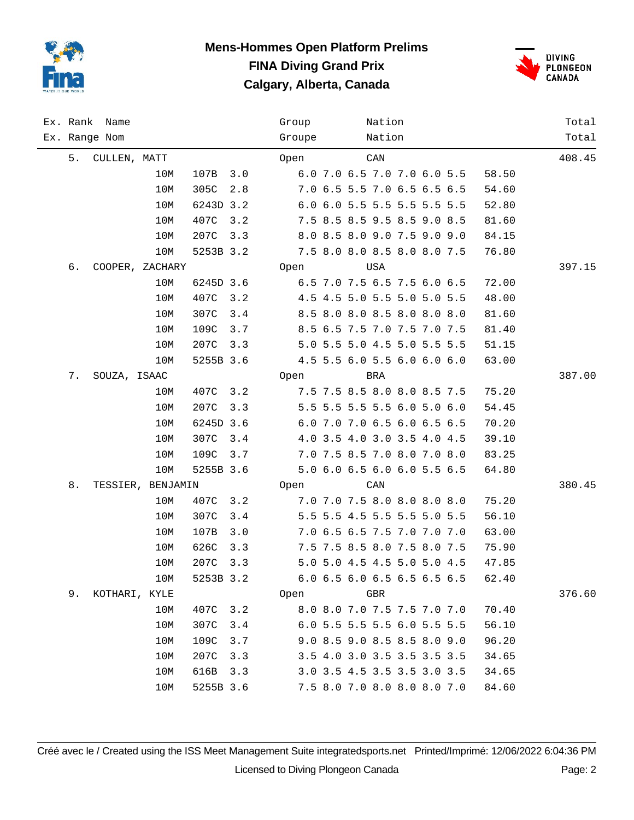

#### **Mens-Hommes Open Platform Prelims FINA Diving Grand Prix Calgary, Alberta, Canada**



|    | Ex. Rank Name   |                   |           |     | Group  | Nation                      |  |       | Total  |
|----|-----------------|-------------------|-----------|-----|--------|-----------------------------|--|-------|--------|
|    | Ex. Range Nom   |                   |           |     | Groupe | Nation                      |  |       | Total  |
| 5. | CULLEN, MATT    |                   |           |     | Open   | CAN                         |  |       | 408.45 |
|    |                 | 10M               | 107B      | 3.0 |        | 6.0 7.0 6.5 7.0 7.0 6.0 5.5 |  | 58.50 |        |
|    |                 | 10M               | 305C      | 2.8 |        | 7.0 6.5 5.5 7.0 6.5 6.5 6.5 |  | 54.60 |        |
|    |                 | 10M               | 6243D 3.2 |     |        | 6.0 6.0 5.5 5.5 5.5 5.5 5.5 |  | 52.80 |        |
|    |                 | 10M               | 407C      | 3.2 |        | 7.5 8.5 8.5 9.5 8.5 9.0 8.5 |  | 81.60 |        |
|    |                 | 10M               | 207C      | 3.3 |        | 8.0 8.5 8.0 9.0 7.5 9.0 9.0 |  | 84.15 |        |
|    |                 | 10M               | 5253B 3.2 |     |        | 7.5 8.0 8.0 8.5 8.0 8.0 7.5 |  | 76.80 |        |
| б. | COOPER, ZACHARY |                   |           |     | Open   | USA                         |  |       | 397.15 |
|    |                 | 10M               | 6245D 3.6 |     |        | 6.5 7.0 7.5 6.5 7.5 6.0 6.5 |  | 72.00 |        |
|    |                 | 10M               | 407C      | 3.2 |        | 4.5 4.5 5.0 5.5 5.0 5.0 5.5 |  | 48.00 |        |
|    |                 | 10M               | 307C      | 3.4 |        | 8.5 8.0 8.0 8.5 8.0 8.0 8.0 |  | 81.60 |        |
|    |                 | 10M               | 109C      | 3.7 |        | 8.5 6.5 7.5 7.0 7.5 7.0 7.5 |  | 81.40 |        |
|    |                 | 10M               | 207C      | 3.3 |        | 5.0 5.5 5.0 4.5 5.0 5.5 5.5 |  | 51.15 |        |
|    |                 | 10M               | 5255B 3.6 |     |        | 4.5 5.5 6.0 5.5 6.0 6.0 6.0 |  | 63.00 |        |
| 7. | SOUZA, ISAAC    |                   |           |     | Open   | BRA                         |  |       | 387.00 |
|    |                 | 10M               | 407C      | 3.2 |        | 7.5 7.5 8.5 8.0 8.0 8.5 7.5 |  | 75.20 |        |
|    |                 | 10M               | 207C      | 3.3 |        | 5.5 5.5 5.5 5.5 6.0 5.0 6.0 |  | 54.45 |        |
|    |                 | 10M               | 6245D 3.6 |     |        | 6.0 7.0 7.0 6.5 6.0 6.5 6.5 |  | 70.20 |        |
|    |                 | 10M               | 307C      | 3.4 |        | 4.0 3.5 4.0 3.0 3.5 4.0 4.5 |  | 39.10 |        |
|    |                 | 10M               | 109C      | 3.7 |        | 7.0 7.5 8.5 7.0 8.0 7.0 8.0 |  | 83.25 |        |
|    |                 | 10M               | 5255B 3.6 |     |        | 5.0 6.0 6.5 6.0 6.0 5.5 6.5 |  | 64.80 |        |
| 8. |                 | TESSIER, BENJAMIN |           |     | Open   | CAN                         |  |       | 380.45 |
|    |                 | 10M               | 407C      | 3.2 |        | 7.0 7.0 7.5 8.0 8.0 8.0 8.0 |  | 75.20 |        |
|    |                 | 10M               | 307C      | 3.4 |        | 5.5 5.5 4.5 5.5 5.5 5.0 5.5 |  | 56.10 |        |
|    |                 | 10M               | 107B      | 3.0 |        | 7.0 6.5 6.5 7.5 7.0 7.0 7.0 |  | 63.00 |        |
|    |                 | 10M               | 626C      | 3.3 |        | 7.5 7.5 8.5 8.0 7.5 8.0 7.5 |  | 75.90 |        |
|    |                 | 10M               | 207C      | 3.3 |        | 5.0 5.0 4.5 4.5 5.0 5.0 4.5 |  | 47.85 |        |
|    |                 | 10M               | 5253B 3.2 |     |        | 6.0 6.5 6.0 6.5 6.5 6.5 6.5 |  | 62.40 |        |
| 9. | KOTHARI, KYLE   |                   |           |     | Open   | GBR                         |  |       | 376.60 |
|    |                 | 10M               | 407C      | 3.2 |        | 8.0 8.0 7.0 7.5 7.5 7.0 7.0 |  | 70.40 |        |
|    |                 | 10M               | 307C      | 3.4 |        | 6.0 5.5 5.5 5.5 6.0 5.5 5.5 |  | 56.10 |        |
|    |                 | 10M               | 109C      | 3.7 |        | 9.0 8.5 9.0 8.5 8.5 8.0 9.0 |  | 96.20 |        |
|    |                 | 10M               | 207C      | 3.3 |        | 3.5 4.0 3.0 3.5 3.5 3.5 3.5 |  | 34.65 |        |
|    |                 | 10M               | 616B      | 3.3 |        | 3.0 3.5 4.5 3.5 3.5 3.0 3.5 |  | 34.65 |        |
|    |                 | 10M               | 5255B 3.6 |     |        | 7.5 8.0 7.0 8.0 8.0 8.0 7.0 |  | 84.60 |        |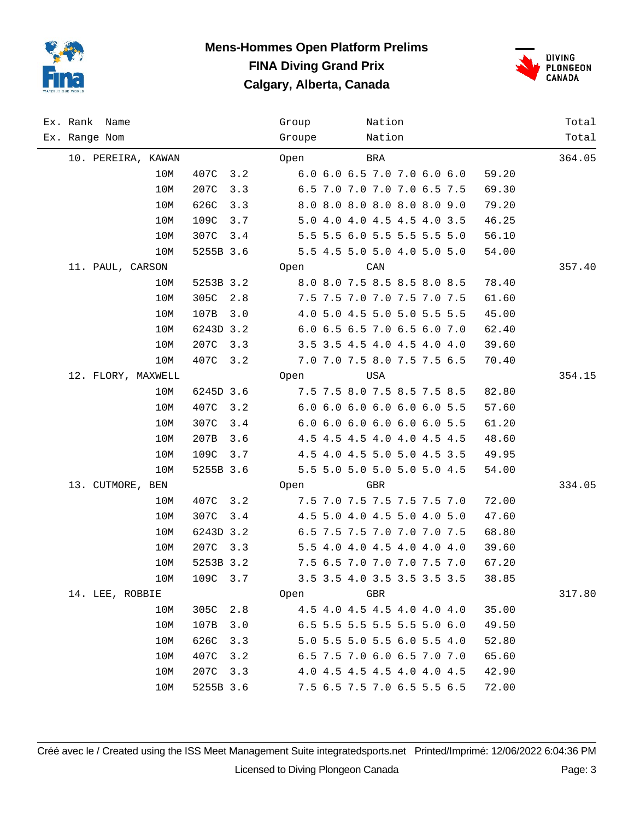

#### **Mens-Hommes Open Platform Prelims FINA Diving Grand Prix Calgary, Alberta, Canada**



| Ex. Rank Name      |     |           |     | Group  | Nation                      |  |       | Total  |
|--------------------|-----|-----------|-----|--------|-----------------------------|--|-------|--------|
| Ex. Range Nom      |     |           |     | Groupe | Nation                      |  |       | Total  |
| 10. PEREIRA, KAWAN |     |           |     | Open   | $_{\rm BRA}$                |  |       | 364.05 |
|                    | 10M | 407C      | 3.2 |        | 6.0 6.0 6.5 7.0 7.0 6.0 6.0 |  | 59.20 |        |
|                    | 10M | 207C      | 3.3 |        | 6.5 7.0 7.0 7.0 7.0 6.5 7.5 |  | 69.30 |        |
|                    | 10M | 626C      | 3.3 |        | 8.0 8.0 8.0 8.0 8.0 8.0 9.0 |  | 79.20 |        |
|                    | 10M | 109C      | 3.7 |        | 5.0 4.0 4.0 4.5 4.5 4.0 3.5 |  | 46.25 |        |
|                    | 10M | 307C      | 3.4 |        | 5.5 5.5 6.0 5.5 5.5 5.5 5.0 |  | 56.10 |        |
|                    | 10M | 5255B 3.6 |     |        | 5.5 4.5 5.0 5.0 4.0 5.0 5.0 |  | 54.00 |        |
| 11. PAUL, CARSON   |     |           |     | Open   | CAN                         |  |       | 357.40 |
|                    | 10M | 5253B 3.2 |     |        | 8.0 8.0 7.5 8.5 8.5 8.0 8.5 |  | 78.40 |        |
|                    | 10M | 305C      | 2.8 |        | 7.5 7.5 7.0 7.0 7.5 7.0 7.5 |  | 61.60 |        |
|                    | 10M | 107B      | 3.0 |        | 4.0 5.0 4.5 5.0 5.0 5.5 5.5 |  | 45.00 |        |
|                    | 10M | 6243D 3.2 |     |        | 6.0 6.5 6.5 7.0 6.5 6.0 7.0 |  | 62.40 |        |
|                    | 10M | 207C      | 3.3 |        | 3.5 3.5 4.5 4.0 4.5 4.0 4.0 |  | 39.60 |        |
|                    | 10M | 407C      | 3.2 |        | 7.0 7.0 7.5 8.0 7.5 7.5 6.5 |  | 70.40 |        |
| 12. FLORY, MAXWELL |     |           |     | Open   | USA                         |  |       | 354.15 |
|                    | 10M | 6245D 3.6 |     |        | 7.5 7.5 8.0 7.5 8.5 7.5 8.5 |  | 82.80 |        |
|                    | 10M | 407C      | 3.2 |        | 6.0 6.0 6.0 6.0 6.0 6.0 5.5 |  | 57.60 |        |
|                    | 10M | 307C      | 3.4 |        | 6.0 6.0 6.0 6.0 6.0 6.0 5.5 |  | 61.20 |        |
|                    | 10M | 207B      | 3.6 |        | 4.5 4.5 4.5 4.0 4.0 4.5 4.5 |  | 48.60 |        |
|                    | 10M | 109C      | 3.7 |        | 4.5 4.0 4.5 5.0 5.0 4.5 3.5 |  | 49.95 |        |
|                    | 10M | 5255B 3.6 |     |        | 5.5 5.0 5.0 5.0 5.0 5.0 4.5 |  | 54.00 |        |
| 13. CUTMORE, BEN   |     |           |     | Open   | GBR                         |  |       | 334.05 |
|                    | 10M | 407C      | 3.2 |        | 7.5 7.0 7.5 7.5 7.5 7.5 7.0 |  | 72.00 |        |
|                    | 10M | 307C      | 3.4 |        | 4.5 5.0 4.0 4.5 5.0 4.0 5.0 |  | 47.60 |        |
|                    | 10M | 6243D 3.2 |     |        | 6.5 7.5 7.5 7.0 7.0 7.0 7.5 |  | 68.80 |        |
|                    | 10M | 207C 3.3  |     |        | 5.5 4.0 4.0 4.5 4.0 4.0 4.0 |  | 39.60 |        |
|                    | 10M | 5253B 3.2 |     |        | 7.5 6.5 7.0 7.0 7.0 7.5 7.0 |  | 67.20 |        |
|                    | 10M | 109C      | 3.7 |        | 3.5 3.5 4.0 3.5 3.5 3.5 3.5 |  | 38.85 |        |
| 14. LEE, ROBBIE    |     |           |     | Open   | GBR                         |  |       | 317.80 |
|                    | 10M | 305C      | 2.8 |        | 4.5 4.0 4.5 4.5 4.0 4.0 4.0 |  | 35.00 |        |
|                    | 10M | 107B      | 3.0 |        | 6.5 5.5 5.5 5.5 5.5 5.0 6.0 |  | 49.50 |        |
|                    | 10M | 626C      | 3.3 |        | 5.0 5.5 5.0 5.5 6.0 5.5 4.0 |  | 52.80 |        |
|                    | 10M | 407C      | 3.2 |        | 6.5 7.5 7.0 6.0 6.5 7.0 7.0 |  | 65.60 |        |
|                    | 10M | 207C      | 3.3 |        | 4.0 4.5 4.5 4.5 4.0 4.0 4.5 |  | 42.90 |        |
|                    | 10M | 5255B 3.6 |     |        | 7.5 6.5 7.5 7.0 6.5 5.5 6.5 |  | 72.00 |        |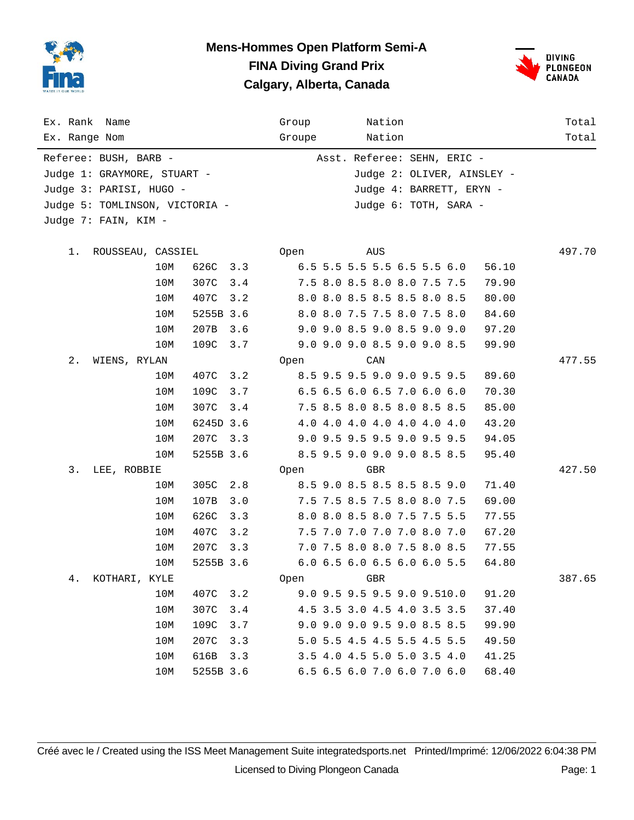

#### **Mens-Hommes Open Platform Semi-A FINA Diving Grand Prix Calgary, Alberta, Canada**



| Ex. Rank Name<br>Ex. Range Nom |     |           |     | Group<br>Groupe | Nation<br>Nation            |                          |  |                            | Total<br>Total |
|--------------------------------|-----|-----------|-----|-----------------|-----------------------------|--------------------------|--|----------------------------|----------------|
| Referee: BUSH, BARB -          |     |           |     |                 | Asst. Referee: SEHN, ERIC - |                          |  |                            |                |
| Judge 1: GRAYMORE, STUART -    |     |           |     |                 |                             |                          |  | Judge 2: OLIVER, AINSLEY - |                |
| Judge 3: PARISI, HUGO -        |     |           |     |                 |                             | Judge 4: BARRETT, ERYN - |  |                            |                |
| Judge 5: TOMLINSON, VICTORIA - |     |           |     |                 |                             | Judge 6: TOTH, SARA -    |  |                            |                |
| Judge 7: FAIN, KIM -           |     |           |     |                 |                             |                          |  |                            |                |
|                                |     |           |     |                 |                             |                          |  |                            |                |
| 1.<br>ROUSSEAU, CASSIEL        |     |           |     | Open            | AUS                         |                          |  |                            | 497.70         |
|                                | 10M | 626C      | 3.3 |                 | 6.5 5.5 5.5 5.5 6.5 5.5 6.0 |                          |  | 56.10                      |                |
|                                | 10M | 307C      | 3.4 |                 | 7.5 8.0 8.5 8.0 8.0 7.5 7.5 |                          |  | 79.90                      |                |
|                                | 10M | 407C      | 3.2 |                 | 8.0 8.0 8.5 8.5 8.5 8.0 8.5 |                          |  | 80.00                      |                |
|                                | 10M | 5255B 3.6 |     |                 | 8.0 8.0 7.5 7.5 8.0 7.5 8.0 |                          |  | 84.60                      |                |
|                                | 10M | 207B      | 3.6 |                 | 9.0 9.0 8.5 9.0 8.5 9.0 9.0 |                          |  | 97.20                      |                |
|                                | 10M | 109C      | 3.7 |                 | 9.0 9.0 9.0 8.5 9.0 9.0 8.5 |                          |  | 99.90                      |                |
| $2$ .<br>WIENS, RYLAN          |     |           |     | Open            | CAN                         |                          |  |                            | 477.55         |
|                                | 10M | 407C      | 3.2 |                 | 8.5 9.5 9.5 9.0 9.0 9.5 9.5 |                          |  | 89.60                      |                |
|                                | 10M | 109C      | 3.7 |                 | 6.5 6.5 6.0 6.5 7.0 6.0 6.0 |                          |  | 70.30                      |                |
|                                | 10M | 307C      | 3.4 |                 | 7.5 8.5 8.0 8.5 8.0 8.5 8.5 |                          |  | 85.00                      |                |
|                                | 10M | 6245D 3.6 |     |                 | 4.0 4.0 4.0 4.0 4.0 4.0 4.0 |                          |  | 43.20                      |                |
|                                | 10M | 207C      | 3.3 |                 | 9.0 9.5 9.5 9.5 9.0 9.5 9.5 |                          |  | 94.05                      |                |
|                                | 10M | 5255B 3.6 |     |                 | 8.5 9.5 9.0 9.0 9.0 8.5 8.5 |                          |  | 95.40                      |                |
| 3.<br>LEE, ROBBIE              |     |           |     | Open            | GBR                         |                          |  |                            | 427.50         |
|                                | 10M | 305C      | 2.8 |                 | 8.5 9.0 8.5 8.5 8.5 8.5 9.0 |                          |  | 71.40                      |                |
|                                | 10M | 107B      | 3.0 |                 | 7.5 7.5 8.5 7.5 8.0 8.0 7.5 |                          |  | 69.00                      |                |
|                                | 10M | 626C      | 3.3 |                 | 8.0 8.0 8.5 8.0 7.5 7.5 5.5 |                          |  | 77.55                      |                |
|                                | 10M | 407C      | 3.2 |                 | 7.5 7.0 7.0 7.0 7.0 8.0 7.0 |                          |  | 67.20                      |                |
|                                | 10M | 207C      | 3.3 |                 | 7.0 7.5 8.0 8.0 7.5 8.0 8.5 |                          |  | 77.55                      |                |
|                                | 10M | 5255B 3.6 |     |                 | 6.0 6.5 6.0 6.5 6.0 6.0 5.5 |                          |  | 64.80                      |                |
| 4.<br>KOTHARI, KYLE            |     |           |     | Open            | GBR                         |                          |  |                            | 387.65         |
|                                | 10M | 407C      | 3.2 |                 | 9.0 9.5 9.5 9.5 9.0 9.510.0 |                          |  | 91.20                      |                |
|                                | 10M | 307C      | 3.4 |                 | 4.5 3.5 3.0 4.5 4.0 3.5 3.5 |                          |  | 37.40                      |                |
|                                | 10M | 109C      | 3.7 |                 | 9.0 9.0 9.0 9.5 9.0 8.5 8.5 |                          |  | 99.90                      |                |
|                                | 10M | 207C      | 3.3 |                 | 5.0 5.5 4.5 4.5 5.5 4.5 5.5 |                          |  | 49.50                      |                |
|                                | 10M | 616B      | 3.3 |                 | 3.5 4.0 4.5 5.0 5.0 3.5 4.0 |                          |  | 41.25                      |                |
|                                | 10M | 5255B 3.6 |     |                 | 6.5 6.5 6.0 7.0 6.0 7.0 6.0 |                          |  | 68.40                      |                |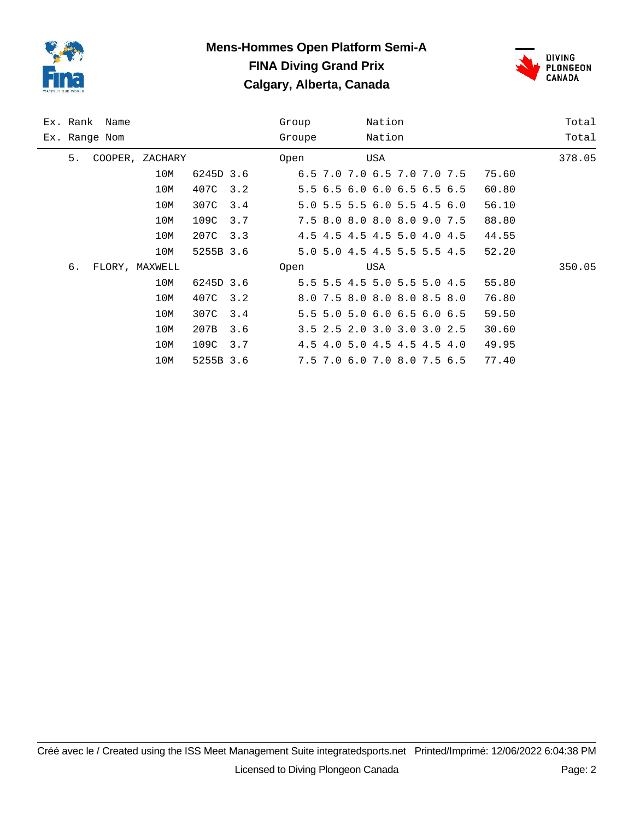

# **Mens-Hommes Open Platform Semi-A FINA Diving Grand Prix Calgary, Alberta, Canada**



|               | Ex. Rank Name |                 |           | Group | Nation |        |                             | Total |        |
|---------------|---------------|-----------------|-----------|-------|--------|--------|-----------------------------|-------|--------|
| Ex. Range Nom |               |                 |           |       | Groupe | Nation |                             |       | Total  |
| 5.            |               | COOPER, ZACHARY |           |       | Open   | USA    |                             |       | 378.05 |
|               |               | 10M             | 6245D 3.6 |       |        |        | 6.5 7.0 7.0 6.5 7.0 7.0 7.5 | 75.60 |        |
|               |               | 10M             | 407C      | 3.2   |        |        | 5.5 6.5 6.0 6.0 6.5 6.5 6.5 | 60.80 |        |
|               |               | 10M             | 307C      | 3.4   |        |        | 5.0 5.5 5.5 6.0 5.5 4.5 6.0 | 56.10 |        |
|               |               | 10M             | 109C      | 3.7   |        |        | 7.5 8.0 8.0 8.0 8.0 9.0 7.5 | 88.80 |        |
|               |               | 10M             | 207C      | 3.3   |        |        | 4.5 4.5 4.5 4.5 5.0 4.0 4.5 | 44.55 |        |
|               |               | 10M             | 5255B 3.6 |       |        |        | 5.0 5.0 4.5 4.5 5.5 5.5 4.5 | 52.20 |        |
| б.            |               | FLORY, MAXWELL  |           |       | Open   | USA    |                             |       | 350.05 |
|               |               | 10M             | 6245D 3.6 |       |        |        | 5.5 5.5 4.5 5.0 5.5 5.0 4.5 | 55.80 |        |
|               |               | 10M             | 407C      | 3.2   |        |        | 8.0 7.5 8.0 8.0 8.0 8.5 8.0 | 76.80 |        |
|               |               | 10M             | 307C      | 3.4   |        |        | 5.5 5.0 5.0 6.0 6.5 6.0 6.5 | 59.50 |        |
|               |               | 10M             | 207B      | 3.6   |        |        | 3.5 2.5 2.0 3.0 3.0 3.0 2.5 | 30.60 |        |
|               |               | 10M             | 109C      | 3.7   |        |        | 4.5 4.0 5.0 4.5 4.5 4.5 4.0 | 49.95 |        |
|               |               | 10M             | 5255B 3.6 |       |        |        | 7.5 7.0 6.0 7.0 8.0 7.5 6.5 | 77.40 |        |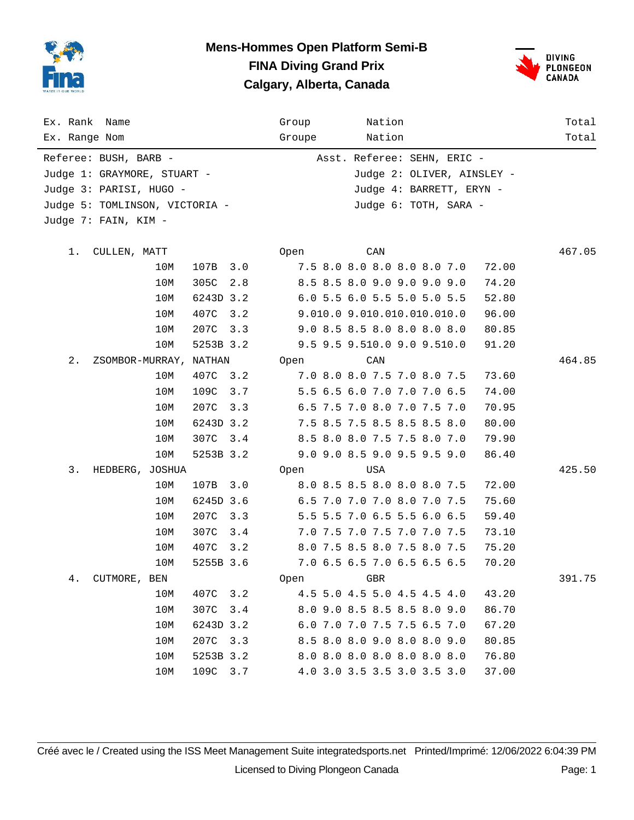

#### **Mens-Hommes Open Platform Semi-B FINA Diving Grand Prix Calgary, Alberta, Canada**



| Ex. Rank Name<br>Ex. Range Nom  |             | Group<br>Groupe | Nation<br>Nation            | Total<br>Total |
|---------------------------------|-------------|-----------------|-----------------------------|----------------|
|                                 |             |                 |                             |                |
| Referee: BUSH, BARB -           |             |                 | Asst. Referee: SEHN, ERIC - |                |
| Judge 1: GRAYMORE, STUART -     |             |                 | Judge 2: OLIVER, AINSLEY -  |                |
| Judge 3: PARISI, HUGO -         |             |                 | Judge 4: BARRETT, ERYN -    |                |
| Judge 5: TOMLINSON, VICTORIA -  |             |                 | Judge 6: TOTH, SARA -       |                |
| Judge 7: FAIN, KIM -            |             |                 |                             |                |
| 1.<br>CULLEN, MATT              |             | Open            | CAN                         | 467.05         |
| 107B<br>10M                     | 3.0         |                 | 7.5 8.0 8.0 8.0 8.0 8.0 7.0 | 72.00          |
| 10M<br>305C                     | 2.8         |                 | 8.5 8.5 8.0 9.0 9.0 9.0 9.0 | 74.20          |
| 10M                             | 6243D 3.2   |                 | 6.0 5.5 6.0 5.5 5.0 5.0 5.5 | 52.80          |
| 10M<br>407C                     | 3.2         |                 | 9.010.0 9.010.010.010.010.0 | 96.00          |
| 207C<br>10M                     | 3.3         |                 | 9.0 8.5 8.5 8.0 8.0 8.0 8.0 | 80.85          |
| 10M                             | 5253B 3.2   |                 | 9.5 9.5 9.510.0 9.0 9.510.0 | 91.20          |
| $2$ .<br>ZSOMBOR-MURRAY, NATHAN |             | Open            | CAN                         | 464.85         |
| 10M<br>407C                     | 3.2         |                 | 7.0 8.0 8.0 7.5 7.0 8.0 7.5 | 73.60          |
| 10M<br>109C                     | 3.7         |                 | 5.5 6.5 6.0 7.0 7.0 7.0 6.5 | 74.00          |
| 10M<br>207C                     | 3.3         |                 | 6.5 7.5 7.0 8.0 7.0 7.5 7.0 | 70.95          |
| 10M                             | 6243D 3.2   |                 | 7.5 8.5 7.5 8.5 8.5 8.5 8.0 | 80.00          |
| 307C<br>10M                     | 3.4         |                 | 8.5 8.0 8.0 7.5 7.5 8.0 7.0 | 79.90          |
| 10M                             | 5253B 3.2   |                 | 9.0 9.0 8.5 9.0 9.5 9.5 9.0 | 86.40          |
| 3.<br>HEDBERG, JOSHUA           |             | Open            | USA                         | 425.50         |
| 10M<br>107B                     | 3.0         |                 | 8.0 8.5 8.5 8.0 8.0 8.0 7.5 | 72.00          |
| 10M                             | 6245D 3.6   |                 | 6.5 7.0 7.0 7.0 8.0 7.0 7.5 | 75.60          |
| 10M<br>207C                     | 3.3         |                 | 5.5 5.5 7.0 6.5 5.5 6.0 6.5 | 59.40          |
| 10M<br>307C                     | 3.4         |                 | 7.0 7.5 7.0 7.5 7.0 7.0 7.5 | 73.10          |
| 10M<br>407C                     | 3.2         |                 | 8.0 7.5 8.5 8.0 7.5 8.0 7.5 | 75.20          |
| 10M                             | 5255B 3.6   |                 | 7.0 6.5 6.5 7.0 6.5 6.5 6.5 | 70.20          |
| 4.<br>CUTMORE, BEN              |             | Open            | GBR                         | 391.75         |
| 10M<br>407C                     | 3.2         |                 | 4.5 5.0 4.5 5.0 4.5 4.5 4.0 | 43.20          |
| 307C<br>10M                     | 3.4         |                 | 8.0 9.0 8.5 8.5 8.5 8.0 9.0 | 86.70          |
| 10M                             | 6243D 3.2   |                 | 6.0 7.0 7.0 7.5 7.5 6.5 7.0 | 67.20          |
| 207C<br>10M                     | 3.3         |                 | 8.5 8.0 8.0 9.0 8.0 8.0 9.0 | 80.85          |
| 10M                             | 5253B 3.2   |                 | 8.0 8.0 8.0 8.0 8.0 8.0 8.0 | 76.80          |
| 10M                             | 109C<br>3.7 |                 | 4.0 3.0 3.5 3.5 3.0 3.5 3.0 | 37.00          |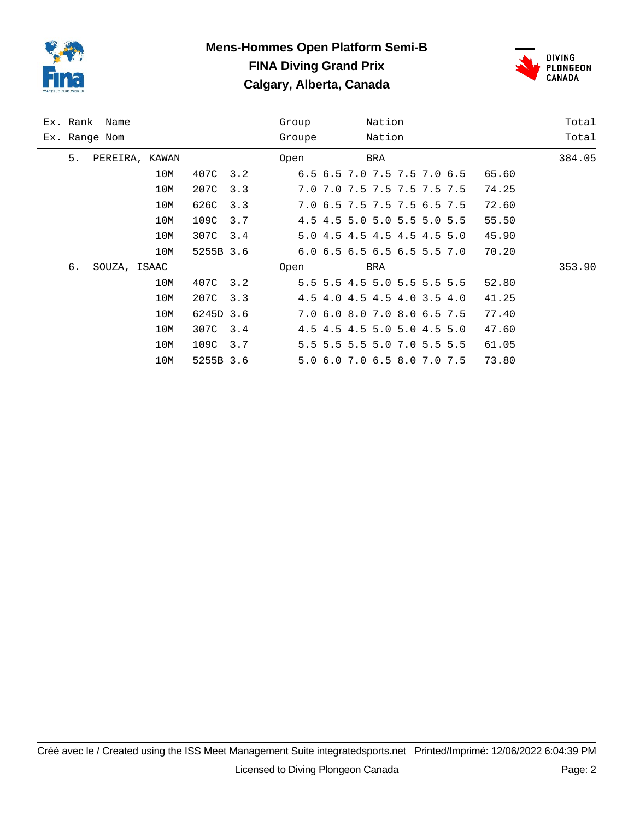

# **Mens-Hommes Open Platform Semi-B FINA Diving Grand Prix Calgary, Alberta, Canada**



| Ex. Rank Name |                |     |           |     | Group  |                             | Nation |  |       | Total  |
|---------------|----------------|-----|-----------|-----|--------|-----------------------------|--------|--|-------|--------|
| Ex. Range Nom |                |     |           |     | Groupe |                             | Nation |  |       | Total  |
| 5.            | PEREIRA, KAWAN |     |           |     | Open   |                             | BRA    |  |       | 384.05 |
|               |                | 10M | 407C 3.2  |     |        | 6.5 6.5 7.0 7.5 7.5 7.0 6.5 |        |  | 65.60 |        |
|               |                | 10M | 207C      | 3.3 |        | 7.0 7.0 7.5 7.5 7.5 7.5 7.5 |        |  | 74.25 |        |
|               |                | 10M | 626C      | 3.3 |        | 7.0 6.5 7.5 7.5 7.5 6.5 7.5 |        |  | 72.60 |        |
|               |                | 10M | 109C      | 3.7 |        | 4.5 4.5 5.0 5.0 5.5 5.0 5.5 |        |  | 55.50 |        |
|               |                | 10M | 307C 3.4  |     |        | 5.0 4.5 4.5 4.5 4.5 4.5 5.0 |        |  | 45.90 |        |
|               |                | 10M | 5255B 3.6 |     |        | 6.0 6.5 6.5 6.5 6.5 5.5 7.0 |        |  | 70.20 |        |
| б.            | SOUZA, ISAAC   |     |           |     | Open   |                             | BRA    |  |       | 353.90 |
|               |                | 10M | 407C 3.2  |     |        | 5.5 5.5 4.5 5.0 5.5 5.5 5.5 |        |  | 52.80 |        |
|               |                | 10M | 207C      | 3.3 |        | 4.5 4.0 4.5 4.5 4.0 3.5 4.0 |        |  | 41.25 |        |
|               |                | 10M | 6245D 3.6 |     |        | 7.0 6.0 8.0 7.0 8.0 6.5 7.5 |        |  | 77.40 |        |
|               |                | 10M | 307C 3.4  |     |        | 4.5 4.5 4.5 5.0 5.0 4.5 5.0 |        |  | 47.60 |        |
|               |                | 10M | 109C      | 3.7 |        | 5.5 5.5 5.5 5.0 7.0 5.5 5.5 |        |  | 61.05 |        |
|               |                | 10M | 5255B 3.6 |     |        | 5.0 6.0 7.0 6.5 8.0 7.0 7.5 |        |  | 73.80 |        |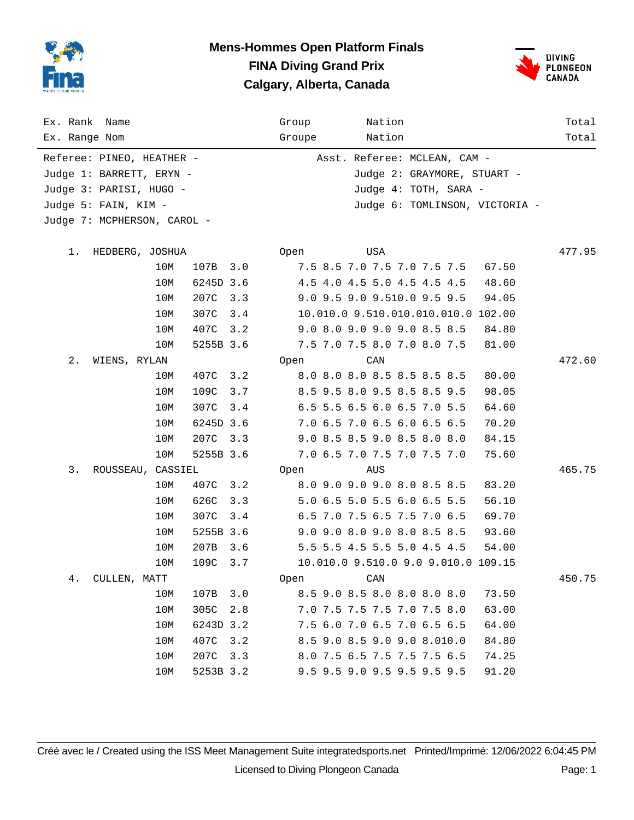

#### **Mens-Hommes Open Platform Finals FINA Diving Grand Prix Calgary, Alberta, Canada**



| Ex. Rank Name<br>Ex. Range Nom                                                                           |             |           | Nation<br>Group<br>Nation<br>Groupe                                                                                    | Total<br>Total |
|----------------------------------------------------------------------------------------------------------|-------------|-----------|------------------------------------------------------------------------------------------------------------------------|----------------|
| Referee: PINEO, HEATHER -<br>Judge 1: BARRETT, ERYN -<br>Judge 3: PARISI, HUGO -<br>Judge 5: FAIN, KIM - |             |           | Asst. Referee: MCLEAN, CAM -<br>Judge 2: GRAYMORE, STUART -<br>Judge 4: TOTH, SARA -<br>Judge 6: TOMLINSON, VICTORIA - |                |
| Judge 7: MCPHERSON, CAROL -                                                                              |             |           |                                                                                                                        |                |
| 1.<br>HEDBERG, JOSHUA                                                                                    |             |           | USA<br>Open                                                                                                            | 477.95         |
|                                                                                                          | 10M         | 107B 3.0  | 7.5 8.5 7.0 7.5 7.0 7.5 7.5<br>67.50                                                                                   |                |
|                                                                                                          | 10M         | 6245D 3.6 | 4.5 4.0 4.5 5.0 4.5 4.5 4.5<br>48.60                                                                                   |                |
|                                                                                                          | 207C<br>10M | 3.3       | 9.0 9.5 9.0 9.510.0 9.5 9.5<br>94.05                                                                                   |                |
|                                                                                                          | 307C<br>10M | 3.4       | 10.010.0 9.510.010.010.010.0 102.00                                                                                    |                |
|                                                                                                          | 407C<br>10M | 3.2       | 9.0 8.0 9.0 9.0 9.0 8.5 8.5<br>84.80                                                                                   |                |
|                                                                                                          | 10M         | 5255B 3.6 | 7.5 7.0 7.5 8.0 7.0 8.0 7.5<br>81.00                                                                                   |                |
| 2.<br>WIENS, RYLAN                                                                                       |             |           | CAN<br>0pen                                                                                                            | 472.60         |
|                                                                                                          | 407C<br>10M | 3.2       | 8.0 8.0 8.0 8.5 8.5 8.5 8.5<br>80.00                                                                                   |                |
|                                                                                                          | 109C<br>10M | 3.7       | 8.5 9.5 8.0 9.5 8.5 8.5 9.5<br>98.05                                                                                   |                |
|                                                                                                          | 10M<br>307C | 3.4       | 6.5 5.5 6.5 6.0 6.5 7.0 5.5<br>64.60                                                                                   |                |
|                                                                                                          | 10M         | 6245D 3.6 | 7.0 6.5 7.0 6.5 6.0 6.5 6.5<br>70.20                                                                                   |                |
|                                                                                                          | 207C<br>10M | 3.3       | 9.0 8.5 8.5 9.0 8.5 8.0 8.0<br>84.15                                                                                   |                |
|                                                                                                          | 10M         | 5255B 3.6 | 7.0 6.5 7.0 7.5 7.0 7.5 7.0<br>75.60                                                                                   |                |
| 3.<br>ROUSSEAU, CASSIEL                                                                                  |             |           | Open<br>AUS                                                                                                            | 465.75         |
|                                                                                                          | 10M<br>407C | 3.2       | 8.0 9.0 9.0 9.0 8.0 8.5 8.5<br>83.20                                                                                   |                |
|                                                                                                          | 626C<br>10M | 3.3       | 5.0 6.5 5.0 5.5 6.0 6.5 5.5<br>56.10                                                                                   |                |
|                                                                                                          | 10M<br>307C | 3.4       | 6.5 7.0 7.5 6.5 7.5 7.0 6.5<br>69.70                                                                                   |                |
|                                                                                                          | 10M         | 5255B 3.6 | 9.0 9.0 8.0 9.0 8.0 8.5 8.5<br>93.60                                                                                   |                |
|                                                                                                          | 10M<br>207B | 3.6       | 5.5 5.5 4.5 5.5 5.0 4.5 4.5<br>54.00                                                                                   |                |
|                                                                                                          | 109C<br>10M | 3.7       | 10.010.0 9.510.0 9.0 9.010.0 109.15                                                                                    |                |
| 4.<br>CULLEN, MATT                                                                                       |             |           | CAN<br>Open                                                                                                            | 450.75         |
|                                                                                                          | 107B<br>10M | 3.0       | 8.5 9.0 8.5 8.0 8.0 8.0 8.0<br>73.50                                                                                   |                |
|                                                                                                          | 305C<br>10M | 2.8       | 7.0 7.5 7.5 7.5 7.0 7.5 8.0<br>63.00                                                                                   |                |
|                                                                                                          | 10M         | 6243D 3.2 | 7.5 6.0 7.0 6.5 7.0 6.5 6.5<br>64.00                                                                                   |                |
|                                                                                                          | 407C<br>10M | 3.2       | 8.5 9.0 8.5 9.0 9.0 8.010.0<br>84.80                                                                                   |                |
|                                                                                                          | 10M<br>207C | 3.3       | 8.0 7.5 6.5 7.5 7.5 7.5 6.5<br>74.25                                                                                   |                |
|                                                                                                          | 10M         | 5253B 3.2 | 9.5 9.5 9.0 9.5 9.5 9.5 9.5<br>91.20                                                                                   |                |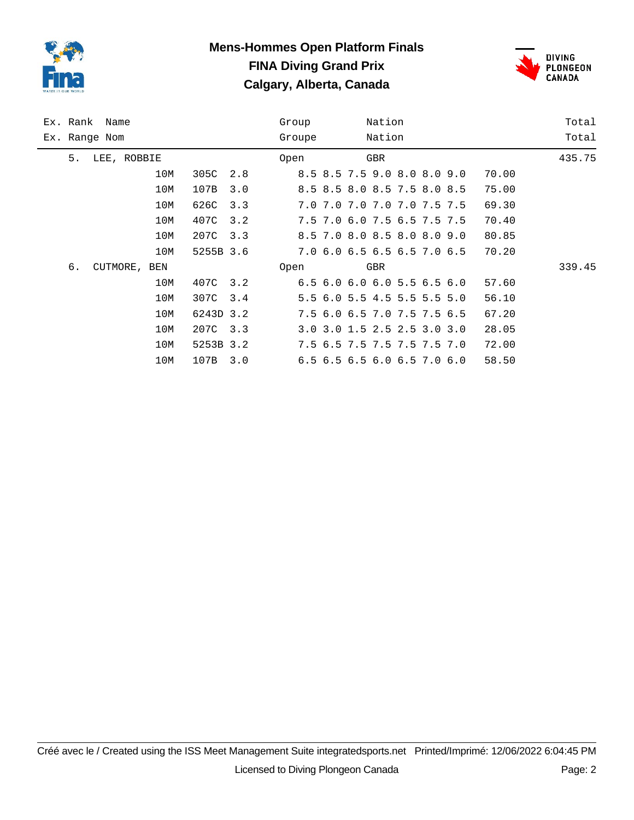

## **Mens-Hommes Open Platform Finals FINA Diving Grand Prix Calgary, Alberta, Canada**



| Ex. Rank Name |              |     |           |     | Group  |                                           | Nation |  |       | Total  |
|---------------|--------------|-----|-----------|-----|--------|-------------------------------------------|--------|--|-------|--------|
| Ex. Range Nom |              |     |           |     | Groupe |                                           | Nation |  |       | Total  |
| 5.            | LEE, ROBBIE  |     |           |     | Open   |                                           | GBR    |  |       | 435.75 |
|               |              | 10M | 305C      | 2.8 |        | 8.5 8.5 7.5 9.0 8.0 8.0 9.0               |        |  | 70.00 |        |
|               |              | 10M | 107B      | 3.0 |        | 8.5 8.5 8.0 8.5 7.5 8.0 8.5               |        |  | 75.00 |        |
|               |              | 10M | 626C      | 3.3 |        | 7.0 7.0 7.0 7.0 7.0 7.5 7.5               |        |  | 69.30 |        |
|               |              | 10M | 407C      | 3.2 |        | 7.5 7.0 6.0 7.5 6.5 7.5 7.5               |        |  | 70.40 |        |
|               |              | 10M | 207C      | 3.3 |        | 8.5 7.0 8.0 8.5 8.0 8.0 9.0               |        |  | 80.85 |        |
|               |              | 10M | 5255B 3.6 |     |        | 7.0 6.0 6.5 6.5 6.5 7.0 6.5               |        |  | 70.20 |        |
| б.            | CUTMORE, BEN |     |           |     | Open   |                                           | GBR    |  |       | 339.45 |
|               |              | 10M | 407C 3.2  |     |        | $6.5$ $6.0$ $6.0$ $6.0$ $5.5$ $6.5$ $6.0$ |        |  | 57.60 |        |
|               |              | 10M | 307C      | 3.4 |        | 5.5 6.0 5.5 4.5 5.5 5.5 5.0               |        |  | 56.10 |        |
|               |              | 10M | 6243D 3.2 |     |        | 7.5 6.0 6.5 7.0 7.5 7.5 6.5               |        |  | 67.20 |        |
|               |              | 10M | 207C 3.3  |     |        | 3.0 3.0 1.5 2.5 2.5 3.0 3.0               |        |  | 28.05 |        |
|               |              | 10M | 5253B 3.2 |     |        | 7.5 6.5 7.5 7.5 7.5 7.5 7.0               |        |  | 72.00 |        |
|               |              | 10M | 107B      | 3.0 |        | 6.5 6.5 6.5 6.0 6.5 7.0 6.0               |        |  | 58.50 |        |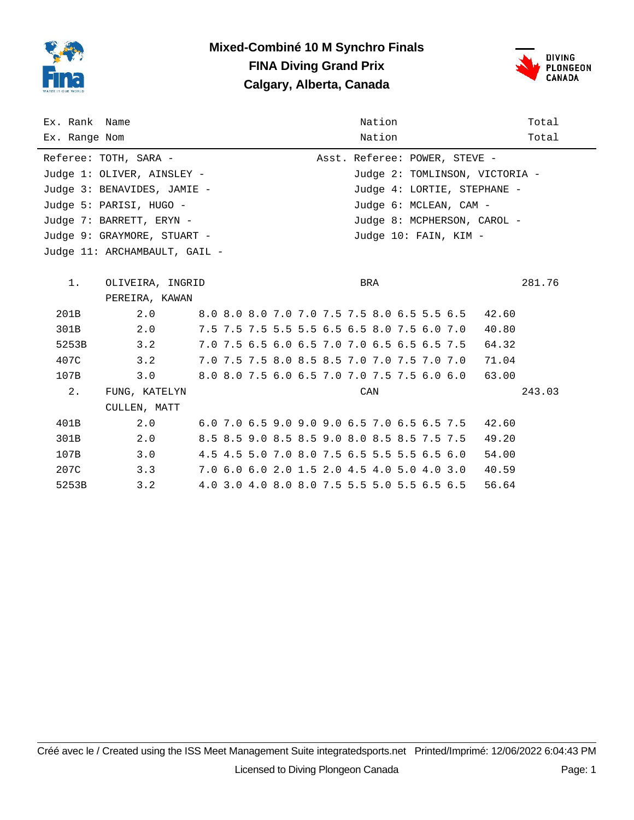

### **Mixed-Combiné 10 M Synchro Finals FINA Diving Grand Prix Calgary, Alberta, Canada**



| Ex. Rank Name |                               |  |                                             |  |  | Nation |  |                                             |                                | Total  |
|---------------|-------------------------------|--|---------------------------------------------|--|--|--------|--|---------------------------------------------|--------------------------------|--------|
| Ex. Range Nom |                               |  |                                             |  |  | Nation |  |                                             |                                | Total  |
|               | Referee: TOTH, SARA -         |  |                                             |  |  |        |  | Asst. Referee: POWER, STEVE -               |                                |        |
|               | Judge 1: OLIVER, AINSLEY -    |  |                                             |  |  |        |  |                                             | Judge 2: TOMLINSON, VICTORIA - |        |
|               | Judge 3: BENAVIDES, JAMIE -   |  |                                             |  |  |        |  |                                             | Judge 4: LORTIE, STEPHANE -    |        |
|               | Judge 5: PARISI, HUGO -       |  |                                             |  |  |        |  | Judge 6: MCLEAN, CAM -                      |                                |        |
|               | Judge 7: BARRETT, ERYN -      |  |                                             |  |  |        |  |                                             | Judge 8: MCPHERSON, CAROL -    |        |
|               | Judge 9: GRAYMORE, STUART -   |  |                                             |  |  |        |  | Judge 10: FAIN, KIM -                       |                                |        |
|               | Judge 11: ARCHAMBAULT, GAIL - |  |                                             |  |  |        |  |                                             |                                |        |
|               |                               |  |                                             |  |  |        |  |                                             |                                |        |
| $1$ .         | OLIVEIRA, INGRID              |  |                                             |  |  | BRA    |  |                                             |                                | 281.76 |
|               | PEREIRA, KAWAN                |  |                                             |  |  |        |  |                                             |                                |        |
| 201B          | 2.0                           |  |                                             |  |  |        |  | 8.0 8.0 8.0 7.0 7.0 7.5 7.5 8.0 6.5 5.5 6.5 | 42.60                          |        |
| 301B          | 2.0                           |  | 7.5 7.5 7.5 5.5 5.5 6.5 6.5 8.0 7.5 6.0 7.0 |  |  |        |  |                                             | 40.80                          |        |
| 5253B         | 3.2                           |  | 7.0 7.5 6.5 6.0 6.5 7.0 7.0 6.5 6.5 6.5 7.5 |  |  |        |  |                                             | 64.32                          |        |
| 407C          | 3.2                           |  |                                             |  |  |        |  | 7.0 7.5 7.5 8.0 8.5 8.5 7.0 7.0 7.5 7.0 7.0 | 71.04                          |        |
| 107B          | 3.0                           |  |                                             |  |  |        |  | 8.0 8.0 7.5 6.0 6.5 7.0 7.0 7.5 7.5 6.0 6.0 | 63.00                          |        |
| 2.            | FUNG, KATELYN                 |  |                                             |  |  | CAN    |  |                                             |                                | 243.03 |
|               | CULLEN, MATT                  |  |                                             |  |  |        |  |                                             |                                |        |
| 401B          | 2.0                           |  |                                             |  |  |        |  | 6.0 7.0 6.5 9.0 9.0 9.0 6.5 7.0 6.5 6.5 7.5 | 42.60                          |        |
| 301B          | 2.0                           |  |                                             |  |  |        |  | 8.5 8.5 9.0 8.5 8.5 9.0 8.0 8.5 8.5 7.5 7.5 | 49.20                          |        |
| 107B          | 3.0                           |  | 4.5 4.5 5.0 7.0 8.0 7.5 6.5 5.5 5.5 6.5 6.0 |  |  |        |  |                                             | 54.00                          |        |
| 207C          | 3.3                           |  | 7.0 6.0 6.0 2.0 1.5 2.0 4.5 4.0 5.0 4.0 3.0 |  |  |        |  |                                             | 40.59                          |        |
| 5253B         | 3.2                           |  | 4.0 3.0 4.0 8.0 8.0 7.5 5.5 5.0 5.5 6.5 6.5 |  |  |        |  |                                             | 56.64                          |        |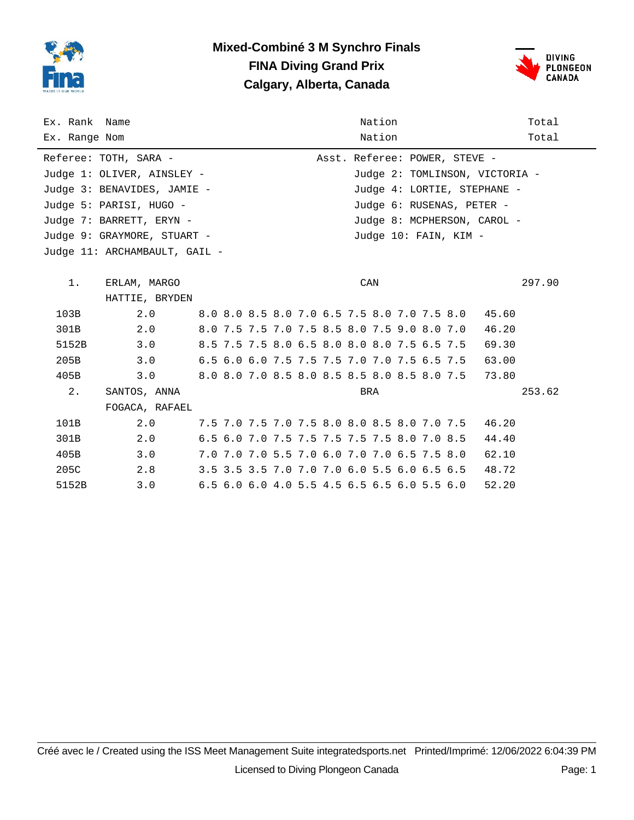

### **Mixed-Combiné 3 M Synchro Finals FINA Diving Grand Prix Calgary, Alberta, Canada**



| Ex. Rank Name |                               |  | Nation                                      | Total  |
|---------------|-------------------------------|--|---------------------------------------------|--------|
| Ex. Range Nom |                               |  | Nation                                      | Total  |
|               | Referee: TOTH, SARA -         |  | Asst. Referee: POWER, STEVE -               |        |
|               | Judge 1: OLIVER, AINSLEY -    |  | Judge 2: TOMLINSON, VICTORIA -              |        |
|               | Judge 3: BENAVIDES, JAMIE -   |  | Judge 4: LORTIE, STEPHANE -                 |        |
|               | Judge 5: PARISI, HUGO -       |  | Judge 6: RUSENAS, PETER -                   |        |
|               | Judge 7: BARRETT, ERYN -      |  | Judge 8: MCPHERSON, CAROL -                 |        |
|               | Judge 9: GRAYMORE, STUART -   |  | Judge 10: FAIN, KIM -                       |        |
|               | Judge 11: ARCHAMBAULT, GAIL - |  |                                             |        |
|               |                               |  |                                             |        |
| 1.            | ERLAM, MARGO                  |  | CAN                                         | 297.90 |
|               | HATTIE, BRYDEN                |  |                                             |        |
| 103B          | 2.0                           |  | 8.0 8.0 8.5 8.0 7.0 6.5 7.5 8.0 7.0 7.5 8.0 | 45.60  |
| 301B          | 2.0                           |  | 8.0 7.5 7.5 7.0 7.5 8.5 8.0 7.5 9.0 8.0 7.0 | 46.20  |
| 5152B         | 3.0                           |  | 8.5 7.5 7.5 8.0 6.5 8.0 8.0 8.0 7.5 6.5 7.5 | 69.30  |
| 205B          | 3.0                           |  | 6.5 6.0 6.0 7.5 7.5 7.5 7.0 7.0 7.5 6.5 7.5 | 63.00  |
| 405B          | 3.0                           |  | 8.0 8.0 7.0 8.5 8.0 8.5 8.5 8.0 8.5 8.0 7.5 | 73.80  |
| 2.            | SANTOS, ANNA                  |  | BRA                                         | 253.62 |
|               | FOGACA, RAFAEL                |  |                                             |        |
| 101B          | 2.0                           |  | 7.5 7.0 7.5 7.0 7.5 8.0 8.0 8.5 8.0 7.0 7.5 | 46.20  |
| 301B          | 2.0                           |  | 6.5 6.0 7.0 7.5 7.5 7.5 7.5 7.5 8.0 7.0 8.5 | 44.40  |
| 405B          | 3.0                           |  | 7.0 7.0 7.0 5.5 7.0 6.0 7.0 7.0 6.5 7.5 8.0 | 62.10  |
| 205C          | 2.8                           |  | 3.5 3.5 3.5 7.0 7.0 7.0 6.0 5.5 6.0 6.5 6.5 | 48.72  |
| 5152B         | 3.0                           |  | 6.5 6.0 6.0 4.0 5.5 4.5 6.5 6.5 6.0 5.5 6.0 | 52.20  |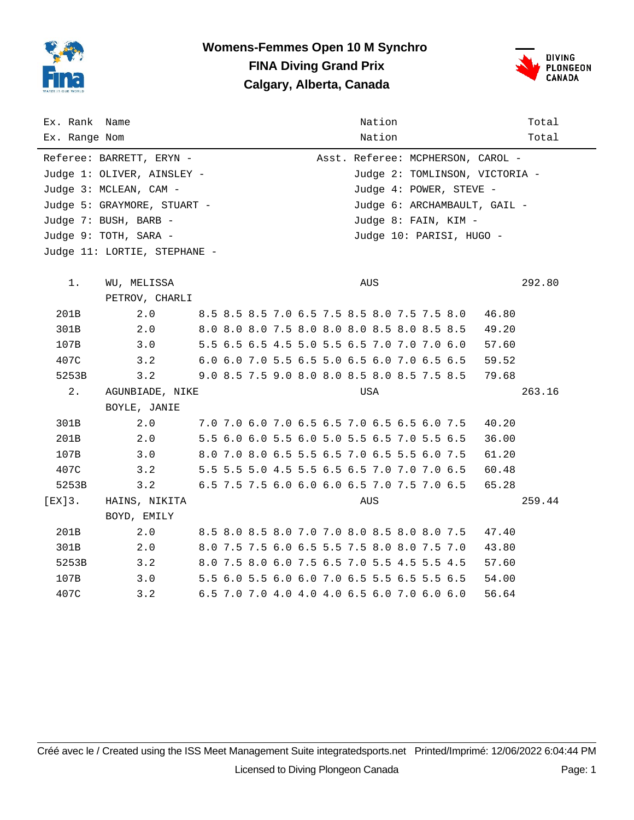

## **Womens-Femmes Open 10 M Synchro FINA Diving Grand Prix Calgary, Alberta, Canada**



| Ex. Rank Name<br>Ex. Range Nom |                              |  | Nation<br>Nation                            | Total<br>Total                 |
|--------------------------------|------------------------------|--|---------------------------------------------|--------------------------------|
|                                | Referee: BARRETT, ERYN -     |  | Asst. Referee: MCPHERSON, CAROL -           |                                |
|                                | Judge 1: OLIVER, AINSLEY -   |  |                                             | Judge 2: TOMLINSON, VICTORIA - |
|                                | Judge 3: MCLEAN, CAM -       |  | Judge 4: POWER, STEVE -                     |                                |
|                                | Judge 5: GRAYMORE, STUART -  |  | Judge 6: ARCHAMBAULT, GAIL -                |                                |
|                                | Judge 7: BUSH, BARB -        |  | Judge 8: FAIN, KIM -                        |                                |
|                                | Judge 9: TOTH, SARA -        |  | Judge 10: PARISI, HUGO -                    |                                |
|                                | Judge 11: LORTIE, STEPHANE - |  |                                             |                                |
|                                |                              |  |                                             |                                |
| $1$ .                          | WU, MELISSA                  |  | AUS                                         | 292.80                         |
|                                | PETROV, CHARLI               |  |                                             |                                |
| 201B                           | 2.0                          |  | 8.5 8.5 8.5 7.0 6.5 7.5 8.5 8.0 7.5 7.5 8.0 | 46.80                          |
| 301B                           | 2.0                          |  | 8.0 8.0 8.0 7.5 8.0 8.0 8.0 8.5 8.0 8.5 8.5 | 49.20                          |
| 107B                           | 3.0                          |  | 5.5 6.5 6.5 4.5 5.0 5.5 6.5 7.0 7.0 7.0 6.0 | 57.60                          |
| 407C                           | 3.2                          |  | 6.0 6.0 7.0 5.5 6.5 5.0 6.5 6.0 7.0 6.5 6.5 | 59.52                          |
| 5253B                          | 3.2                          |  | 9.0 8.5 7.5 9.0 8.0 8.0 8.5 8.0 8.5 7.5 8.5 | 79.68                          |
| 2.                             | AGUNBIADE, NIKE              |  | USA                                         | 263.16                         |
|                                | BOYLE, JANIE                 |  |                                             |                                |
| 301B                           | 2.0                          |  | 7.0 7.0 6.0 7.0 6.5 6.5 7.0 6.5 6.5 6.0 7.5 | 40.20                          |
| 201B                           | 2.0                          |  | 5.5 6.0 6.0 5.5 6.0 5.0 5.5 6.5 7.0 5.5 6.5 | 36.00                          |
| 107B                           | 3.0                          |  | 8.0 7.0 8.0 6.5 5.5 6.5 7.0 6.5 5.5 6.0 7.5 | 61.20                          |
| 407C                           | 3.2                          |  | 5.5 5.5 5.0 4.5 5.5 6.5 6.5 7.0 7.0 7.0 6.5 | 60.48                          |
| 5253B                          | 3.2                          |  | 6.5 7.5 7.5 6.0 6.0 6.0 6.5 7.0 7.5 7.0 6.5 | 65.28                          |
| $[EX]3$ .                      | HAINS, NIKITA                |  | AUS                                         | 259.44                         |
|                                | BOYD, EMILY                  |  |                                             |                                |
| 201B                           | 2.0                          |  | 8.5 8.0 8.5 8.0 7.0 7.0 8.0 8.5 8.0 8.0 7.5 | 47.40                          |
| 301B                           | 2.0                          |  | 8.0 7.5 7.5 6.0 6.5 5.5 7.5 8.0 8.0 7.5 7.0 | 43.80                          |
| 5253B                          | 3.2                          |  | 8.0 7.5 8.0 6.0 7.5 6.5 7.0 5.5 4.5 5.5 4.5 | 57.60                          |
| 107B                           | 3.0                          |  | 5.5 6.0 5.5 6.0 6.0 7.0 6.5 5.5 6.5 5.5 6.5 | 54.00                          |
| 407C                           | 3.2                          |  | 6.5 7.0 7.0 4.0 4.0 4.0 6.5 6.0 7.0 6.0 6.0 | 56.64                          |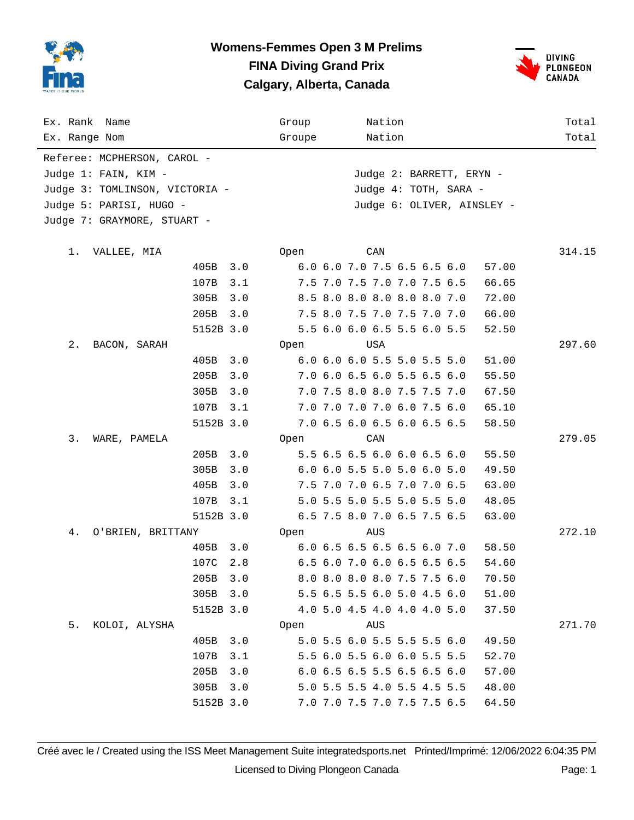



| Ex. Rank Name                  |           |     | Group                 |  |     | Nation                      |  |  |       | Total  |  |  |
|--------------------------------|-----------|-----|-----------------------|--|-----|-----------------------------|--|--|-------|--------|--|--|
| Ex. Range Nom                  |           |     | Groupe                |  |     | Nation                      |  |  |       | Total  |  |  |
| Referee: MCPHERSON, CAROL -    |           |     |                       |  |     |                             |  |  |       |        |  |  |
| Judge 1: FAIN, KIM -           |           |     |                       |  |     | Judge 2: BARRETT, ERYN -    |  |  |       |        |  |  |
| Judge 3: TOMLINSON, VICTORIA - |           |     | Judge 4: TOTH, SARA - |  |     |                             |  |  |       |        |  |  |
| Judge 5: PARISI, HUGO -        |           |     |                       |  |     |                             |  |  |       |        |  |  |
| Judge 7: GRAYMORE, STUART -    |           |     |                       |  |     |                             |  |  |       |        |  |  |
|                                |           |     |                       |  |     |                             |  |  |       |        |  |  |
| 1.<br>VALLEE, MIA              |           |     | Open                  |  | CAN |                             |  |  |       | 314.15 |  |  |
|                                | 405B      | 3.0 |                       |  |     | 6.0 6.0 7.0 7.5 6.5 6.5 6.0 |  |  | 57.00 |        |  |  |
|                                | 107B      | 3.1 |                       |  |     | 7.5 7.0 7.5 7.0 7.0 7.5 6.5 |  |  | 66.65 |        |  |  |
|                                | 305B      | 3.0 |                       |  |     | 8.5 8.0 8.0 8.0 8.0 8.0 7.0 |  |  | 72.00 |        |  |  |
|                                | 205B      | 3.0 |                       |  |     | 7.5 8.0 7.5 7.0 7.5 7.0 7.0 |  |  | 66.00 |        |  |  |
|                                | 5152B 3.0 |     |                       |  |     | 5.5 6.0 6.0 6.5 5.5 6.0 5.5 |  |  | 52.50 |        |  |  |
| 2.<br>BACON, SARAH             |           |     | Open                  |  |     | USA                         |  |  |       | 297.60 |  |  |
|                                | 405B      | 3.0 |                       |  |     | 6.0 6.0 6.0 5.5 5.0 5.5 5.0 |  |  | 51.00 |        |  |  |
|                                | 205B      | 3.0 |                       |  |     | 7.0 6.0 6.5 6.0 5.5 6.5 6.0 |  |  | 55.50 |        |  |  |
|                                | 305B      | 3.0 |                       |  |     | 7.0 7.5 8.0 8.0 7.5 7.5 7.0 |  |  | 67.50 |        |  |  |
|                                | 107B      | 3.1 |                       |  |     | 7.0 7.0 7.0 7.0 6.0 7.5 6.0 |  |  | 65.10 |        |  |  |
|                                | 5152B 3.0 |     |                       |  |     | 7.0 6.5 6.0 6.5 6.0 6.5 6.5 |  |  | 58.50 |        |  |  |
| 3.<br>WARE, PAMELA             |           |     | Open                  |  | CAN |                             |  |  |       | 279.05 |  |  |
|                                | 205B      | 3.0 |                       |  |     | 5.5 6.5 6.5 6.0 6.0 6.5 6.0 |  |  | 55.50 |        |  |  |
|                                | 305B      | 3.0 |                       |  |     | 6.0 6.0 5.5 5.0 5.0 6.0 5.0 |  |  | 49.50 |        |  |  |
|                                | 405B      | 3.0 |                       |  |     | 7.5 7.0 7.0 6.5 7.0 7.0 6.5 |  |  | 63.00 |        |  |  |
|                                | 107B      | 3.1 |                       |  |     | 5.0 5.5 5.0 5.5 5.0 5.5 5.0 |  |  | 48.05 |        |  |  |
|                                | 5152B 3.0 |     |                       |  |     | 6.5 7.5 8.0 7.0 6.5 7.5 6.5 |  |  | 63.00 |        |  |  |
| 4.<br>O'BRIEN, BRITTANY        |           |     | Open                  |  | AUS |                             |  |  |       | 272.10 |  |  |
|                                | 405B      | 3.0 |                       |  |     | 6.0 6.5 6.5 6.5 6.5 6.0 7.0 |  |  | 58.50 |        |  |  |
|                                | 107C      | 2.8 |                       |  |     | 6.5 6.0 7.0 6.0 6.5 6.5 6.5 |  |  | 54.60 |        |  |  |
|                                | 205B      | 3.0 |                       |  |     | 8.0 8.0 8.0 8.0 7.5 7.5 6.0 |  |  | 70.50 |        |  |  |
|                                | 305B      | 3.0 |                       |  |     | 5.5 6.5 5.5 6.0 5.0 4.5 6.0 |  |  | 51.00 |        |  |  |
|                                | 5152B 3.0 |     |                       |  |     | 4.0 5.0 4.5 4.0 4.0 4.0 5.0 |  |  | 37.50 |        |  |  |
| 5.<br>KOLOI, ALYSHA            |           |     | Open                  |  | AUS |                             |  |  |       | 271.70 |  |  |
|                                | 405B      | 3.0 |                       |  |     | 5.0 5.5 6.0 5.5 5.5 5.5 6.0 |  |  | 49.50 |        |  |  |
|                                | 107B      | 3.1 |                       |  |     | 5.5 6.0 5.5 6.0 6.0 5.5 5.5 |  |  | 52.70 |        |  |  |
|                                | 205B      | 3.0 |                       |  |     | 6.0 6.5 6.5 5.5 6.5 6.5 6.0 |  |  | 57.00 |        |  |  |
|                                | 305B      | 3.0 |                       |  |     | 5.0 5.5 5.5 4.0 5.5 4.5 5.5 |  |  | 48.00 |        |  |  |
|                                | 5152B 3.0 |     |                       |  |     | 7.0 7.0 7.5 7.0 7.5 7.5 6.5 |  |  | 64.50 |        |  |  |

Créé avec le / Created using the ISS Meet Management Suite integratedsports.net Printed/Imprimé: 12/06/2022 6:04:35 PM Licensed to Diving Plongeon Canada Page: 1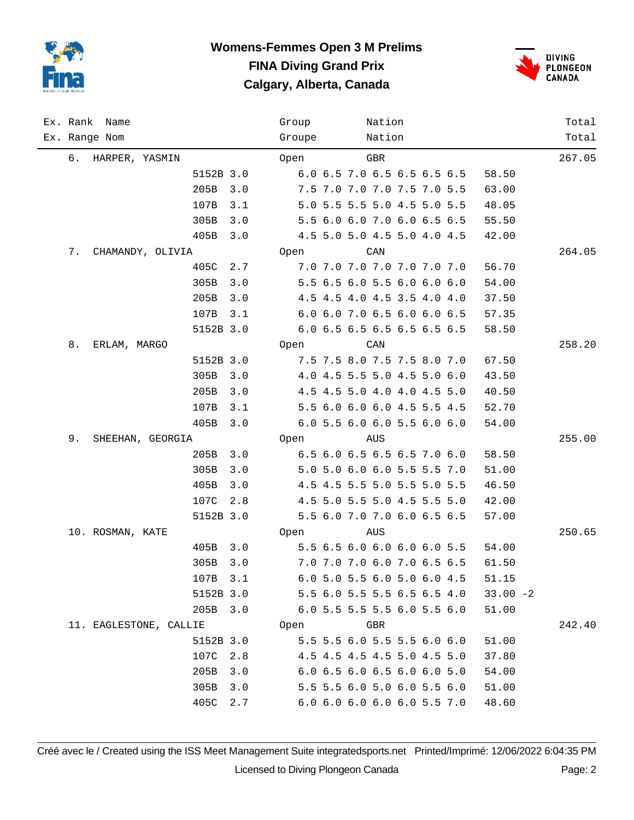



|    | Ex. Rank Name          |           |     | Group  |  | Nation |                             |  |             | Total  |
|----|------------------------|-----------|-----|--------|--|--------|-----------------------------|--|-------------|--------|
|    | Ex. Range Nom          |           |     | Groupe |  | Nation |                             |  |             | Total  |
| 6. | HARPER, YASMIN         |           |     | Open   |  | GBR    |                             |  |             | 267.05 |
|    |                        | 5152B 3.0 |     |        |  |        | 6.0 6.5 7.0 6.5 6.5 6.5 6.5 |  | 58.50       |        |
|    |                        | 205B      | 3.0 |        |  |        | 7.5 7.0 7.0 7.0 7.5 7.0 5.5 |  | 63.00       |        |
|    |                        | 107B      | 3.1 |        |  |        | 5.0 5.5 5.5 5.0 4.5 5.0 5.5 |  | 48.05       |        |
|    |                        | 305B      | 3.0 |        |  |        | 5.5 6.0 6.0 7.0 6.0 6.5 6.5 |  | 55.50       |        |
|    |                        | 405B      | 3.0 |        |  |        | 4.5 5.0 5.0 4.5 5.0 4.0 4.5 |  | 42.00       |        |
| 7. | CHAMANDY, OLIVIA       |           |     | Open   |  | CAN    |                             |  |             | 264.05 |
|    |                        | 405C      | 2.7 |        |  |        | 7.0 7.0 7.0 7.0 7.0 7.0 7.0 |  | 56.70       |        |
|    |                        | 305B      | 3.0 |        |  |        | 5.5 6.5 6.0 5.5 6.0 6.0 6.0 |  | 54.00       |        |
|    |                        | 205B      | 3.0 |        |  |        | 4.5 4.5 4.0 4.5 3.5 4.0 4.0 |  | 37.50       |        |
|    |                        | 107B      | 3.1 |        |  |        | 6.0 6.0 7.0 6.5 6.0 6.0 6.5 |  | 57.35       |        |
|    |                        | 5152B 3.0 |     |        |  |        | 6.0 6.5 6.5 6.5 6.5 6.5 6.5 |  | 58.50       |        |
| 8. | ERLAM, MARGO           |           |     | Open   |  | CAN    |                             |  |             | 258.20 |
|    |                        | 5152B 3.0 |     |        |  |        | 7.5 7.5 8.0 7.5 7.5 8.0 7.0 |  | 67.50       |        |
|    |                        | 305B      | 3.0 |        |  |        | 4.0 4.5 5.5 5.0 4.5 5.0 6.0 |  | 43.50       |        |
|    |                        | 205B      | 3.0 |        |  |        | 4.5 4.5 5.0 4.0 4.0 4.5 5.0 |  | 40.50       |        |
|    |                        | 107B      | 3.1 |        |  |        | 5.5 6.0 6.0 6.0 4.5 5.5 4.5 |  | 52.70       |        |
|    |                        | 405B      | 3.0 |        |  |        | 6.0 5.5 6.0 6.0 5.5 6.0 6.0 |  | 54.00       |        |
| 9. | SHEEHAN, GEORGIA       |           |     | Open   |  | AUS    |                             |  |             | 255.00 |
|    |                        | 205B      | 3.0 |        |  |        | 6.5 6.0 6.5 6.5 6.5 7.0 6.0 |  | 58.50       |        |
|    |                        | 305B      | 3.0 |        |  |        | 5.0 5.0 6.0 6.0 5.5 5.5 7.0 |  | 51.00       |        |
|    |                        | 405B      | 3.0 |        |  |        | 4.5 4.5 5.5 5.0 5.5 5.0 5.5 |  | 46.50       |        |
|    |                        | 107C      | 2.8 |        |  |        | 4.5 5.0 5.5 5.0 4.5 5.5 5.0 |  | 42.00       |        |
|    |                        | 5152B 3.0 |     |        |  |        | 5.5 6.0 7.0 7.0 6.0 6.5 6.5 |  | 57.00       |        |
|    | 10. ROSMAN, KATE       |           |     | Open   |  | AUS    |                             |  |             | 250.65 |
|    |                        | 405B      | 3.0 |        |  |        | 5.5 6.5 6.0 6.0 6.0 6.0 5.5 |  | 54.00       |        |
|    |                        | 305B      | 3.0 |        |  |        | 7.0 7.0 7.0 6.0 7.0 6.5 6.5 |  | 61.50       |        |
|    |                        | 107B 3.1  |     |        |  |        | 6.0 5.0 5.5 6.0 5.0 6.0 4.5 |  | 51.15       |        |
|    |                        | 5152B 3.0 |     |        |  |        | 5.5 6.0 5.5 5.5 6.5 6.5 4.0 |  | $33.00 - 2$ |        |
|    |                        | 205B 3.0  |     |        |  |        | 6.0 5.5 5.5 5.5 6.0 5.5 6.0 |  | 51.00       |        |
|    | 11. EAGLESTONE, CALLIE |           |     | Open   |  | GBR    |                             |  |             | 242.40 |
|    |                        | 5152B 3.0 |     |        |  |        | 5.5 5.5 6.0 5.5 5.5 6.0 6.0 |  | 51.00       |        |
|    |                        | 107C      | 2.8 |        |  |        | 4.5 4.5 4.5 4.5 5.0 4.5 5.0 |  | 37.80       |        |
|    |                        | 205B      | 3.0 |        |  |        | 6.0 6.5 6.0 6.5 6.0 6.0 5.0 |  | 54.00       |        |
|    |                        | 305B      | 3.0 |        |  |        | 5.5 5.5 6.0 5.0 6.0 5.5 6.0 |  | 51.00       |        |
|    |                        | 405C      | 2.7 |        |  |        | 6.0 6.0 6.0 6.0 6.0 5.5 7.0 |  | 48.60       |        |

Créé avec le / Created using the ISS Meet Management Suite integratedsports.net Printed/Imprimé: 12/06/2022 6:04:35 PM Licensed to Diving Plongeon Canada Page: 2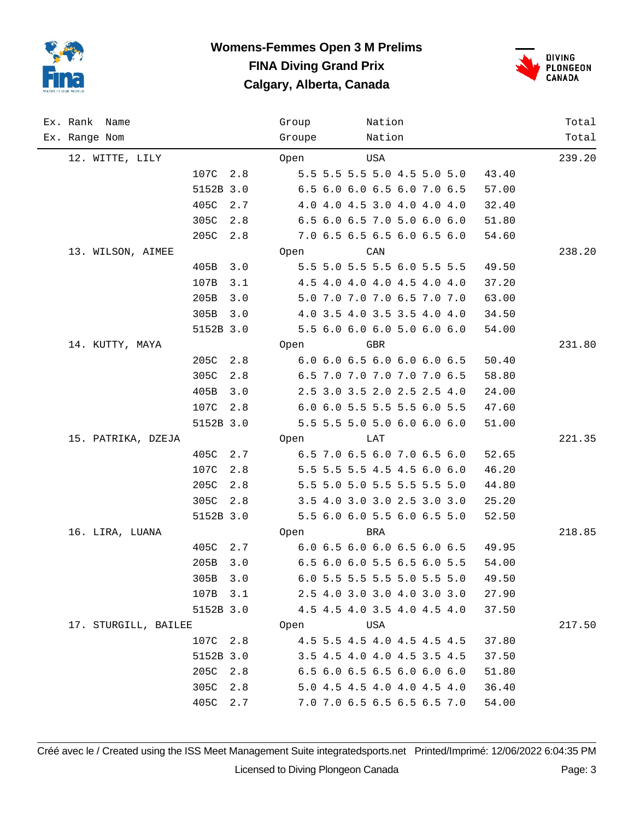



| Ex. Rank Name        |           |     | Group  |  | Nation |                             |  |       | Total  |
|----------------------|-----------|-----|--------|--|--------|-----------------------------|--|-------|--------|
| Ex. Range Nom        |           |     | Groupe |  | Nation |                             |  |       | Total  |
| 12. WITTE, LILY      |           |     | Open   |  | USA    |                             |  |       | 239.20 |
|                      | 107C 2.8  |     |        |  |        | 5.5 5.5 5.5 5.0 4.5 5.0 5.0 |  | 43.40 |        |
|                      | 5152B 3.0 |     |        |  |        | 6.5 6.0 6.0 6.5 6.0 7.0 6.5 |  | 57.00 |        |
|                      | 405C      | 2.7 |        |  |        | 4.0 4.0 4.5 3.0 4.0 4.0 4.0 |  | 32.40 |        |
|                      | 305C      | 2.8 |        |  |        | 6.5 6.0 6.5 7.0 5.0 6.0 6.0 |  | 51.80 |        |
|                      | 205C      | 2.8 |        |  |        | 7.0 6.5 6.5 6.5 6.0 6.5 6.0 |  | 54.60 |        |
| 13. WILSON, AIMEE    |           |     | Open   |  | CAN    |                             |  |       | 238.20 |
|                      | 405B      | 3.0 |        |  |        | 5.5 5.0 5.5 5.5 6.0 5.5 5.5 |  | 49.50 |        |
|                      | 107B      | 3.1 |        |  |        | 4.5 4.0 4.0 4.0 4.5 4.0 4.0 |  | 37.20 |        |
|                      | 205B      | 3.0 |        |  |        | 5.0 7.0 7.0 7.0 6.5 7.0 7.0 |  | 63.00 |        |
|                      | 305B      | 3.0 |        |  |        | 4.0 3.5 4.0 3.5 3.5 4.0 4.0 |  | 34.50 |        |
|                      | 5152B 3.0 |     |        |  |        | 5.5 6.0 6.0 6.0 5.0 6.0 6.0 |  | 54.00 |        |
| 14. KUTTY, MAYA      |           |     | Open   |  | GBR    |                             |  |       | 231.80 |
|                      | 205C 2.8  |     |        |  |        | 6.0 6.0 6.5 6.0 6.0 6.0 6.5 |  | 50.40 |        |
|                      | 305C      | 2.8 |        |  |        | 6.5 7.0 7.0 7.0 7.0 7.0 6.5 |  | 58.80 |        |
|                      | 405B      | 3.0 |        |  |        | 2.5 3.0 3.5 2.0 2.5 2.5 4.0 |  | 24.00 |        |
|                      | 107C 2.8  |     |        |  |        | 6.0 6.0 5.5 5.5 5.5 6.0 5.5 |  | 47.60 |        |
|                      | 5152B 3.0 |     |        |  |        | 5.5 5.5 5.0 5.0 6.0 6.0 6.0 |  | 51.00 |        |
| 15. PATRIKA, DZEJA   |           |     | Open   |  | LAT    |                             |  |       | 221.35 |
|                      | 405C 2.7  |     |        |  |        | 6.5 7.0 6.5 6.0 7.0 6.5 6.0 |  | 52.65 |        |
|                      | 107C      | 2.8 |        |  |        | 5.5 5.5 5.5 4.5 4.5 6.0 6.0 |  | 46.20 |        |
|                      | 205C      | 2.8 |        |  |        | 5.5 5.0 5.0 5.5 5.5 5.5 5.0 |  | 44.80 |        |
|                      | 305C      | 2.8 |        |  |        | 3.5 4.0 3.0 3.0 2.5 3.0 3.0 |  | 25.20 |        |
|                      | 5152B 3.0 |     |        |  |        | 5.5 6.0 6.0 5.5 6.0 6.5 5.0 |  | 52.50 |        |
| 16. LIRA, LUANA      |           |     | Open   |  | BRA    |                             |  |       | 218.85 |
|                      | 405C 2.7  |     |        |  |        | 6.0 6.5 6.0 6.0 6.5 6.0 6.5 |  | 49.95 |        |
|                      | 205B      | 3.0 |        |  |        | 6.5 6.0 6.0 5.5 6.5 6.0 5.5 |  | 54.00 |        |
|                      | 305B 3.0  |     |        |  |        | 6.0 5.5 5.5 5.5 5.0 5.5 5.0 |  | 49.50 |        |
|                      | 107B 3.1  |     |        |  |        | 2.5 4.0 3.0 3.0 4.0 3.0 3.0 |  | 27.90 |        |
|                      | 5152B 3.0 |     |        |  |        | 4.5 4.5 4.0 3.5 4.0 4.5 4.0 |  | 37.50 |        |
| 17. STURGILL, BAILEE |           |     | Open   |  | USA    |                             |  |       | 217.50 |
|                      | 107C 2.8  |     |        |  |        | 4.5 5.5 4.5 4.0 4.5 4.5 4.5 |  | 37.80 |        |
|                      | 5152B 3.0 |     |        |  |        | 3.5 4.5 4.0 4.0 4.5 3.5 4.5 |  | 37.50 |        |
|                      | 205C      | 2.8 |        |  |        | 6.5 6.0 6.5 6.5 6.0 6.0 6.0 |  | 51.80 |        |
|                      | 305C      | 2.8 |        |  |        | 5.0 4.5 4.5 4.0 4.0 4.5 4.0 |  | 36.40 |        |
|                      | 405C      | 2.7 |        |  |        | 7.0 7.0 6.5 6.5 6.5 6.5 7.0 |  | 54.00 |        |

Créé avec le / Created using the ISS Meet Management Suite integratedsports.net Printed/Imprimé: 12/06/2022 6:04:35 PM Licensed to Diving Plongeon Canada Page: 3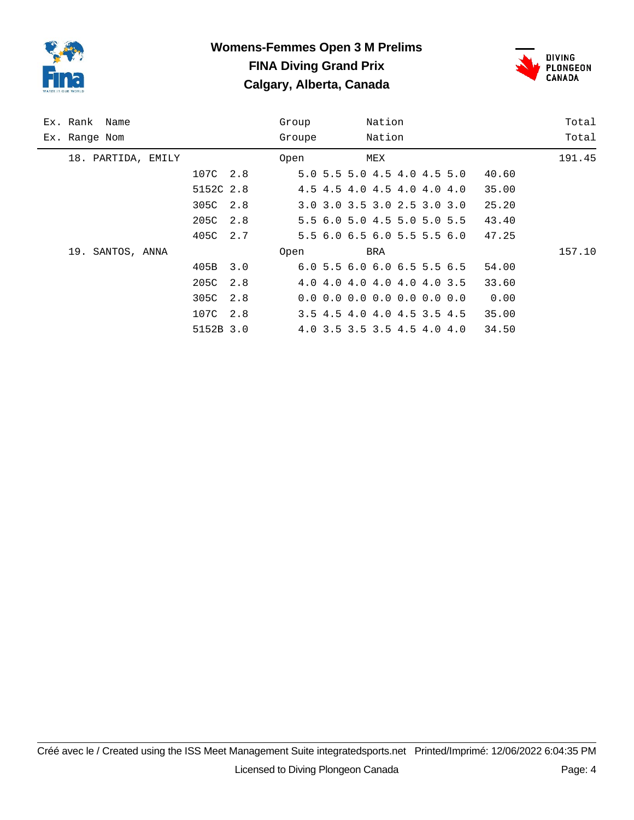



| Ex. Rank Name      |             | Group  | Nation                                    | Total  |
|--------------------|-------------|--------|-------------------------------------------|--------|
| Ex. Range Nom      |             | Groupe | Nation                                    | Total  |
| 18. PARTIDA, EMILY |             | Open   | MEX                                       | 191.45 |
|                    | 107C 2.8    |        | 5.0 5.5 5.0 4.5 4.0 4.5 5.0               | 40.60  |
|                    | 5152C 2.8   |        | 4.5 4.5 4.0 4.5 4.0 4.0 4.0               | 35.00  |
|                    | 305C 2.8    |        | 3.0 3.0 3.5 3.0 2.5 3.0 3.0               | 25.20  |
|                    | 205C 2.8    |        | 5.5 6.0 5.0 4.5 5.0 5.0 5.5               | 43.40  |
|                    | 405C 2.7    |        | 5.5 6.0 6.5 6.0 5.5 5.5 6.0               | 47.25  |
| 19. SANTOS, ANNA   |             | Open   | BRA                                       | 157.10 |
|                    | 405B<br>3.0 |        | 6.05.56.06.06.55.56.5                     | 54.00  |
|                    | 205C<br>2.8 |        | 4.0 4.0 4.0 4.0 4.0 4.0 3.5               | 33.60  |
|                    | 305C 2.8    |        | $0.0 \t0.0 \t0.0 \t0.0 \t0.0 \t0.0 \t0.0$ | 0.00   |
|                    | 107C 2.8    |        | 3.5 4.5 4.0 4.0 4.5 3.5 4.5               | 35.00  |
|                    | 5152B 3.0   |        | 4.0 3.5 3.5 3.5 4.5 4.0 4.0               | 34.50  |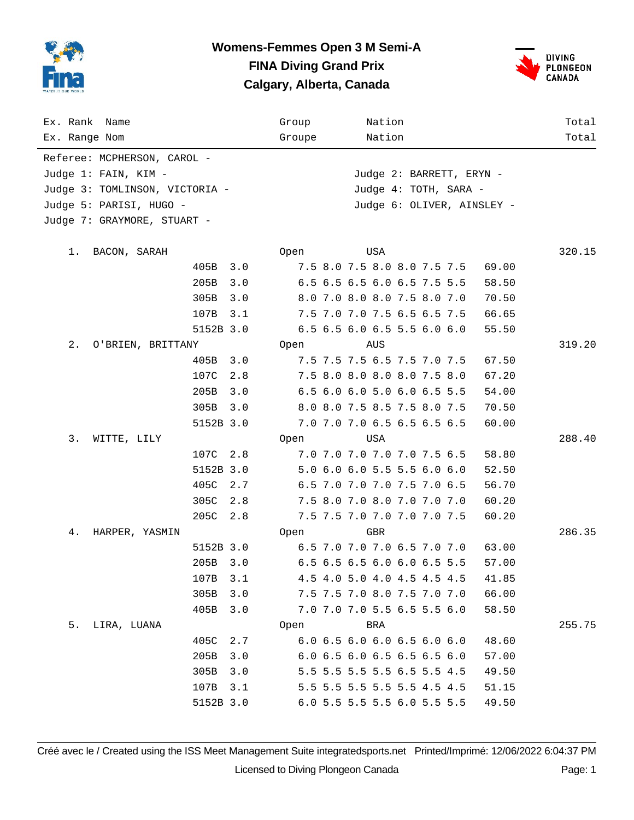



| Ex. Rank Name                  |           |     | Group  |     | Nation                      |  |       | Total  |
|--------------------------------|-----------|-----|--------|-----|-----------------------------|--|-------|--------|
| Ex. Range Nom                  |           |     | Groupe |     | Nation                      |  |       | Total  |
| Referee: MCPHERSON, CAROL -    |           |     |        |     |                             |  |       |        |
| Judge 1: FAIN, KIM -           |           |     |        |     | Judge 2: BARRETT, ERYN -    |  |       |        |
| Judge 3: TOMLINSON, VICTORIA - |           |     |        |     | Judge 4: TOTH, SARA -       |  |       |        |
| Judge 5: PARISI, HUGO -        |           |     |        |     |                             |  |       |        |
| Judge 7: GRAYMORE, STUART -    |           |     |        |     |                             |  |       |        |
|                                |           |     |        |     |                             |  |       |        |
| 1. BACON, SARAH                |           |     | Open   | USA |                             |  |       | 320.15 |
|                                | 405B      | 3.0 |        |     | 7.5 8.0 7.5 8.0 8.0 7.5 7.5 |  | 69.00 |        |
|                                | 205B      | 3.0 |        |     | 6.5 6.5 6.5 6.0 6.5 7.5 5.5 |  | 58.50 |        |
|                                | 305B      | 3.0 |        |     | 8.0 7.0 8.0 8.0 7.5 8.0 7.0 |  | 70.50 |        |
|                                | 107B      | 3.1 |        |     | 7.5 7.0 7.0 7.5 6.5 6.5 7.5 |  | 66.65 |        |
|                                | 5152B 3.0 |     |        |     | 6.5 6.5 6.0 6.5 5.5 6.0 6.0 |  | 55.50 |        |
| 2.<br>O'BRIEN, BRITTANY        |           |     | Open   | AUS |                             |  |       | 319.20 |
|                                | 405B      | 3.0 |        |     | 7.5 7.5 7.5 6.5 7.5 7.0 7.5 |  | 67.50 |        |
|                                | 107C      | 2.8 |        |     | 7.5 8.0 8.0 8.0 8.0 7.5 8.0 |  | 67.20 |        |
|                                | 205B      | 3.0 |        |     | 6.5 6.0 6.0 5.0 6.0 6.5 5.5 |  | 54.00 |        |
|                                | 305B      | 3.0 |        |     | 8.0 8.0 7.5 8.5 7.5 8.0 7.5 |  | 70.50 |        |
|                                | 5152B 3.0 |     |        |     | 7.0 7.0 7.0 6.5 6.5 6.5 6.5 |  | 60.00 |        |
| 3.<br>WITTE, LILY              |           |     | Open   | USA |                             |  |       | 288.40 |
|                                | 107C      | 2.8 |        |     | 7.0 7.0 7.0 7.0 7.0 7.5 6.5 |  | 58.80 |        |
|                                | 5152B 3.0 |     |        |     | 5.0 6.0 6.0 5.5 5.5 6.0 6.0 |  | 52.50 |        |
|                                | 405C      | 2.7 |        |     | 6.5 7.0 7.0 7.0 7.5 7.0 6.5 |  | 56.70 |        |
|                                | 305C      | 2.8 |        |     | 7.5 8.0 7.0 8.0 7.0 7.0 7.0 |  | 60.20 |        |
|                                | 205C      | 2.8 |        |     | 7.5 7.5 7.0 7.0 7.0 7.0 7.5 |  | 60.20 |        |
| 4.<br>HARPER, YASMIN           |           |     | Open   | GBR |                             |  |       | 286.35 |
|                                | 5152B 3.0 |     |        |     | 6.5 7.0 7.0 7.0 6.5 7.0 7.0 |  | 63.00 |        |
|                                | 205B 3.0  |     |        |     | 6.5 6.5 6.5 6.0 6.0 6.5 5.5 |  | 57.00 |        |
|                                | 107B      | 3.1 |        |     | 4.5 4.0 5.0 4.0 4.5 4.5 4.5 |  | 41.85 |        |
|                                | 305B      | 3.0 |        |     | 7.5 7.5 7.0 8.0 7.5 7.0 7.0 |  | 66.00 |        |
|                                | 405B      | 3.0 |        |     | 7.0 7.0 7.0 5.5 6.5 5.5 6.0 |  | 58.50 |        |
| 5. LIRA, LUANA                 |           |     | Open   | BRA |                             |  |       | 255.75 |
|                                | 405C      | 2.7 |        |     | 6.0 6.5 6.0 6.0 6.5 6.0 6.0 |  | 48.60 |        |
|                                | 205B      | 3.0 |        |     | 6.0 6.5 6.0 6.5 6.5 6.5 6.0 |  | 57.00 |        |
|                                | 305B      | 3.0 |        |     | 5.5 5.5 5.5 5.5 6.5 5.5 4.5 |  | 49.50 |        |
|                                | 107B      | 3.1 |        |     | 5.5 5.5 5.5 5.5 5.5 4.5 4.5 |  | 51.15 |        |
|                                | 5152B 3.0 |     |        |     | 6.0 5.5 5.5 5.5 6.0 5.5 5.5 |  | 49.50 |        |

Créé avec le / Created using the ISS Meet Management Suite integratedsports.net Printed/Imprimé: 12/06/2022 6:04:37 PM Licensed to Diving Plongeon Canada Page: 1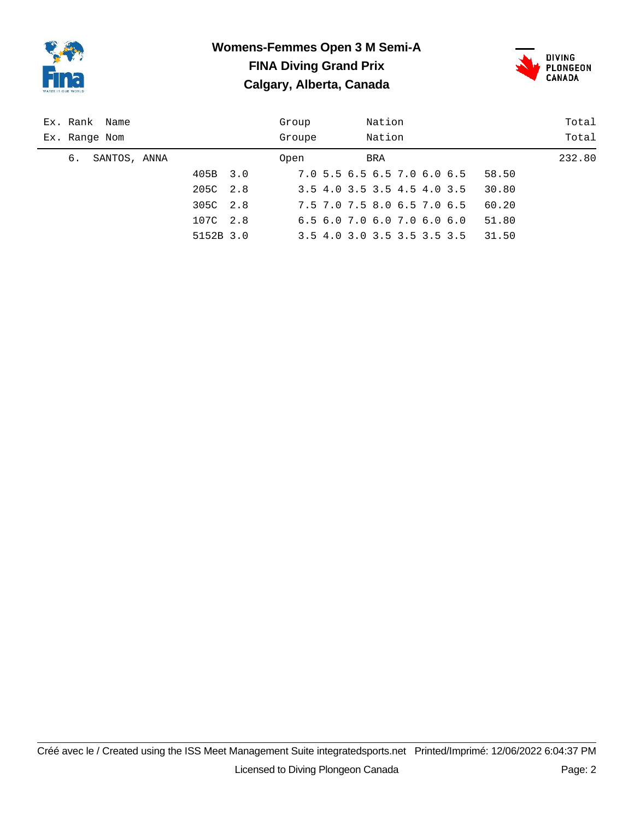



|    | Ex. Rank Name |           |     | Group  |                             | Nation |  |       | Total  |
|----|---------------|-----------|-----|--------|-----------------------------|--------|--|-------|--------|
|    | Ex. Range Nom |           |     | Groupe |                             | Nation |  |       | Total  |
| 6. | SANTOS, ANNA  |           |     | Open   |                             | BRA    |  |       | 232.80 |
|    |               | 405B      | 3.0 |        | 7.0 5.5 6.5 6.5 7.0 6.0 6.5 |        |  | 58.50 |        |
|    |               | 205C      | 2.8 |        | 3.5 4.0 3.5 3.5 4.5 4.0 3.5 |        |  | 30.80 |        |
|    |               | 305C      | 2.8 |        | 7.5 7.0 7.5 8.0 6.5 7.0 6.5 |        |  | 60.20 |        |
|    |               | 107C      | 2.8 |        | 6.56.07.06.07.06.06.0       |        |  | 51.80 |        |
|    |               | 5152B 3.0 |     |        | 3.5 4.0 3.0 3.5 3.5 3.5 3.5 |        |  | 31.50 |        |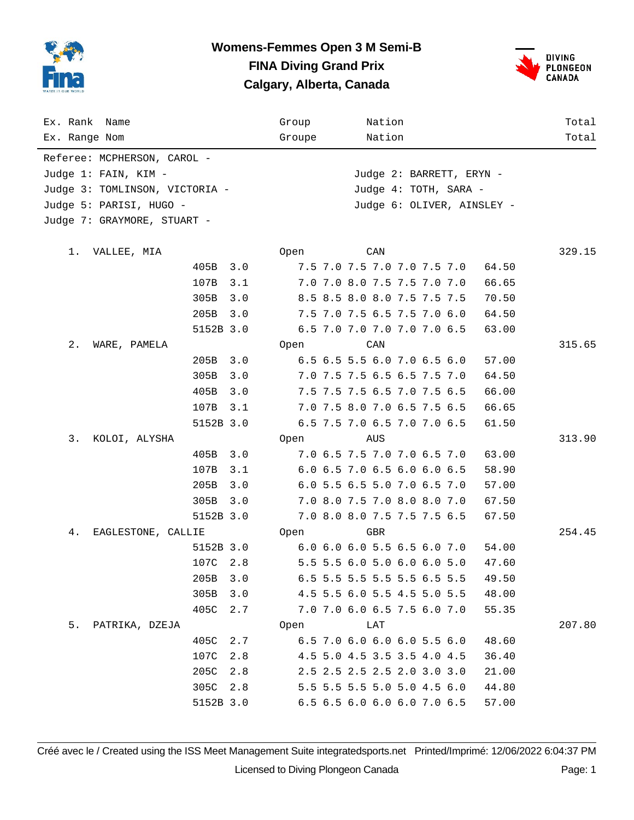



| Ex. Rank Name                  |           |     | Group                 |                            |  | Nation                      |  |  |       | Total  |  |  |
|--------------------------------|-----------|-----|-----------------------|----------------------------|--|-----------------------------|--|--|-------|--------|--|--|
| Ex. Range Nom                  |           |     | Groupe                |                            |  | Nation                      |  |  |       | Total  |  |  |
| Referee: MCPHERSON, CAROL -    |           |     |                       |                            |  |                             |  |  |       |        |  |  |
| Judge 1: FAIN, KIM -           |           |     |                       |                            |  | Judge 2: BARRETT, ERYN -    |  |  |       |        |  |  |
| Judge 3: TOMLINSON, VICTORIA - |           |     | Judge 4: TOTH, SARA - |                            |  |                             |  |  |       |        |  |  |
| Judge 5: PARISI, HUGO -        |           |     |                       | Judge 6: OLIVER, AINSLEY - |  |                             |  |  |       |        |  |  |
| Judge 7: GRAYMORE, STUART -    |           |     |                       |                            |  |                             |  |  |       |        |  |  |
|                                |           |     |                       |                            |  |                             |  |  |       |        |  |  |
| 1.<br>VALLEE, MIA              |           |     | Open                  |                            |  | CAN                         |  |  |       | 329.15 |  |  |
|                                | 405B      | 3.0 |                       |                            |  | 7.5 7.0 7.5 7.0 7.0 7.5 7.0 |  |  | 64.50 |        |  |  |
|                                | 107B      | 3.1 |                       |                            |  | 7.0 7.0 8.0 7.5 7.5 7.0 7.0 |  |  | 66.65 |        |  |  |
|                                | 305B      | 3.0 |                       |                            |  | 8.5 8.5 8.0 8.0 7.5 7.5 7.5 |  |  | 70.50 |        |  |  |
|                                | 205B      | 3.0 |                       |                            |  | 7.5 7.0 7.5 6.5 7.5 7.0 6.0 |  |  | 64.50 |        |  |  |
|                                | 5152B 3.0 |     |                       |                            |  | 6.5 7.0 7.0 7.0 7.0 7.0 6.5 |  |  | 63.00 |        |  |  |
| 2.<br>WARE, PAMELA             |           |     | Open                  |                            |  | CAN                         |  |  |       | 315.65 |  |  |
|                                | 205B      | 3.0 |                       |                            |  | 6.5 6.5 5.5 6.0 7.0 6.5 6.0 |  |  | 57.00 |        |  |  |
|                                | 305B      | 3.0 |                       |                            |  | 7.0 7.5 7.5 6.5 6.5 7.5 7.0 |  |  | 64.50 |        |  |  |
|                                | 405B      | 3.0 |                       |                            |  | 7.5 7.5 7.5 6.5 7.0 7.5 6.5 |  |  | 66.00 |        |  |  |
|                                | 107B      | 3.1 |                       |                            |  | 7.0 7.5 8.0 7.0 6.5 7.5 6.5 |  |  | 66.65 |        |  |  |
|                                | 5152B 3.0 |     |                       |                            |  | 6.5 7.5 7.0 6.5 7.0 7.0 6.5 |  |  | 61.50 |        |  |  |
| 3.<br>KOLOI, ALYSHA            |           |     | Open                  |                            |  | AUS                         |  |  |       | 313.90 |  |  |
|                                | 405B      | 3.0 |                       |                            |  | 7.0 6.5 7.5 7.0 7.0 6.5 7.0 |  |  | 63.00 |        |  |  |
|                                | 107B      | 3.1 |                       |                            |  | 6.0 6.5 7.0 6.5 6.0 6.0 6.5 |  |  | 58.90 |        |  |  |
|                                | 205B      | 3.0 |                       |                            |  | 6.0 5.5 6.5 5.0 7.0 6.5 7.0 |  |  | 57.00 |        |  |  |
|                                | 305B      | 3.0 |                       |                            |  | 7.0 8.0 7.5 7.0 8.0 8.0 7.0 |  |  | 67.50 |        |  |  |
|                                | 5152B 3.0 |     |                       |                            |  | 7.0 8.0 8.0 7.5 7.5 7.5 6.5 |  |  | 67.50 |        |  |  |
| 4.<br>EAGLESTONE, CALLIE       |           |     | Open                  |                            |  | GBR                         |  |  |       | 254.45 |  |  |
|                                | 5152B 3.0 |     |                       |                            |  | 6.0 6.0 6.0 5.5 6.5 6.0 7.0 |  |  | 54.00 |        |  |  |
|                                | 107C 2.8  |     |                       |                            |  | 5.5 5.5 6.0 5.0 6.0 6.0 5.0 |  |  | 47.60 |        |  |  |
|                                | 205B      | 3.0 |                       |                            |  | 6.5 5.5 5.5 5.5 5.5 6.5 5.5 |  |  | 49.50 |        |  |  |
|                                | 305B      | 3.0 |                       |                            |  | 4.5 5.5 6.0 5.5 4.5 5.0 5.5 |  |  | 48.00 |        |  |  |
|                                | 405C      | 2.7 |                       |                            |  | 7.0 7.0 6.0 6.5 7.5 6.0 7.0 |  |  | 55.35 |        |  |  |
| 5. PATRIKA, DZEJA              |           |     | Open                  |                            |  | LAT                         |  |  |       | 207.80 |  |  |
|                                | 405C      | 2.7 |                       |                            |  | 6.5 7.0 6.0 6.0 6.0 5.5 6.0 |  |  | 48.60 |        |  |  |
|                                | 107C      | 2.8 |                       |                            |  | 4.5 5.0 4.5 3.5 3.5 4.0 4.5 |  |  | 36.40 |        |  |  |
|                                | 205C      | 2.8 |                       |                            |  | 2.5 2.5 2.5 2.5 2.0 3.0 3.0 |  |  | 21.00 |        |  |  |
|                                | 305C      | 2.8 |                       |                            |  | 5.5 5.5 5.5 5.0 5.0 4.5 6.0 |  |  | 44.80 |        |  |  |
|                                | 5152B 3.0 |     |                       |                            |  | 6.5 6.5 6.0 6.0 6.0 7.0 6.5 |  |  | 57.00 |        |  |  |

Créé avec le / Created using the ISS Meet Management Suite integratedsports.net Printed/Imprimé: 12/06/2022 6:04:37 PM Licensed to Diving Plongeon Canada Page: 1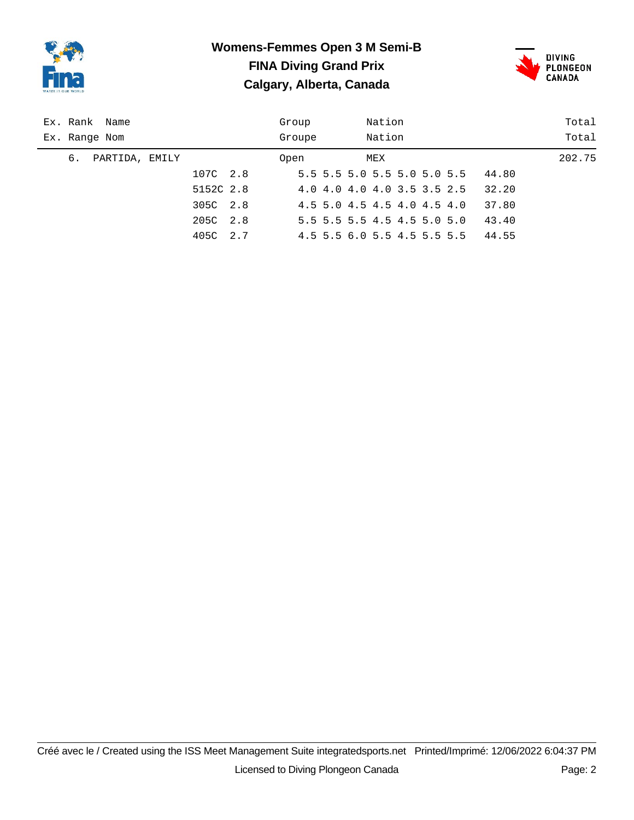



|    | Ex. Rank Name  |           |     | Group  |     | Nation |                             |       | Total  |
|----|----------------|-----------|-----|--------|-----|--------|-----------------------------|-------|--------|
|    | Ex. Range Nom  |           |     | Groupe |     | Nation |                             |       | Total  |
| б. | PARTIDA, EMILY |           |     | Open   | MEX |        |                             |       | 202.75 |
|    |                | 107C 2.8  |     |        |     |        | 5.5 5.5 5.0 5.5 5.0 5.0 5.5 | 44.80 |        |
|    |                | 5152C 2.8 |     |        |     |        | 4.0 4.0 4.0 4.0 3.5 3.5 2.5 | 32.20 |        |
|    |                | 305C 2.8  |     |        |     |        | 4.5 5.0 4.5 4.5 4.0 4.5 4.0 | 37.80 |        |
|    |                | 205C      | 2.8 |        |     |        | 5.5 5.5 5.5 4.5 4.5 5.0 5.0 | 43.40 |        |
|    |                | 405C      | 2.7 |        |     |        | 4.5 5.5 6.0 5.5 4.5 5.5 5.5 | 44.55 |        |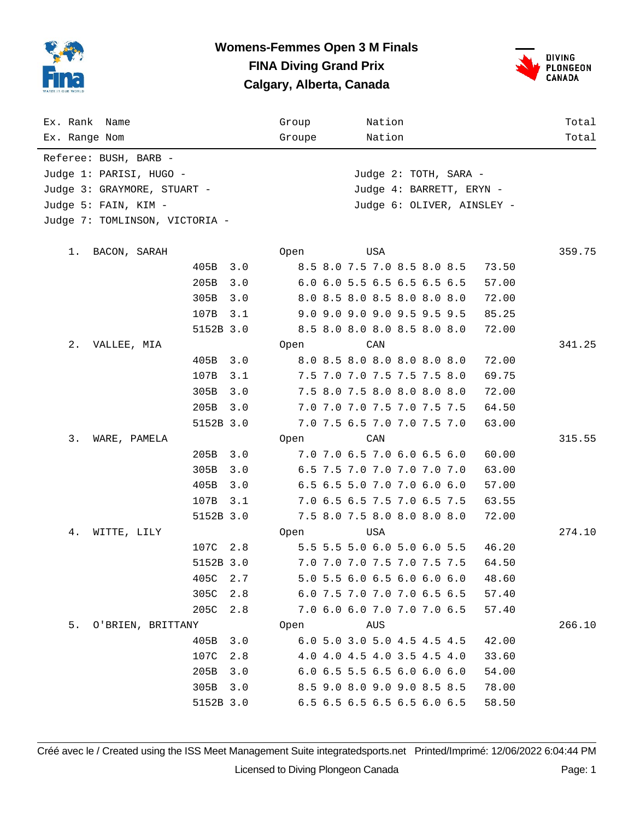



| Ex. Rank Name                  |           |        | Group |  |                             | Nation |  |                          |       | Total  |
|--------------------------------|-----------|--------|-------|--|-----------------------------|--------|--|--------------------------|-------|--------|
| Ex. Range Nom                  |           | Groupe |       |  | Nation                      |        |  |                          | Total |        |
| Referee: BUSH, BARB -          |           |        |       |  |                             |        |  |                          |       |        |
| Judge 1: PARISI, HUGO -        |           |        |       |  |                             |        |  | Judge 2: TOTH, SARA -    |       |        |
| Judge 3: GRAYMORE, STUART -    |           |        |       |  |                             |        |  | Judge 4: BARRETT, ERYN - |       |        |
| Judge 5: FAIN, KIM -           |           |        |       |  |                             |        |  |                          |       |        |
| Judge 7: TOMLINSON, VICTORIA - |           |        |       |  |                             |        |  |                          |       |        |
|                                |           |        |       |  |                             |        |  |                          |       |        |
| 1.<br>BACON, SARAH             |           |        | Open  |  |                             | USA    |  |                          |       | 359.75 |
|                                | 405B      | 3.0    |       |  | 8.5 8.0 7.5 7.0 8.5 8.0 8.5 |        |  |                          | 73.50 |        |
|                                | 205B      | 3.0    |       |  | 6.0 6.0 5.5 6.5 6.5 6.5 6.5 |        |  |                          | 57.00 |        |
|                                | 305B      | 3.0    |       |  | 8.0 8.5 8.0 8.5 8.0 8.0 8.0 |        |  |                          | 72.00 |        |
|                                | 107B      | 3.1    |       |  | 9.0 9.0 9.0 9.0 9.5 9.5 9.5 |        |  |                          | 85.25 |        |
|                                | 5152B 3.0 |        |       |  | 8.5 8.0 8.0 8.0 8.5 8.0 8.0 |        |  |                          | 72.00 |        |
| 2.<br>VALLEE, MIA              |           |        | Open  |  |                             | CAN    |  |                          |       | 341.25 |
|                                | 405B      | 3.0    |       |  | 8.0 8.5 8.0 8.0 8.0 8.0 8.0 |        |  |                          | 72.00 |        |
|                                | 107B      | 3.1    |       |  | 7.5 7.0 7.0 7.5 7.5 7.5 8.0 |        |  |                          | 69.75 |        |
|                                | 305B      | 3.0    |       |  | 7.5 8.0 7.5 8.0 8.0 8.0 8.0 |        |  |                          | 72.00 |        |
|                                | 205B      | 3.0    |       |  | 7.0 7.0 7.0 7.5 7.0 7.5 7.5 |        |  |                          | 64.50 |        |
|                                | 5152B 3.0 |        |       |  | 7.0 7.5 6.5 7.0 7.0 7.5 7.0 |        |  |                          | 63.00 |        |
| 3.<br>WARE, PAMELA             |           |        | Open  |  |                             | CAN    |  |                          |       | 315.55 |
|                                | 205B      | 3.0    |       |  | 7.0 7.0 6.5 7.0 6.0 6.5 6.0 |        |  |                          | 60.00 |        |
|                                | 305B      | 3.0    |       |  | 6.5 7.5 7.0 7.0 7.0 7.0 7.0 |        |  |                          | 63.00 |        |
|                                | 405B      | 3.0    |       |  | 6.5 6.5 5.0 7.0 7.0 6.0 6.0 |        |  |                          | 57.00 |        |
|                                | 107B      | 3.1    |       |  | 7.0 6.5 6.5 7.5 7.0 6.5 7.5 |        |  |                          | 63.55 |        |
|                                | 5152B 3.0 |        |       |  | 7.5 8.0 7.5 8.0 8.0 8.0 8.0 |        |  |                          | 72.00 |        |
| 4.<br>WITTE, LILY              |           |        | Open  |  |                             | USA    |  |                          |       | 274.10 |
|                                | 107C 2.8  |        |       |  | 5.5 5.5 5.0 6.0 5.0 6.0 5.5 |        |  |                          | 46.20 |        |
|                                | 5152B 3.0 |        |       |  | 7.0 7.0 7.0 7.5 7.0 7.5 7.5 |        |  |                          | 64.50 |        |
|                                | 405C      | 2.7    |       |  | 5.0 5.5 6.0 6.5 6.0 6.0 6.0 |        |  |                          | 48.60 |        |
|                                | 305C      | 2.8    |       |  | 6.0 7.5 7.0 7.0 7.0 6.5 6.5 |        |  |                          | 57.40 |        |
|                                | 205C      | 2.8    |       |  | 7.0 6.0 6.0 7.0 7.0 7.0 6.5 |        |  |                          | 57.40 |        |
| 5. O'BRIEN, BRITTANY           |           |        | Open  |  |                             | AUS    |  |                          |       | 266.10 |
|                                | 405B      | 3.0    |       |  | 6.0 5.0 3.0 5.0 4.5 4.5 4.5 |        |  |                          | 42.00 |        |
|                                | 107C      | 2.8    |       |  | 4.0 4.0 4.5 4.0 3.5 4.5 4.0 |        |  |                          | 33.60 |        |
|                                | 205B      | 3.0    |       |  | 6.0 6.5 5.5 6.5 6.0 6.0 6.0 |        |  |                          | 54.00 |        |
|                                | 305B      | 3.0    |       |  | 8.5 9.0 8.0 9.0 9.0 8.5 8.5 |        |  |                          | 78.00 |        |
|                                | 5152B 3.0 |        |       |  | 6.5 6.5 6.5 6.5 6.5 6.0 6.5 |        |  |                          | 58.50 |        |

Créé avec le / Created using the ISS Meet Management Suite integratedsports.net Printed/Imprimé: 12/06/2022 6:04:44 PM Licensed to Diving Plongeon Canada Page: 1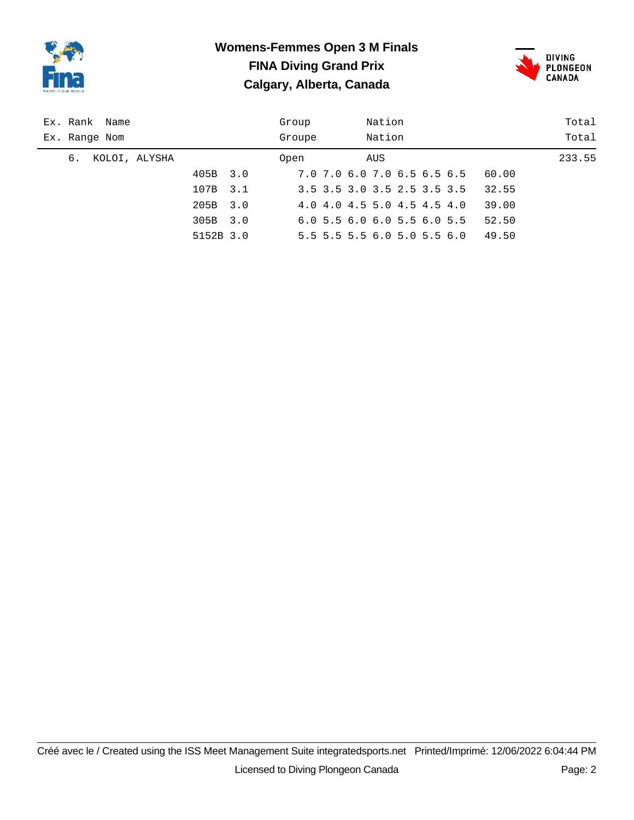



| Ex. Rank Name       | Group  | Nation                      | Total  |
|---------------------|--------|-----------------------------|--------|
| Ex. Range Nom       | Groupe | Nation                      | Total  |
| KOLOI, ALYSHA<br>6. | Open   | AUS                         | 233.55 |
| 405B                | 3.0    | 7.0 7.0 6.0 7.0 6.5 6.5 6.5 | 60.00  |
| 107B                | 3.1    | 3.5 3.5 3.0 3.5 2.5 3.5 3.5 | 32.55  |
| 205B                | 3.0    | 4.0 4.0 4.5 5.0 4.5 4.5 4.0 | 39.00  |
| 305B                | 3.0    | 6.05.56.06.05.56.05.5       | 52.50  |
| 5152B 3.0           |        | 5.5 5.5 5.5 6.0 5.0 5.5 6.0 | 49.50  |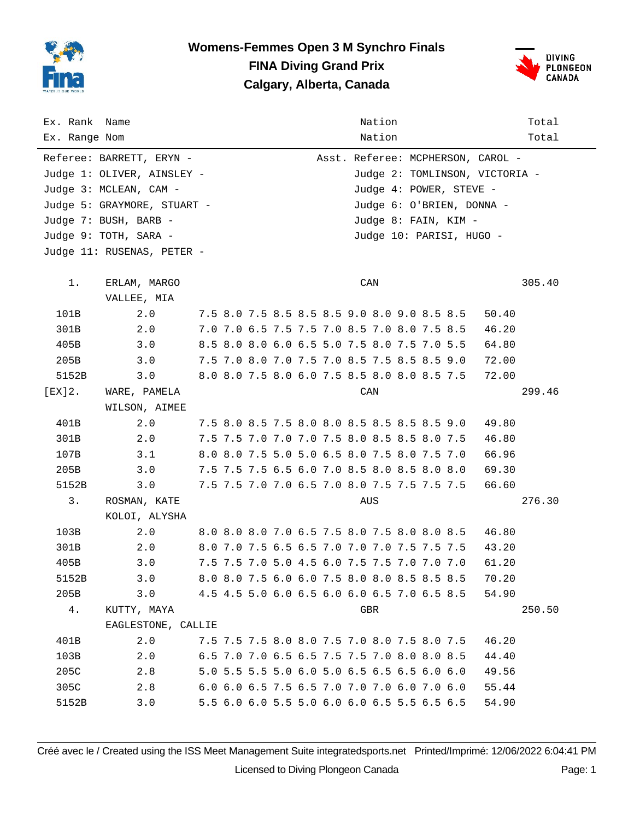



| Ex. Rank Name |                             | Nation                                      | Total                          |
|---------------|-----------------------------|---------------------------------------------|--------------------------------|
| Ex. Range Nom |                             | Nation                                      | Total                          |
|               | Referee: BARRETT, ERYN -    | Asst. Referee: MCPHERSON, CAROL -           |                                |
|               | Judge 1: OLIVER, AINSLEY -  |                                             | Judge 2: TOMLINSON, VICTORIA - |
|               | Judge 3: MCLEAN, CAM -      |                                             | Judge 4: POWER, STEVE -        |
|               | Judge 5: GRAYMORE, STUART - |                                             | Judge 6: O'BRIEN, DONNA -      |
|               | Judge 7: BUSH, BARB -       | Judge 8: FAIN, KIM -                        |                                |
|               | Judge 9: TOTH, SARA -       |                                             | Judge 10: PARISI, HUGO -       |
|               | Judge 11: RUSENAS, PETER -  |                                             |                                |
|               |                             |                                             |                                |
| $1$ .         | ERLAM, MARGO                | CAN                                         | 305.40                         |
|               | VALLEE, MIA                 |                                             |                                |
| 101B          | 2.0                         | 7.5 8.0 7.5 8.5 8.5 8.5 9.0 8.0 9.0 8.5 8.5 | 50.40                          |
| 301B          | 2.0                         | 7.0 7.0 6.5 7.5 7.5 7.0 8.5 7.0 8.0 7.5 8.5 | 46.20                          |
| 405B          | 3.0                         | 8.5 8.0 8.0 6.0 6.5 5.0 7.5 8.0 7.5 7.0 5.5 | 64.80                          |
| 205B          | 3.0                         | 7.5 7.0 8.0 7.0 7.5 7.0 8.5 7.5 8.5 8.5 9.0 | 72.00                          |
| 5152B         | 3.0                         | 8.0 8.0 7.5 8.0 6.0 7.5 8.5 8.0 8.0 8.5 7.5 | 72.00                          |
| [EX]2.        | WARE, PAMELA                | CAN                                         | 299.46                         |
|               | WILSON, AIMEE               |                                             |                                |
| 401B          | 2.0                         | 7.5 8.0 8.5 7.5 8.0 8.0 8.5 8.5 8.5 8.5 9.0 | 49.80                          |
| 301B          | 2.0                         | 7.5 7.5 7.0 7.0 7.0 7.5 8.0 8.5 8.5 8.0 7.5 | 46.80                          |
| 107B          | 3.1                         | 8.0 8.0 7.5 5.0 5.0 6.5 8.0 7.5 8.0 7.5 7.0 | 66.96                          |
| 205B          | 3.0                         | 7.5 7.5 7.5 6.5 6.0 7.0 8.5 8.0 8.5 8.0 8.0 | 69.30                          |
| 5152B         | 3.0                         | 7.5 7.5 7.0 7.0 6.5 7.0 8.0 7.5 7.5 7.5 7.5 | 66.60                          |
| 3.            | ROSMAN, KATE                | AUS                                         | 276.30                         |
|               | KOLOI, ALYSHA               |                                             |                                |
| 103B          | 2.0                         | 8.0 8.0 8.0 7.0 6.5 7.5 8.0 7.5 8.0 8.0 8.5 | 46.80                          |
| 301B          | 2.0                         | 8.0 7.0 7.5 6.5 6.5 7.0 7.0 7.0 7.5 7.5 7.5 | 43.20                          |
| 405B          | 3.0                         | 7.5 7.5 7.0 5.0 4.5 6.0 7.5 7.5 7.0 7.0 7.0 | 61.20                          |
| 5152B         | 3.0                         | 8.0 8.0 7.5 6.0 6.0 7.5 8.0 8.0 8.5 8.5 8.5 | 70.20                          |
| 205B          | 3.0                         | 4.5 4.5 5.0 6.0 6.5 6.0 6.0 6.5 7.0 6.5 8.5 | 54.90                          |
| 4.            | KUTTY, MAYA                 | GBR                                         | 250.50                         |
|               | EAGLESTONE, CALLIE          |                                             |                                |
| 401B          | 2.0                         | 7.5 7.5 7.5 8.0 8.0 7.5 7.0 8.0 7.5 8.0 7.5 | 46.20                          |
| 103B          | 2.0                         | 6.5 7.0 7.0 6.5 6.5 7.5 7.5 7.0 8.0 8.0 8.5 | 44.40                          |
| 205C          | 2.8                         | 5.0 5.5 5.5 5.0 6.0 5.0 6.5 6.5 6.5 6.0 6.0 | 49.56                          |
| 305C          | 2.8                         | 6.0 6.0 6.5 7.5 6.5 7.0 7.0 7.0 6.0 7.0 6.0 | 55.44                          |
| 5152B         | 3.0                         | 5.5 6.0 6.0 5.5 5.0 6.0 6.0 6.5 5.5 6.5 6.5 | 54.90                          |

Créé avec le / Created using the ISS Meet Management Suite integratedsports.net Printed/Imprimé: 12/06/2022 6:04:41 PM Licensed to Diving Plongeon Canada Page: 1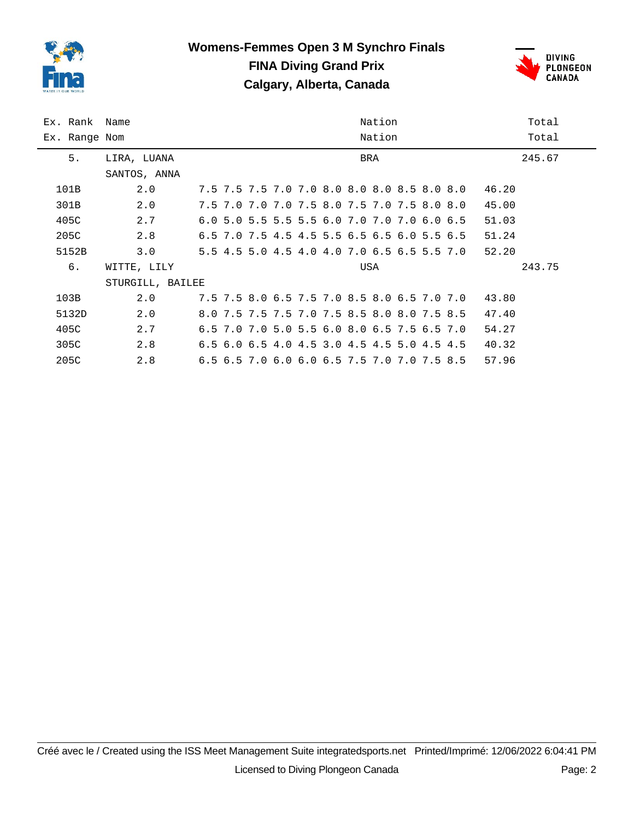



| Ex. Rank Name |                  | Nation<br>Total |                                             |        |  |  |  |  |
|---------------|------------------|-----------------|---------------------------------------------|--------|--|--|--|--|
| Ex. Range Nom |                  | Nation<br>Total |                                             |        |  |  |  |  |
| 5.            | LIRA, LUANA      |                 | BRA                                         | 245.67 |  |  |  |  |
|               | SANTOS, ANNA     |                 |                                             |        |  |  |  |  |
| 101B          | 2.0              |                 | 7.5 7.5 7.5 7.0 7.0 8.0 8.0 8.0 8.5 8.0 8.0 | 46.20  |  |  |  |  |
| 301B          | 2.0              |                 | 7.5 7.0 7.0 7.0 7.5 8.0 7.5 7.0 7.5 8.0 8.0 | 45.00  |  |  |  |  |
| 405C          | 2.7              |                 | 6.0 5.0 5.5 5.5 5.5 6.0 7.0 7.0 7.0 6.0 6.5 | 51.03  |  |  |  |  |
| 205C          | 2.8              |                 | 6.5 7.0 7.5 4.5 4.5 5.5 6.5 6.5 6.0 5.5 6.5 | 51.24  |  |  |  |  |
| 5152B         | 3.0              |                 | 5.5 4.5 5.0 4.5 4.0 4.0 7.0 6.5 6.5 5.5 7.0 | 52.20  |  |  |  |  |
| б.            | WITTE, LILY      |                 | USA                                         | 243.75 |  |  |  |  |
|               | STURGILL, BAILEE |                 |                                             |        |  |  |  |  |
| 103B          | 2.0              |                 | 7.5 7.5 8.0 6.5 7.5 7.0 8.5 8.0 6.5 7.0 7.0 | 43.80  |  |  |  |  |
| 5132D         | 2.0              |                 | 8.0 7.5 7.5 7.5 7.0 7.5 8.5 8.0 8.0 7.5 8.5 | 47.40  |  |  |  |  |
| 405C          | 2.7              |                 | 6.5 7.0 7.0 5.0 5.5 6.0 8.0 6.5 7.5 6.5 7.0 | 54.27  |  |  |  |  |
| 305C          | 2.8              |                 | 6.5 6.0 6.5 4.0 4.5 3.0 4.5 4.5 5.0 4.5 4.5 | 40.32  |  |  |  |  |
| 205C          | 2.8              |                 | 6.5 6.5 7.0 6.0 6.0 6.5 7.5 7.0 7.0 7.5 8.5 | 57.96  |  |  |  |  |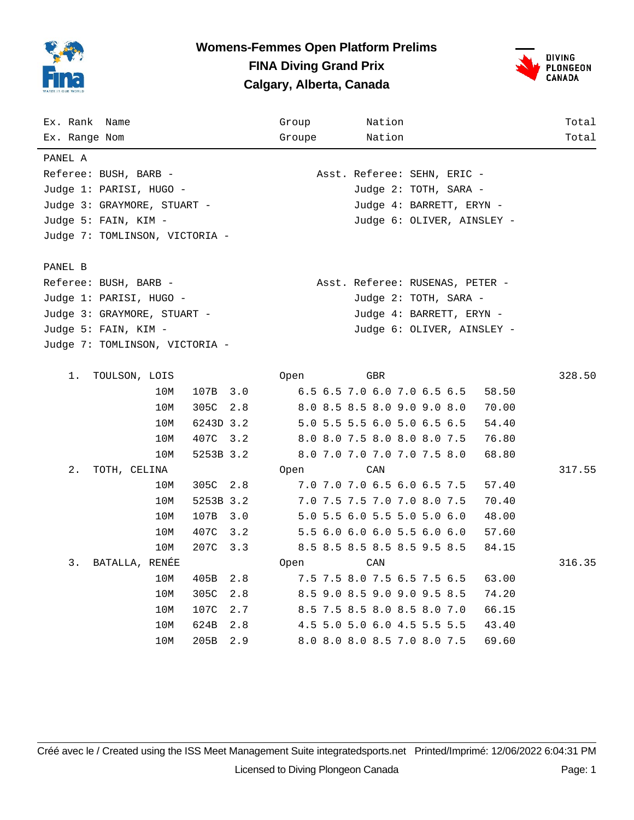



| Ex. Rank Name                  |           | Group  | Nation                          | Total  |
|--------------------------------|-----------|--------|---------------------------------|--------|
| Ex. Range Nom                  |           | Groupe | Nation                          | Total  |
| PANEL A                        |           |        |                                 |        |
| Referee: BUSH, BARB -          |           |        | Asst. Referee: SEHN, ERIC -     |        |
| Judge 1: PARISI, HUGO -        |           |        | Judge 2: TOTH, SARA -           |        |
| Judge 3: GRAYMORE, STUART -    |           |        | Judge 4: BARRETT, ERYN -        |        |
| Judge 5: FAIN, KIM -           |           |        | Judge 6: OLIVER, AINSLEY -      |        |
| Judge 7: TOMLINSON, VICTORIA - |           |        |                                 |        |
|                                |           |        |                                 |        |
| PANEL B                        |           |        |                                 |        |
| Referee: BUSH, BARB -          |           |        | Asst. Referee: RUSENAS, PETER - |        |
| Judge 1: PARISI, HUGO -        |           |        | Judge 2: TOTH, SARA -           |        |
| Judge 3: GRAYMORE, STUART -    |           |        | Judge 4: BARRETT, ERYN -        |        |
| Judge 5: FAIN, KIM -           |           |        | Judge 6: OLIVER, AINSLEY -      |        |
| Judge 7: TOMLINSON, VICTORIA - |           |        |                                 |        |
|                                |           |        |                                 |        |
| 1.<br>TOULSON, LOIS            |           | 0pen   | GBR                             | 328.50 |
| 10M                            | 107B 3.0  |        | 6.5 6.5 7.0 6.0 7.0 6.5 6.5     | 58.50  |
| 305C<br>10M                    | 2.8       |        | 8.0 8.5 8.5 8.0 9.0 9.0 8.0     | 70.00  |
| 10M                            | 6243D 3.2 |        | 5.0 5.5 5.5 6.0 5.0 6.5 6.5     | 54.40  |
| 10M                            | 407C 3.2  |        | 8.0 8.0 7.5 8.0 8.0 8.0 7.5     | 76.80  |
| 10M                            | 5253B 3.2 |        | 8.0 7.0 7.0 7.0 7.0 7.5 8.0     | 68.80  |
| 2.<br>TOTH, CELINA             |           | 0pen   | CAN                             | 317.55 |
| 305C<br>10M                    | 2.8       |        | 7.0 7.0 7.0 6.5 6.0 6.5 7.5     | 57.40  |
| 10M                            | 5253B 3.2 |        | 7.0 7.5 7.5 7.0 7.0 8.0 7.5     | 70.40  |
| 10M<br>107B                    | 3.0       |        | 5.0 5.5 6.0 5.5 5.0 5.0 6.0     | 48.00  |
| 10M<br>407C                    | 3.2       |        | 5.5 6.0 6.0 6.0 5.5 6.0 6.0     | 57.60  |
| 10M<br>207C                    | 3.3       |        | 8.5 8.5 8.5 8.5 8.5 9.5 8.5     | 84.15  |
| 3.<br>BATALLA, RENÉE           |           | 0pen   | CAN                             | 316.35 |
| 10M<br>405B                    | 2.8       |        | 7.5 7.5 8.0 7.5 6.5 7.5 6.5     | 63.00  |
| 10M<br>305C                    | 2.8       |        | 8.5 9.0 8.5 9.0 9.0 9.5 8.5     | 74.20  |
| 10M<br>107C                    | 2.7       |        | 8.5 7.5 8.5 8.0 8.5 8.0 7.0     | 66.15  |
| 10M<br>624B                    | 2.8       |        | 4.5 5.0 5.0 6.0 4.5 5.5 5.5     | 43.40  |
| 205B<br>10M                    | 2.9       |        | 8.0 8.0 8.0 8.5 7.0 8.0 7.5     | 69.60  |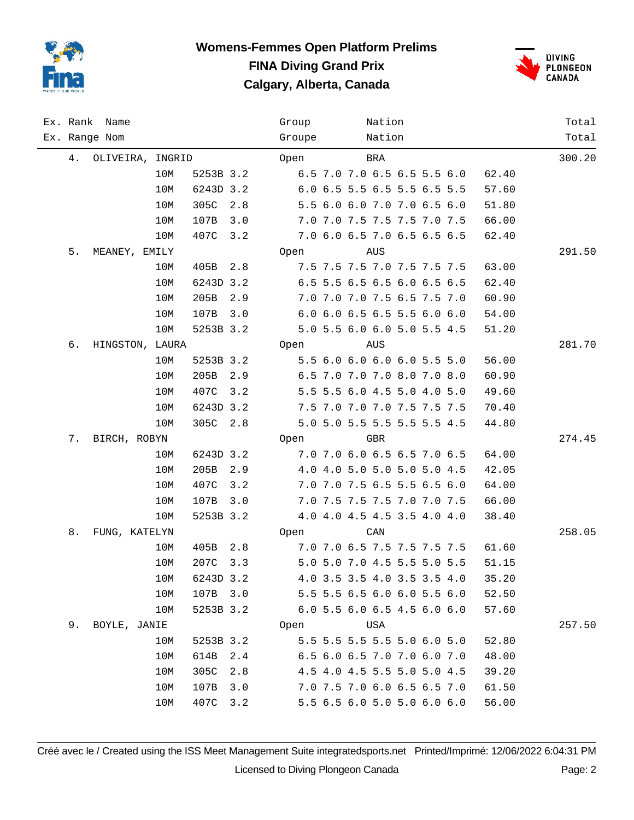



| Ex. Rank | Name             |     |           |     | Group                       |                             | Nation |  |       | Total  |
|----------|------------------|-----|-----------|-----|-----------------------------|-----------------------------|--------|--|-------|--------|
|          | Ex. Range Nom    |     |           |     | Groupe                      |                             | Nation |  |       | Total  |
| 4.       | OLIVEIRA, INGRID |     |           |     | Open                        |                             | BRA    |  |       | 300.20 |
|          |                  | 10M | 5253B 3.2 |     |                             | 6.5 7.0 7.0 6.5 6.5 5.5 6.0 |        |  | 62.40 |        |
|          |                  | 10M | 6243D 3.2 |     |                             | 6.0 6.5 5.5 6.5 5.5 6.5 5.5 |        |  | 57.60 |        |
|          |                  | 10M | 305C      | 2.8 |                             | 5.5 6.0 6.0 7.0 7.0 6.5 6.0 |        |  | 51.80 |        |
|          |                  | 10M | 107B      | 3.0 |                             | 7.0 7.0 7.5 7.5 7.5 7.0 7.5 |        |  | 66.00 |        |
|          |                  | 10M | 407C      | 3.2 |                             | 7.0 6.0 6.5 7.0 6.5 6.5 6.5 |        |  | 62.40 |        |
| 5.       | MEANEY, EMILY    |     |           |     | Open                        |                             | AUS    |  |       | 291.50 |
|          |                  | 10M | 405B 2.8  |     |                             | 7.5 7.5 7.5 7.0 7.5 7.5 7.5 |        |  | 63.00 |        |
|          |                  | 10M | 6243D 3.2 |     |                             | 6.5 5.5 6.5 6.5 6.0 6.5 6.5 |        |  | 62.40 |        |
|          |                  | 10M | 205B      | 2.9 |                             | 7.0 7.0 7.0 7.5 6.5 7.5 7.0 |        |  | 60.90 |        |
|          |                  | 10M | 107B      | 3.0 |                             | 6.0 6.0 6.5 6.5 5.5 6.0 6.0 |        |  | 54.00 |        |
|          |                  | 10M | 5253B 3.2 |     |                             | 5.0 5.5 6.0 6.0 5.0 5.5 4.5 |        |  | 51.20 |        |
| б.       | HINGSTON, LAURA  |     |           |     | Open                        |                             | AUS    |  |       | 281.70 |
|          |                  | 10M | 5253B 3.2 |     |                             | 5.5 6.0 6.0 6.0 6.0 5.5 5.0 |        |  | 56.00 |        |
|          |                  | 10M | 205B      | 2.9 |                             | 6.5 7.0 7.0 7.0 8.0 7.0 8.0 |        |  | 60.90 |        |
|          |                  | 10M | 407C      | 3.2 |                             | 5.5 5.5 6.0 4.5 5.0 4.0 5.0 |        |  | 49.60 |        |
|          |                  | 10M | 6243D 3.2 |     |                             | 7.5 7.0 7.0 7.0 7.5 7.5 7.5 |        |  | 70.40 |        |
|          |                  | 10M | 305C 2.8  |     |                             | 5.0 5.0 5.5 5.5 5.5 5.5 4.5 |        |  | 44.80 |        |
| 7.       | BIRCH, ROBYN     |     |           |     | Open                        |                             | GBR    |  |       | 274.45 |
|          |                  | 10M | 6243D 3.2 |     |                             | 7.0 7.0 6.0 6.5 6.5 7.0 6.5 |        |  | 64.00 |        |
|          |                  | 10M | 205B      | 2.9 |                             | 4.0 4.0 5.0 5.0 5.0 5.0 4.5 |        |  | 42.05 |        |
|          |                  | 10M | 407C      | 3.2 |                             | 7.0 7.0 7.5 6.5 5.5 6.5 6.0 |        |  | 64.00 |        |
|          |                  | 10M | 107B      | 3.0 |                             | 7.0 7.5 7.5 7.5 7.0 7.0 7.5 |        |  | 66.00 |        |
|          |                  | 10M | 5253B 3.2 |     |                             | 4.0 4.0 4.5 4.5 3.5 4.0 4.0 |        |  | 38.40 |        |
| 8.       | FUNG, KATELYN    |     |           |     | Open                        |                             | CAN    |  |       | 258.05 |
|          |                  | 10M | 405B 2.8  |     | 7.0 7.0 6.5 7.5 7.5 7.5 7.5 |                             |        |  | 61.60 |        |
|          |                  | 10M | 207C 3.3  |     |                             | 5.0 5.0 7.0 4.5 5.5 5.0 5.5 |        |  | 51.15 |        |
|          |                  | 10M | 6243D 3.2 |     |                             | 4.0 3.5 3.5 4.0 3.5 3.5 4.0 |        |  | 35.20 |        |
|          |                  | 10M | 107B 3.0  |     |                             | 5.5 5.5 6.5 6.0 6.0 5.5 6.0 |        |  | 52.50 |        |
|          |                  | 10M | 5253B 3.2 |     |                             | 6.0 5.5 6.0 6.5 4.5 6.0 6.0 |        |  | 57.60 |        |
| 9.       | BOYLE, JANIE     |     |           |     | Open                        |                             | USA    |  |       | 257.50 |
|          |                  | 10M | 5253B 3.2 |     |                             | 5.5 5.5 5.5 5.5 5.0 6.0 5.0 |        |  | 52.80 |        |
|          |                  | 10M | 614B      | 2.4 |                             | 6.5 6.0 6.5 7.0 7.0 6.0 7.0 |        |  | 48.00 |        |
|          |                  | 10M | 305C      | 2.8 |                             | 4.5 4.0 4.5 5.5 5.0 5.0 4.5 |        |  | 39.20 |        |
|          |                  | 10M | 107B      | 3.0 |                             | 7.0 7.5 7.0 6.0 6.5 6.5 7.0 |        |  | 61.50 |        |
|          |                  | 10M | 407C 3.2  |     |                             | 5.5 6.5 6.0 5.0 5.0 6.0 6.0 |        |  | 56.00 |        |

Créé avec le / Created using the ISS Meet Management Suite integratedsports.net Printed/Imprimé: 12/06/2022 6:04:31 PM Licensed to Diving Plongeon Canada Page: 2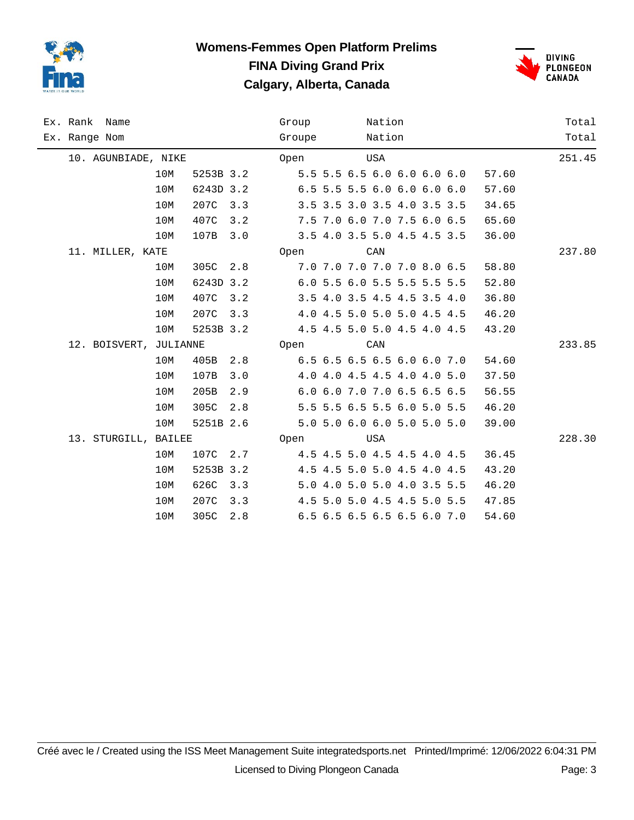



| Ex. Rank Name          |     |           |           | Group  |  | Nation |                               |  |       | Total  |
|------------------------|-----|-----------|-----------|--------|--|--------|-------------------------------|--|-------|--------|
| Ex. Range Nom          |     |           |           | Groupe |  | Nation |                               |  |       | Total  |
| 10. AGUNBIADE, NIKE    |     |           |           | Open   |  | USA    |                               |  |       | 251.45 |
|                        | 10M |           | 5253B 3.2 |        |  |        | 5.5 5.5 6.5 6.0 6.0 6.0 6.0   |  | 57.60 |        |
|                        | 10M | 6243D 3.2 |           |        |  |        | $6.5$ 5.5 5.5 6.0 6.0 6.0 6.0 |  | 57.60 |        |
|                        | 10M | 207C      | 3.3       |        |  |        | 3.5 3.5 3.0 3.5 4.0 3.5 3.5   |  | 34.65 |        |
|                        | 10M | 407C      | 3.2       |        |  |        | 7.5 7.0 6.0 7.0 7.5 6.0 6.5   |  | 65.60 |        |
|                        | 10M | 107B      | 3.0       |        |  |        | 3.5 4.0 3.5 5.0 4.5 4.5 3.5   |  | 36.00 |        |
| 11. MILLER, KATE       |     |           |           | Open   |  | CAN    |                               |  |       | 237.80 |
|                        | 10M | 305C      | 2.8       |        |  |        | 7.0 7.0 7.0 7.0 7.0 8.0 6.5   |  | 58.80 |        |
|                        | 10M | 6243D 3.2 |           |        |  |        | 6.0 5.5 6.0 5.5 5.5 5.5 5.5   |  | 52.80 |        |
|                        | 10M | 407C      | 3.2       |        |  |        | 3.5 4.0 3.5 4.5 4.5 3.5 4.0   |  | 36.80 |        |
|                        | 10M | 207C      | 3.3       |        |  |        | 4.0 4.5 5.0 5.0 5.0 4.5 4.5   |  | 46.20 |        |
|                        | 10M | 5253B 3.2 |           |        |  |        | 4.5 4.5 5.0 5.0 4.5 4.0 4.5   |  | 43.20 |        |
| 12. BOISVERT, JULIANNE |     |           |           | Open   |  | CAN    |                               |  |       | 233.85 |
|                        | 10M | 405B 2.8  |           |        |  |        | 6.5 6.5 6.5 6.5 6.0 6.0 7.0   |  | 54.60 |        |
|                        | 10M | 107B      | 3.0       |        |  |        | 4.0 4.0 4.5 4.5 4.0 4.0 5.0   |  | 37.50 |        |
|                        | 10M | 205B      | 2.9       |        |  |        | 6.0 6.0 7.0 7.0 6.5 6.5 6.5   |  | 56.55 |        |
|                        | 10M | 305C      | 2.8       |        |  |        | 5.5 5.5 6.5 5.5 6.0 5.0 5.5   |  | 46.20 |        |
|                        | 10M | 5251B 2.6 |           |        |  |        | 5.0 5.0 6.0 6.0 5.0 5.0 5.0   |  | 39.00 |        |
| 13. STURGILL, BAILEE   |     |           |           | Open   |  | USA    |                               |  |       | 228.30 |
|                        | 10M | 107C      | 2.7       |        |  |        | 4.5 4.5 5.0 4.5 4.5 4.0 4.5   |  | 36.45 |        |
|                        | 10M | 5253B 3.2 |           |        |  |        | 4.5 4.5 5.0 5.0 4.5 4.0 4.5   |  | 43.20 |        |
|                        | 10M | 626C      | 3.3       |        |  |        | 5.0 4.0 5.0 5.0 4.0 3.5 5.5   |  | 46.20 |        |
|                        | 10M | 207C      | 3.3       |        |  |        | 4.5 5.0 5.0 4.5 4.5 5.0 5.5   |  | 47.85 |        |
|                        | 10M | 305C      | 2.8       |        |  |        | 6.5 6.5 6.5 6.5 6.5 6.0 7.0   |  | 54.60 |        |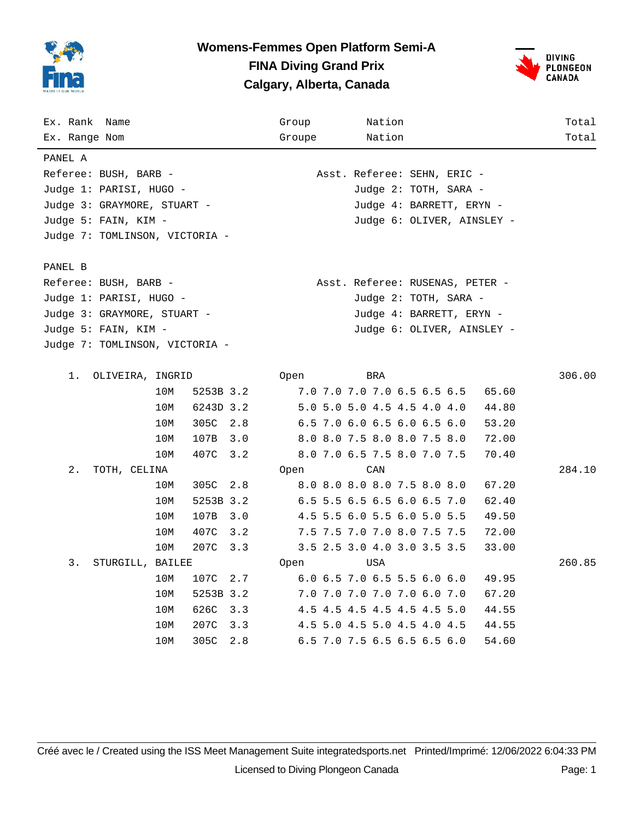

### **Womens-Femmes Open Platform Semi-A FINA Diving Grand Prix Calgary, Alberta, Canada**



| Ex. Rank Name                  |     |           |     | Group  |                                 | Nation |                          |                            | Total  |
|--------------------------------|-----|-----------|-----|--------|---------------------------------|--------|--------------------------|----------------------------|--------|
| Ex. Range Nom                  |     |           |     | Groupe |                                 | Nation |                          |                            | Total  |
| PANEL A                        |     |           |     |        |                                 |        |                          |                            |        |
| Referee: BUSH, BARB -          |     |           |     |        | Asst. Referee: SEHN, ERIC -     |        |                          |                            |        |
| Judge 1: PARISI, HUGO -        |     |           |     |        |                                 |        | Judge 2: TOTH, SARA -    |                            |        |
| Judge 3: GRAYMORE, STUART -    |     |           |     |        |                                 |        | Judge 4: BARRETT, ERYN - |                            |        |
| Judge 5: FAIN, KIM -           |     |           |     |        |                                 |        |                          | Judge 6: OLIVER, AINSLEY - |        |
| Judge 7: TOMLINSON, VICTORIA - |     |           |     |        |                                 |        |                          |                            |        |
|                                |     |           |     |        |                                 |        |                          |                            |        |
| PANEL B                        |     |           |     |        |                                 |        |                          |                            |        |
| Referee: BUSH, BARB -          |     |           |     |        | Asst. Referee: RUSENAS, PETER - |        |                          |                            |        |
| Judge 1: PARISI, HUGO -        |     |           |     |        |                                 |        | Judge 2: TOTH, SARA -    |                            |        |
| Judge 3: GRAYMORE, STUART -    |     |           |     |        |                                 |        | Judge 4: BARRETT, ERYN - |                            |        |
| Judge 5: FAIN, KIM -           |     |           |     |        |                                 |        |                          | Judge 6: OLIVER, AINSLEY - |        |
| Judge 7: TOMLINSON, VICTORIA - |     |           |     |        |                                 |        |                          |                            |        |
|                                |     |           |     |        |                                 |        |                          |                            |        |
| 1.<br>OLIVEIRA, INGRID         |     |           |     | Open   | BRA                             |        |                          |                            | 306.00 |
|                                | 10M | 5253B 3.2 |     |        | 7.0 7.0 7.0 7.0 6.5 6.5 6.5     |        |                          | 65.60                      |        |
|                                | 10M | 6243D 3.2 |     |        | 5.0 5.0 5.0 4.5 4.5 4.0 4.0     |        |                          | 44.80                      |        |
|                                | 10M | 305C 2.8  |     |        | 6.5 7.0 6.0 6.5 6.0 6.5 6.0     |        |                          | 53.20                      |        |
|                                | 10M | 107B 3.0  |     |        | 8.0 8.0 7.5 8.0 8.0 7.5 8.0     |        |                          | 72.00                      |        |
|                                | 10M | 407C      | 3.2 |        | 8.0 7.0 6.5 7.5 8.0 7.0 7.5     |        |                          | 70.40                      |        |
| 2.<br>TOTH, CELINA             |     |           |     | Open   | CAN                             |        |                          |                            | 284.10 |
|                                | 10M | 305C      | 2.8 |        | 8.0 8.0 8.0 8.0 7.5 8.0 8.0     |        |                          | 67.20                      |        |
|                                | 10M | 5253B 3.2 |     |        | 6.5 5.5 6.5 6.5 6.0 6.5 7.0     |        |                          | 62.40                      |        |
|                                | 10M | 107B      | 3.0 |        | 4.5 5.5 6.0 5.5 6.0 5.0 5.5     |        |                          | 49.50                      |        |
|                                | 10M | 407C      | 3.2 |        | 7.5 7.5 7.0 7.0 8.0 7.5 7.5     |        |                          | 72.00                      |        |
|                                | 10M | 207C      | 3.3 |        | 3.5 2.5 3.0 4.0 3.0 3.5 3.5     |        |                          | 33.00                      |        |
| 3.<br>STURGILL, BAILEE         |     |           |     | Open   | USA                             |        |                          |                            | 260.85 |
|                                | 10M | 107C      | 2.7 |        | 6.0 6.5 7.0 6.5 5.5 6.0 6.0     |        |                          | 49.95                      |        |
|                                | 10M | 5253B 3.2 |     |        | 7.0 7.0 7.0 7.0 7.0 6.0 7.0     |        |                          | 67.20                      |        |
|                                | 10M | 626C      | 3.3 |        | 4.5 4.5 4.5 4.5 4.5 4.5 5.0     |        |                          | 44.55                      |        |
|                                | 10M | 207C      | 3.3 |        | 4.5 5.0 4.5 5.0 4.5 4.0 4.5     |        |                          | 44.55                      |        |
|                                | 10M | 305C      | 2.8 |        | 6.5 7.0 7.5 6.5 6.5 6.5 6.0     |        |                          | 54.60                      |        |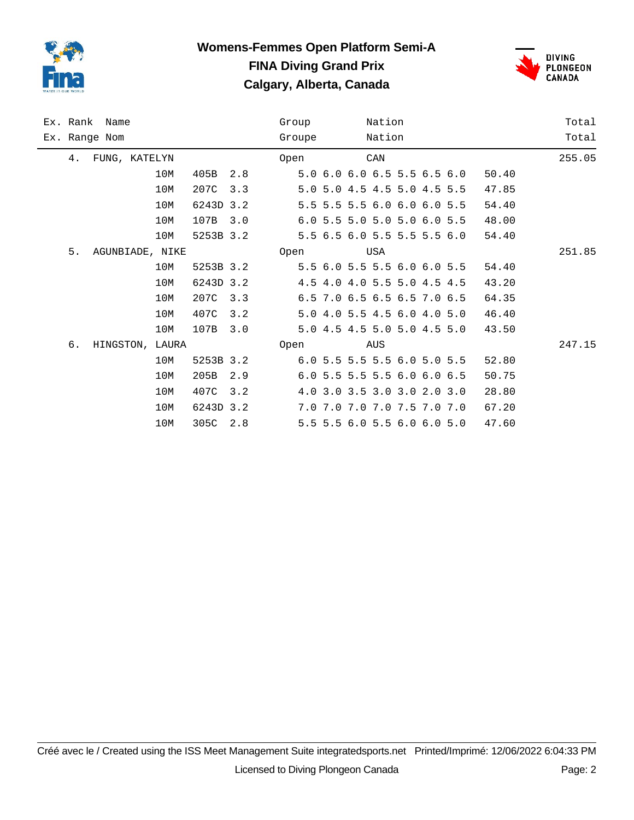

## **Womens-Femmes Open Platform Semi-A FINA Diving Grand Prix Calgary, Alberta, Canada**



| Ex. Rank Name |                 | Group |           | Nation |      |                             | Total |     |       |       |        |
|---------------|-----------------|-------|-----------|--------|------|-----------------------------|-------|-----|-------|-------|--------|
| Ex. Range Nom |                 |       | Groupe    |        |      | Nation                      |       |     | Total |       |        |
| 4.            | FUNG, KATELYN   |       |           |        | Open |                             |       | CAN |       |       | 255.05 |
|               |                 | 10M   | 405B      | 2.8    |      | 5.0 6.0 6.0 6.5 5.5 6.5 6.0 |       |     |       | 50.40 |        |
|               |                 | 10M   | 207C      | 3.3    |      | 5.0 5.0 4.5 4.5 5.0 4.5 5.5 |       |     |       | 47.85 |        |
|               |                 | 10M   | 6243D 3.2 |        |      | 5.5 5.5 5.5 6.0 6.0 6.0 5.5 |       |     |       | 54.40 |        |
|               |                 | 10M   | 107B      | 3.0    |      | 6.0 5.5 5.0 5.0 5.0 6.0 5.5 |       |     |       | 48.00 |        |
|               |                 | 10M   | 5253B 3.2 |        |      | 5.5 6.5 6.0 5.5 5.5 5.5 6.0 |       |     |       | 54.40 |        |
| 5.            | AGUNBIADE, NIKE |       |           |        | Open |                             |       | USA |       |       | 251.85 |
|               |                 | 10M   | 5253B 3.2 |        |      | 5.5 6.0 5.5 5.5 6.0 6.0 5.5 |       |     |       | 54.40 |        |
|               |                 | 10M   | 6243D 3.2 |        |      | 4.5 4.0 4.0 5.5 5.0 4.5 4.5 |       |     |       | 43.20 |        |
|               |                 | 10M   | 207C      | 3.3    |      | 6.5 7.0 6.5 6.5 6.5 7.0 6.5 |       |     |       | 64.35 |        |
|               |                 | 10M   | 407C      | 3.2    |      | 5.0 4.0 5.5 4.5 6.0 4.0 5.0 |       |     |       | 46.40 |        |
|               |                 | 10M   | 107B      | 3.0    |      | 5.0 4.5 4.5 5.0 5.0 4.5 5.0 |       |     |       | 43.50 |        |
| б.            | HINGSTON, LAURA |       |           |        | Open |                             |       | AUS |       |       | 247.15 |
|               |                 | 10M   | 5253B 3.2 |        |      | 6.0 5.5 5.5 5.5 6.0 5.0 5.5 |       |     |       | 52.80 |        |
|               |                 | 10M   | 205B      | 2.9    |      | 6.0 5.5 5.5 5.5 6.0 6.0 6.5 |       |     |       | 50.75 |        |
|               |                 | 10M   | 407C      | 3.2    |      | 4.0 3.0 3.5 3.0 3.0 2.0 3.0 |       |     |       | 28.80 |        |
|               |                 | 10M   | 6243D 3.2 |        |      | 7.0 7.0 7.0 7.0 7.5 7.0 7.0 |       |     |       | 67.20 |        |
|               |                 | 10M   | 305C      | 2.8    |      | 5.5 5.5 6.0 5.5 6.0 6.0 5.0 |       |     |       | 47.60 |        |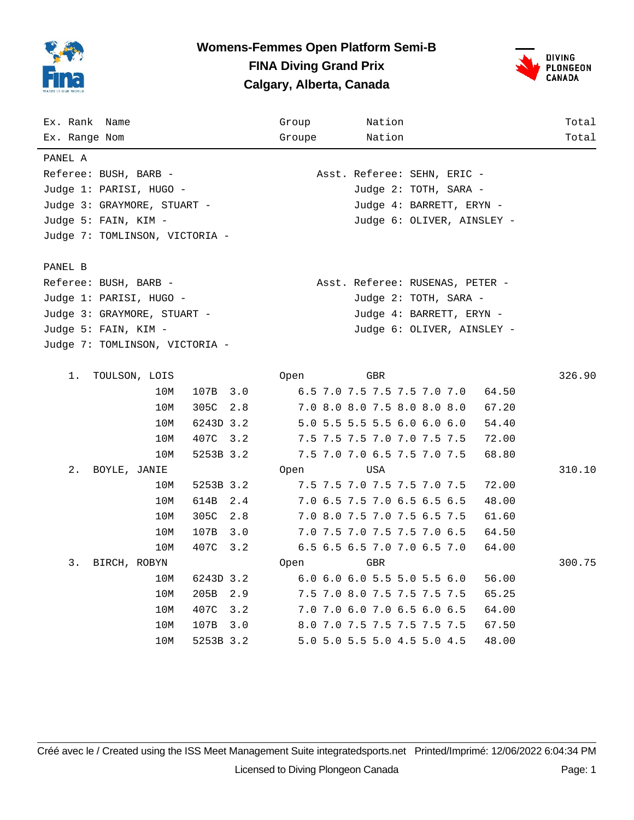

## **Womens-Femmes Open Platform Semi-B FINA Diving Grand Prix Calgary, Alberta, Canada**



| Ex. Rank Name                  | Group<br>Nation                             | Total  |
|--------------------------------|---------------------------------------------|--------|
| Ex. Range Nom                  | Groupe<br>Nation                            | Total  |
| PANEL A                        |                                             |        |
| Referee: BUSH, BARB -          | Asst. Referee: SEHN, ERIC -                 |        |
| Judge 1: PARISI, HUGO -        | Judge 2: TOTH, SARA -                       |        |
| Judge 3: GRAYMORE, STUART -    | Judge 4: BARRETT, ERYN -                    |        |
| Judge 5: FAIN, KIM -           | Judge 6: OLIVER, AINSLEY -                  |        |
| Judge 7: TOMLINSON, VICTORIA - |                                             |        |
|                                |                                             |        |
| PANEL B                        |                                             |        |
| Referee: BUSH, BARB -          | Asst. Referee: RUSENAS, PETER -             |        |
| Judge 1: PARISI, HUGO -        | Judge 2: TOTH, SARA -                       |        |
| Judge 3: GRAYMORE, STUART -    | Judge 4: BARRETT, ERYN -                    |        |
| Judge 5: FAIN, KIM -           | Judge 6: OLIVER, AINSLEY -                  |        |
| Judge 7: TOMLINSON, VICTORIA - |                                             |        |
|                                |                                             |        |
| 1.<br>TOULSON, LOIS            | GBR<br>Open                                 | 326.90 |
| 107B<br>10M                    | 3.0<br>6.5 7.0 7.5 7.5 7.5 7.0 7.0<br>64.50 |        |
| 305C<br>10M                    | 2.8<br>7.0 8.0 8.0 7.5 8.0 8.0 8.0<br>67.20 |        |
| 10M<br>6243D 3.2               | 5.0 5.5 5.5 5.5 6.0 6.0 6.0<br>54.40        |        |
| 407C 3.2<br>10M                | 7.5 7.5 7.5 7.0 7.0 7.5 7.5<br>72.00        |        |
| 10M<br>5253B 3.2               | 7.5 7.0 7.0 6.5 7.5 7.0 7.5<br>68.80        |        |
| 2.<br>BOYLE, JANIE             | USA<br>Open                                 | 310.10 |
| 5253B 3.2<br>10M               | 7.5 7.5 7.0 7.5 7.5 7.0 7.5<br>72.00        |        |
| 614B<br>10M                    | 7.0 6.5 7.5 7.0 6.5 6.5 6.5<br>2.4<br>48.00 |        |
| 305C<br>10M                    | 2.8<br>7.0 8.0 7.5 7.0 7.5 6.5 7.5<br>61.60 |        |
| 10M<br>107B                    | 7.0 7.5 7.0 7.5 7.5 7.0 6.5<br>3.0<br>64.50 |        |
| 10M<br>407C                    | 3.2<br>6.5 6.5 6.5 7.0 7.0 6.5 7.0<br>64.00 |        |
| 3.<br>BIRCH, ROBYN             | GBR<br>Open                                 | 300.75 |
| 10M<br>6243D 3.2               | 6.0 6.0 6.0 5.5 5.0 5.5 6.0<br>56.00        |        |
| 10M<br>205B 2.9                | 7.5 7.0 8.0 7.5 7.5 7.5 7.5<br>65.25        |        |
| 10M<br>407C                    | 3.2<br>7.0 7.0 6.0 7.0 6.5 6.0 6.5<br>64.00 |        |
| 10M<br>107B                    | 3.0<br>8.0 7.0 7.5 7.5 7.5 7.5 7.5<br>67.50 |        |
| 5253B 3.2<br>10M               | 5.0 5.0 5.5 5.0 4.5 5.0 4.5<br>48.00        |        |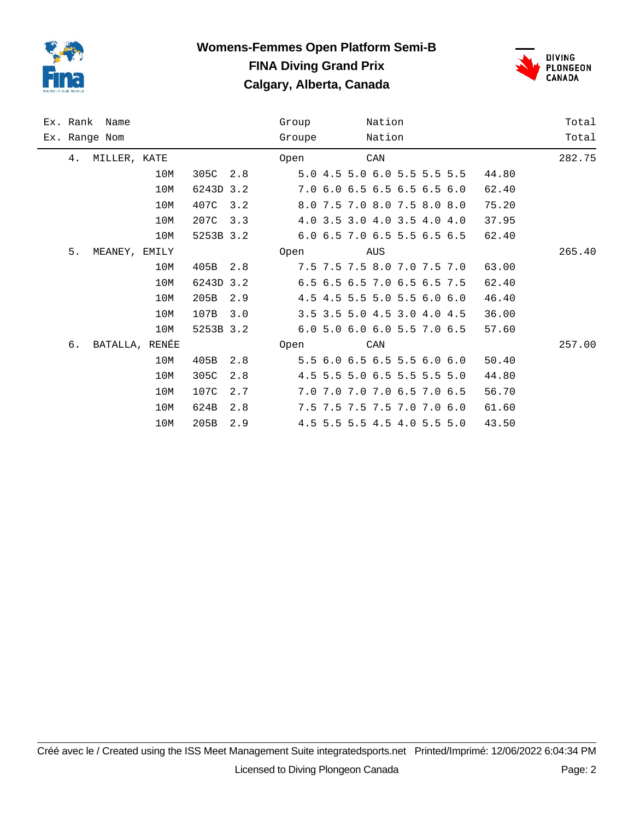

## **Womens-Femmes Open Platform Semi-B FINA Diving Grand Prix Calgary, Alberta, Canada**



|    | Ex. Rank Name  |     |           |     | Group  |                             | Nation |  |       | Total  |
|----|----------------|-----|-----------|-----|--------|-----------------------------|--------|--|-------|--------|
|    | Ex. Range Nom  |     |           |     | Groupe |                             | Nation |  |       | Total  |
| 4. | MILLER, KATE   |     |           |     | Open   |                             | CAN    |  |       | 282.75 |
|    |                | 10M | 305C      | 2.8 |        | 5.0 4.5 5.0 6.0 5.5 5.5 5.5 |        |  | 44.80 |        |
|    |                | 10M | 6243D 3.2 |     |        | 7.0 6.0 6.5 6.5 6.5 6.5 6.0 |        |  | 62.40 |        |
|    |                | 10M | 407C      | 3.2 |        | 8.0 7.5 7.0 8.0 7.5 8.0 8.0 |        |  | 75.20 |        |
|    |                | 10M | 207C      | 3.3 |        | 4.0 3.5 3.0 4.0 3.5 4.0 4.0 |        |  | 37.95 |        |
|    |                | 10M | 5253B 3.2 |     |        | 6.0 6.5 7.0 6.5 5.5 6.5 6.5 |        |  | 62.40 |        |
| 5. | MEANEY, EMILY  |     |           |     | Open   |                             | AUS    |  |       | 265.40 |
|    |                | 10M | 405B      | 2.8 |        | 7.5 7.5 7.5 8.0 7.0 7.5 7.0 |        |  | 63.00 |        |
|    |                | 10M | 6243D 3.2 |     |        | 6.5 6.5 6.5 7.0 6.5 6.5 7.5 |        |  | 62.40 |        |
|    |                | 10M | 205B      | 2.9 |        | 4.5 4.5 5.5 5.0 5.5 6.0 6.0 |        |  | 46.40 |        |
|    |                | 10M | 107B      | 3.0 |        | 3.5 3.5 5.0 4.5 3.0 4.0 4.5 |        |  | 36.00 |        |
|    |                | 10M | 5253B 3.2 |     |        | 6.0 5.0 6.0 6.0 5.5 7.0 6.5 |        |  | 57.60 |        |
| 6. | BATALLA, RENÉE |     |           |     | Open   |                             | CAN    |  |       | 257.00 |
|    |                | 10M | 405B      | 2.8 |        | 5.5 6.0 6.5 6.5 5.5 6.0 6.0 |        |  | 50.40 |        |
|    |                | 10M | 305C      | 2.8 |        | 4.5 5.5 5.0 6.5 5.5 5.5 5.0 |        |  | 44.80 |        |
|    |                | 10M | 107C      | 2.7 |        | 7.0 7.0 7.0 7.0 6.5 7.0 6.5 |        |  | 56.70 |        |
|    |                | 10M | 624B      | 2.8 |        | 7.5 7.5 7.5 7.5 7.0 7.0 6.0 |        |  | 61.60 |        |
|    |                | 10M | 205B      | 2.9 |        | 4.5 5.5 5.5 4.5 4.0 5.5 5.0 |        |  | 43.50 |        |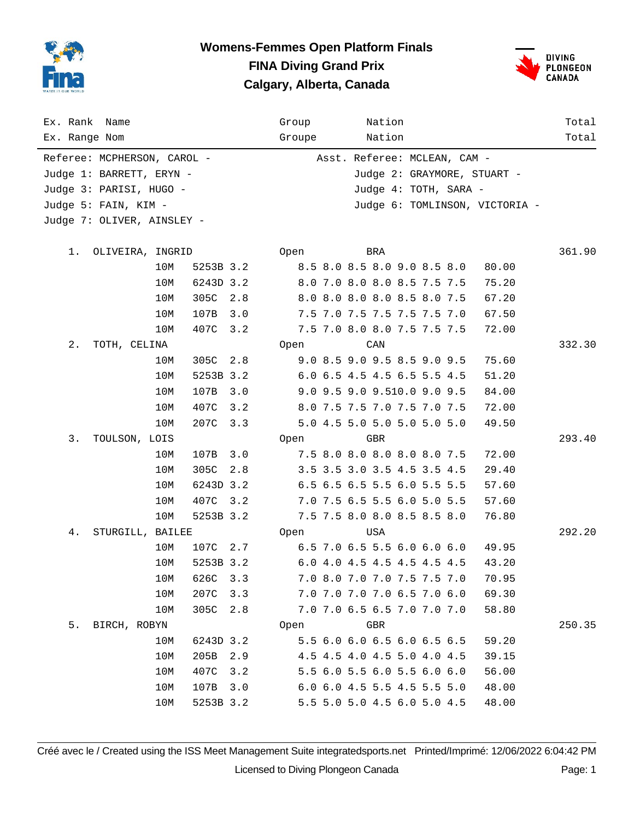

### **Womens-Femmes Open Platform Finals FINA Diving Grand Prix Calgary, Alberta, Canada**



| Ex. Rank<br>Name            |       |           |     | Group                       |  |     | Nation                       |  |  |                                | Total  |
|-----------------------------|-------|-----------|-----|-----------------------------|--|-----|------------------------------|--|--|--------------------------------|--------|
| Ex. Range Nom               |       |           |     | Groupe                      |  |     | Nation                       |  |  |                                | Total  |
| Referee: MCPHERSON, CAROL - |       |           |     |                             |  |     | Asst. Referee: MCLEAN, CAM - |  |  |                                |        |
| Judge 1: BARRETT, ERYN -    |       |           |     | Judge 2: GRAYMORE, STUART - |  |     |                              |  |  |                                |        |
| Judge 3: PARISI, HUGO -     |       |           |     |                             |  |     | Judge 4: TOTH, SARA -        |  |  |                                |        |
| Judge 5: FAIN, KIM -        |       |           |     |                             |  |     |                              |  |  | Judge 6: TOMLINSON, VICTORIA - |        |
| Judge 7: OLIVER, AINSLEY -  |       |           |     |                             |  |     |                              |  |  |                                |        |
|                             |       |           |     |                             |  |     |                              |  |  |                                |        |
| 1.<br>OLIVEIRA, INGRID      |       |           |     | Open                        |  | BRA |                              |  |  |                                | 361.90 |
|                             | 10M   | 5253B 3.2 |     |                             |  |     | 8.5 8.0 8.5 8.0 9.0 8.5 8.0  |  |  | 80.00                          |        |
|                             | 10M   | 6243D 3.2 |     |                             |  |     | 8.0 7.0 8.0 8.0 8.5 7.5 7.5  |  |  | 75.20                          |        |
|                             | 10M   | 305C      | 2.8 |                             |  |     | 8.0 8.0 8.0 8.0 8.5 8.0 7.5  |  |  | 67.20                          |        |
|                             | 10M   | 107B      | 3.0 |                             |  |     | 7.5 7.0 7.5 7.5 7.5 7.5 7.0  |  |  | 67.50                          |        |
|                             | 10M   | 407C      | 3.2 |                             |  |     | 7.5 7.0 8.0 8.0 7.5 7.5 7.5  |  |  | 72.00                          |        |
| $2$ .<br>TOTH, CELINA       |       |           |     | Open                        |  | CAN |                              |  |  |                                | 332.30 |
|                             | 10M   | 305C      | 2.8 |                             |  |     | 9.0 8.5 9.0 9.5 8.5 9.0 9.5  |  |  | 75.60                          |        |
|                             | 10M   | 5253B 3.2 |     |                             |  |     | 6.0 6.5 4.5 4.5 6.5 5.5 4.5  |  |  | 51.20                          |        |
|                             | 10M   | 107B      | 3.0 |                             |  |     | 9.0 9.5 9.0 9.510.0 9.0 9.5  |  |  | 84.00                          |        |
|                             | 10M   | 407C      | 3.2 |                             |  |     | 8.0 7.5 7.5 7.0 7.5 7.0 7.5  |  |  | 72.00                          |        |
|                             | 10M   | 207C      | 3.3 |                             |  |     | 5.0 4.5 5.0 5.0 5.0 5.0 5.0  |  |  | 49.50                          |        |
| 3.<br>TOULSON, LOIS         |       |           |     | Open                        |  | GBR |                              |  |  |                                | 293.40 |
|                             | 10M   | 107B      | 3.0 |                             |  |     | 7.5 8.0 8.0 8.0 8.0 8.0 7.5  |  |  | 72.00                          |        |
|                             | 10M   | 305C      | 2.8 |                             |  |     | 3.5 3.5 3.0 3.5 4.5 3.5 4.5  |  |  | 29.40                          |        |
|                             | 10M   | 6243D 3.2 |     |                             |  |     | 6.5 6.5 6.5 5.5 6.0 5.5 5.5  |  |  | 57.60                          |        |
|                             | 10M   | 407C      | 3.2 |                             |  |     | 7.0 7.5 6.5 5.5 6.0 5.0 5.5  |  |  | 57.60                          |        |
|                             | 10M   | 5253B 3.2 |     |                             |  |     | 7.5 7.5 8.0 8.0 8.5 8.5 8.0  |  |  | 76.80                          |        |
| 4.<br>STURGILL, BAILEE      |       |           |     | Open                        |  | USA |                              |  |  |                                | 292.20 |
|                             | 10M   | 107C      | 2.7 |                             |  |     | 6.5 7.0 6.5 5.5 6.0 6.0 6.0  |  |  | 49.95                          |        |
|                             | 10M   | 5253B 3.2 |     |                             |  |     | 6.0 4.0 4.5 4.5 4.5 4.5 4.5  |  |  | 43.20                          |        |
|                             | $10M$ | 626C      | 3.3 |                             |  |     | 7.0 8.0 7.0 7.0 7.5 7.5 7.0  |  |  | 70.95                          |        |
|                             | 10M   | 207C      | 3.3 |                             |  |     | 7.0 7.0 7.0 7.0 6.5 7.0 6.0  |  |  | 69.30                          |        |
|                             | 10M   | 305C      | 2.8 |                             |  |     | 7.0 7.0 6.5 6.5 7.0 7.0 7.0  |  |  | 58.80                          |        |
| 5.<br>BIRCH, ROBYN          |       |           |     | Open                        |  | GBR |                              |  |  |                                | 250.35 |
|                             | 10M   | 6243D 3.2 |     |                             |  |     | 5.5 6.0 6.0 6.5 6.0 6.5 6.5  |  |  | 59.20                          |        |
|                             | 10M   | 205B      | 2.9 |                             |  |     | 4.5 4.5 4.0 4.5 5.0 4.0 4.5  |  |  | 39.15                          |        |
|                             | 10M   | 407C      | 3.2 |                             |  |     | 5.5 6.0 5.5 6.0 5.5 6.0 6.0  |  |  | 56.00                          |        |
|                             | 10M   | 107B      | 3.0 |                             |  |     | 6.0 6.0 4.5 5.5 4.5 5.5 5.0  |  |  | 48.00                          |        |
|                             | 10M   | 5253B 3.2 |     |                             |  |     | 5.5 5.0 5.0 4.5 6.0 5.0 4.5  |  |  | 48.00                          |        |

Créé avec le / Created using the ISS Meet Management Suite integratedsports.net Printed/Imprimé: 12/06/2022 6:04:42 PM Licensed to Diving Plongeon Canada Page: 1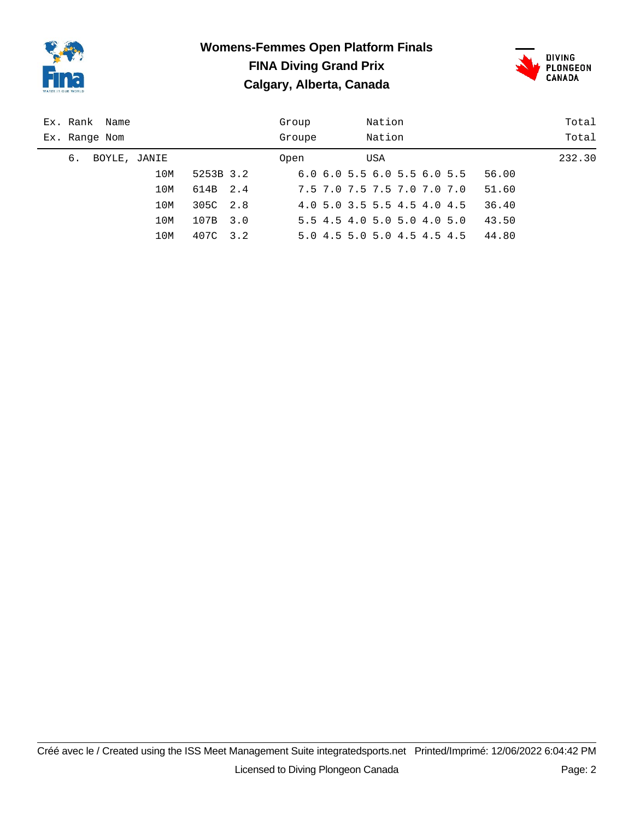

# **Womens-Femmes Open Platform Finals FINA Diving Grand Prix Calgary, Alberta, Canada**



| Ex. Rank Name      | Nation<br>Group                                    | Total  |
|--------------------|----------------------------------------------------|--------|
| Ex. Range Nom      | Nation<br>Groupe                                   | Total  |
| 6.<br>BOYLE, JANIE | USA<br>Open                                        | 232.30 |
| 10M<br>5253B 3.2   | $6.0$ $6.0$ $5.5$ $6.0$ $5.5$ $6.0$ $5.5$<br>56.00 |        |
| 614B<br>10M<br>2.4 | 7.5 7.0 7.5 7.5 7.0 7.0 7.0<br>51.60               |        |
| 305C 2.8<br>10M    | 4.0 5.0 3.5 5.5 4.5 4.0 4.5<br>36.40               |        |
| 107B<br>10M<br>3.0 | 5.5 4.5 4.0 5.0 5.0 4.0 5.0<br>43.50               |        |
| 10M<br>407C<br>3.2 | 44.80<br>5.0 4.5 5.0 5.0 4.5 4.5 4.5               |        |